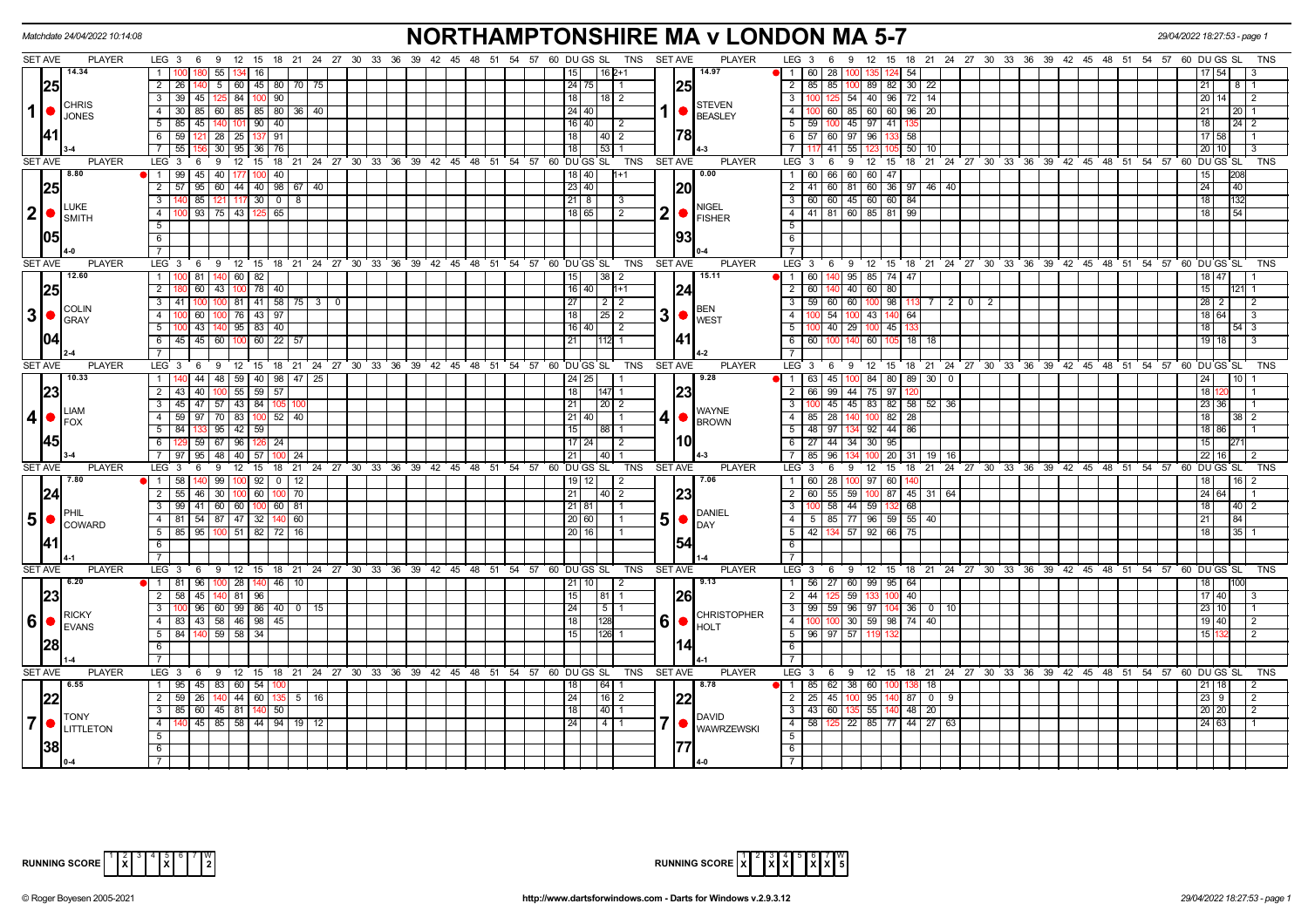|                | Matchdate 24/04/2022 10:14:08                        |                                                                      | <b>NORTHAMPTONSHIRE MA v LONDON MA 5-7</b>                                                                      |                                                                                                | 29/04/2022 18:27:53 - page                     |
|----------------|------------------------------------------------------|----------------------------------------------------------------------|-----------------------------------------------------------------------------------------------------------------|------------------------------------------------------------------------------------------------|------------------------------------------------|
| <b>SET AVE</b> | <b>PLAYER</b>                                        |                                                                      | LEG 3 6 9 12 15 18 21 24 27 30 33 36 39 42 45 48 51 54 57 60 DUGS SL TNS<br><b>SET AVE</b><br><b>PLAYER</b>     | LEG 3 6 9 12 15 18 21 24 27 30 33 36 39 42 45 48 51 54 57 60 DUGS SL                           | TNS                                            |
|                | 14.34                                                | -55 I<br>134 16                                                      | 14.97<br>l 16 2+1                                                                                               | N 1 I 60 I 28 I 100 I<br>54<br>135 I                                                           |                                                |
|                | 25                                                   | $\overline{2}$<br>26   140   5   60   45   80   70   75              | 25<br>$24$ 75                                                                                                   | 2   85   85   100   89   82   30   22                                                          | 21                                             |
|                |                                                      | 39 45 125 84 100 90<br>$\overline{3}$                                | 18<br>$\overline{118}$   2                                                                                      | 3   100   125   54   40   96   72   14                                                         | 20<br>14<br>$\overline{2}$                     |
| $\mathbf{1}$   | <b>CHRIS</b><br><b>JONES</b>                         | $\overline{4}$                                                       | <b>STEVEN</b><br>$1  \bullet  _{\text{BEASLEY}}$<br>24   40                                                     | 4 100 60 85 60 60 96 20                                                                        | 21<br>l 20 I                                   |
|                |                                                      | 5<br>85 45 140 101 90 40                                             | 16   40  <br>$\vert$ 2                                                                                          | $5 \mid 59 \mid 100 \mid 45 \mid 97 \mid 41$                                                   | 18<br>$24 \mid 2$                              |
|                | 141 I                                                | 6 59 121 28 25 137 91                                                | 78 <br>18 <sup>1</sup><br> 40 2                                                                                 | 6 57 60 97 96<br>58                                                                            | 17 58                                          |
|                |                                                      | 55 156 30 95 36 76<br>$\overline{7}$                                 | 53 1<br>18                                                                                                      | 71117<br> 41 <br>55<br>$50 \mid 10$                                                            | $20$ 10<br>$\mathbf{B}$                        |
| <b>SET AVE</b> | <b>PLAYER</b>                                        | LEG 3                                                                | 6 9 12 15 18 21 24 27 30 33 36 39 42 45 48 51 54 57 60 DUGS SL<br><b>TNS</b><br><b>SET AVE</b><br><b>PLAYER</b> | LEG 3<br>9 12 15 18 21 24 27 30 33 36 39 42 45 48 51 54 57 60 DUGS SL<br>6                     | TNS                                            |
|                | 8.80                                                 | 1 99 45 40 177 100<br>40                                             | 0.00<br>18   40 <br>$1 + 1$                                                                                     | 1 60 66 60 60 47                                                                               | 15<br>208                                      |
|                | 25                                                   | $\overline{2}$<br>$57$   95   60   44   40   98   67   40            | 23 40 <br> 20                                                                                                   | 2 41 60 81 60 36 97 46 40                                                                      | 24<br>40                                       |
|                |                                                      | 3<br>85 121 117 30 0 8                                               | $21 \mid 8 \mid$<br>$\vert$ 3                                                                                   | 3   60   60   45   60   60   84                                                                | 18<br>132                                      |
| $ 2  \bullet$  | <b>LUKE</b>                                          | 100 93 75 43 125 65<br>$\overline{4}$                                | <b>NIGEL</b><br>$2  \bullet  _{FISHER}$<br>18 65  <br>l 2                                                       | 4 4 41 81 60 85 81 99                                                                          | 18 <sup>1</sup><br>54                          |
|                | <b>I</b> SMITH                                       | 5                                                                    |                                                                                                                 | 5 <sup>1</sup>                                                                                 |                                                |
|                | 1051                                                 | 6                                                                    | 93                                                                                                              | 6                                                                                              |                                                |
|                |                                                      | $\overline{7}$                                                       |                                                                                                                 | 7 <sup>1</sup>                                                                                 |                                                |
| <b>SET AVE</b> | <b>PLAYER</b>                                        | LEG <sub>3</sub><br>$6 \t9 \t12 \t15$                                | 18 21 24 27 30 33 36 39 42 45 48 51 54 57 60 DUGS SL<br><b>TNS</b><br><b>SET AVE</b><br><b>PLAYER</b>           | LEG <sup>3</sup><br>6 9 12 15 18 21 24 27 30 33 36 39 42 45 48 51 54 57 60 DUGS SL             | <b>TNS</b>                                     |
|                | 112.60                                               | 81 140 60 82<br>1                                                    | 38 2<br>15.11<br>15                                                                                             | 1   60   140   95   85   74   47                                                               | 18 47                                          |
|                | 25                                                   | $\overline{2}$<br>60 43 100 78 40                                    | 24 <br>$16 \mid 40 \mid 1+1$                                                                                    | 2 60 140 40 60 80                                                                              | 15                                             |
|                |                                                      | $41$ 100 100 81 41 58 75 3 0<br>$\overline{\mathbf{3}}$              | $\overline{27}$                                                                                                 | $3   59   60   60   100   98   113   7   2   0   2$                                            | $28$ 2<br>$\overline{2}$                       |
|                | COLIN<br>$3  \bullet  _{\text{GRAY}}^{\text{COLIN}}$ | $\overline{4}$<br>76 43 97<br>60                                     | $3$ $\bullet$ $\vert_{\text{WEST}}^{\text{BEN}}$<br>18 <sup>1</sup><br>$\sqrt{25}$ 2                            | 4<br>54 100 43 140<br>64                                                                       | 18 64<br>-3                                    |
|                |                                                      | 00 43 440 95 83 40<br>5                                              | 16   40  <br>$\vert$ 2                                                                                          | 40 29 100 45<br>$5 \mid 100$                                                                   | 18<br>$54 \overline{\phantom{0}3}$             |
|                | 1041                                                 | 45 45 60 100 60 22 57<br>$6\overline{6}$                             | 41 <br>21<br>$112$ 1                                                                                            | 6 6 6 100 140 60 105 18 18                                                                     | 19 18<br>3                                     |
|                |                                                      | $\overline{7}$                                                       |                                                                                                                 | $\overline{7}$                                                                                 |                                                |
| <b>SET AVE</b> | <b>PLAYER</b>                                        | LEG <sub>3</sub><br>69                                               | <b>PLAYER</b><br>12 15 18 21 24 27 30 33 36 39 42 45 48 51 54 57 60 DUGS SL<br><b>SET AVE</b><br>TNS            | $LEG \ 3$<br>9 12 15 18 21 24 27 30 33 36 39 42 45 48 51 54 57 60 DUGS SL<br>- 6               | <b>TNS</b>                                     |
|                | 10.33                                                | 44   48   59   40   98   47   25<br>$\overline{1}$                   | 24   25<br>9.28                                                                                                 | $\bullet$   1   63   45   100   84   80  <br>89 30<br>$\mathbf 0$                              | 24<br>10                                       |
|                | 23                                                   | $\overline{2}$<br>43 40 100 55 59 57                                 | 18<br> 23<br>147 1                                                                                              | 2 66 99 44 75 97                                                                               | 18                                             |
|                |                                                      | 45 47 57 43 84 105<br>$\overline{\cdot \cdot \cdot}$                 | $\left  \frac{20}{2} \right $<br>21                                                                             | $\overline{\phantom{a}3}$ T<br>100 45 45 83 82 58 52<br>36                                     | 23 36                                          |
| 4 •            | <b>LIAM</b>                                          | 59 97 70 83 100 52 40<br>$\overline{4}$                              | <b>WAYNE</b><br>$4$ $\bullet$ $\sim$ $\sim$<br>21   40   11                                                     | 4   85   28   140   100   82   28                                                              | 181<br>$\begin{array}{c c} 38 & 2 \end{array}$ |
|                | $I$ FOX                                              | 84 133 95 42 59<br>5                                                 | $\overline{15}$<br> 88 1                                                                                        | 5   48   97   134   92   44   86                                                               | 18 86                                          |
|                | <b>145</b>                                           | 6 129 59 67 96 126 24                                                | I10l<br>$17\overline{24}$   2                                                                                   | 6 27 44 34 30 95                                                                               | 15                                             |
|                |                                                      | 7 97 95 48 40 57 100<br>24                                           | 21<br>$140$ 1                                                                                                   | 7 85 96<br>134 100 20<br>$31$ 19<br> 16                                                        | 22   16                                        |
| <b>SET AVE</b> | <b>PLAYER</b>                                        | LEG <sup>3</sup><br>$12 \quad 15$<br>6<br>-9                         | 18 21 24 27 30 33 36 39 42 45 48 51 54 57 60 DUGS SL<br><b>TNS</b><br><b>SET AVE</b><br><b>PLAYER</b>           | LEG <sub>3</sub><br>21 24 27 30 33 36 39 42 45 48 51 54 57 60 DUGS SL<br>6<br>9<br>12 15<br>18 | TNS                                            |
|                | 17.80                                                | 1   58   140   99   100   92   0   12                                | 7.06<br>$19$ 12<br>$\vert$ 2                                                                                    | 1 60 28 100 97 60<br>140                                                                       | 18<br> 16 <br>$\mathcal{P}$                    |
|                | 24                                                   | $100$ 60 100<br>$\overline{2}$<br>$55$ 46 30<br>$\overline{70}$      | 23 <br>21<br> 40 2                                                                                              | 2 60 55 59 100 87 45 31 64                                                                     | 24 64                                          |
|                |                                                      | $\overline{\mathbf{3}}$<br>99 41 60 60 100 60 81                     | 21 81 <br>I 1                                                                                                   | 3   100   58   44   59   132<br>68                                                             | 18<br>$40 \mid 2$                              |
|                | <b>IPHII</b><br>$5 \nvert \nvert$ $\text{COWARD}$    | 4   81   54   87   47   32   140   60                                | <b>DANIEL</b><br>5 • <br>20 60                                                                                  | 4   5   85   77   96   59   55   40                                                            | 21<br> 84                                      |
|                |                                                      | 5   85   95   100   51   82   72   16                                | <b>DAY</b><br>20116                                                                                             | 5   42   134   57   92   66   75                                                               | 18 <sup>1</sup><br>35 <sub>1</sub>             |
|                | 141                                                  | 6                                                                    | 154                                                                                                             | 6                                                                                              |                                                |
|                |                                                      | $\overline{7}$                                                       |                                                                                                                 | $\overline{7}$                                                                                 |                                                |
| <b>SET AVE</b> | <b>PLAYER</b>                                        | LEG 3 6 9 12 15 18 21 24 27 30 33 36 39 42 45 48 51 54 57 60 DUGS SL | TNS<br><b>SET AVE</b><br><b>PLAYER</b>                                                                          | LEG 3<br>6 9 12 15 18 21 24 27 30 33 36 39 42 45 48 51 54 57 60 DUGS SL                        | <b>TNS</b>                                     |
|                | 6.20                                                 | 1 81 96 100<br>28   140   46   10                                    | 9.13<br>$21 \mid 10 \mid$ 2                                                                                     | 1 56 27 60 99 95<br>64                                                                         | 18                                             |
|                | 23                                                   | $\overline{2}$<br>45<br>140 81 96<br>58                              | 26<br>15<br>  81   1                                                                                            | $2 \mid 44 \mid$<br>59<br>40                                                                   | 17 40                                          |
|                |                                                      | 100 96 60 99 86 40 0 15<br>3                                         | 24<br>  5   1                                                                                                   | 3 99 59 96 97 104<br>36 0 10                                                                   | $23   10$                                      |
|                | RICKY<br>$6 \nvert \n\bullet \nvert_{\text{EVANS}}$  | 83 43 58 46 98 45<br>4                                               | <b>CHRISTOPHER</b><br>$60$ $\bullet$ $\mu$ $\sim$<br>18<br>128                                                  | 4 100<br>100 30 59 98 74 40                                                                    | 19 40<br>$\mathcal{P}$                         |
|                |                                                      | 84 140 59 58 34<br>$5\overline{)}$                                   | 126 1<br>15 <sub>l</sub>                                                                                        | $5 \mid 96 \mid 97 \mid 57$                                                                    | 15 <sup>1</sup>                                |
|                | 1281                                                 | 6                                                                    | 114                                                                                                             | 6                                                                                              |                                                |
|                |                                                      | 7                                                                    |                                                                                                                 | $\overline{7}$                                                                                 |                                                |
| <b>SET AVE</b> | <b>PLAYER</b>                                        | LEG 3 6 9 12 15 18 21 24 27 30 33 36 39 42 45 48 51 54 57 60 DUGS SL | <b>PLAYER</b><br>TNS<br><b>SET AVE</b>                                                                          | LEG <sup>3</sup><br>6 9 12 15 18 21 24 27 30 33 36 39 42 45 48 51 54 57 60 DUGS SL             | TNS                                            |
|                | $\sqrt{6.55}$                                        | 1   95   45   83   60   54                                           | 8.78<br>64                                                                                                      | 1   85   62   38   60  <br>18                                                                  | $21 \mid 18$                                   |
|                | 22                                                   | $\overline{2}$<br>$59 \mid 26$<br>$ 44 $ 60   135<br>$5 \mid 16$     | $16$   2<br>24                                                                                                  | 45 100 95<br>$2 \mid 25$<br>87<br>$\overline{0}$<br>9                                          | $23 \mid 9$<br>2                               |
|                |                                                      | $\overline{\mathbf{3}}$<br>85 60 45 81 140 50                        | $140$ 1<br>18 I                                                                                                 | 3   43   60<br>$5\overline{5}5$<br>$48$   20<br>140                                            | 20 20<br>2                                     |
| $\overline{7}$ | <b>TONY</b>                                          | 140 45 85 58 44 94 19 12<br>$-4$                                     | <b>DAVID</b><br>$\sqrt{4}$<br> 24                                                                               | 4   58   125   22   85   77   44   27  <br>63                                                  | $24 \overline{63}$                             |
|                | <b>LITTLETON</b>                                     | 5                                                                    | 7   VAWRZEWSKI                                                                                                  | 5                                                                                              |                                                |
|                | 38                                                   | 6                                                                    |                                                                                                                 | 6                                                                                              |                                                |
|                |                                                      | $\overline{7}$                                                       |                                                                                                                 | $\overline{7}$                                                                                 |                                                |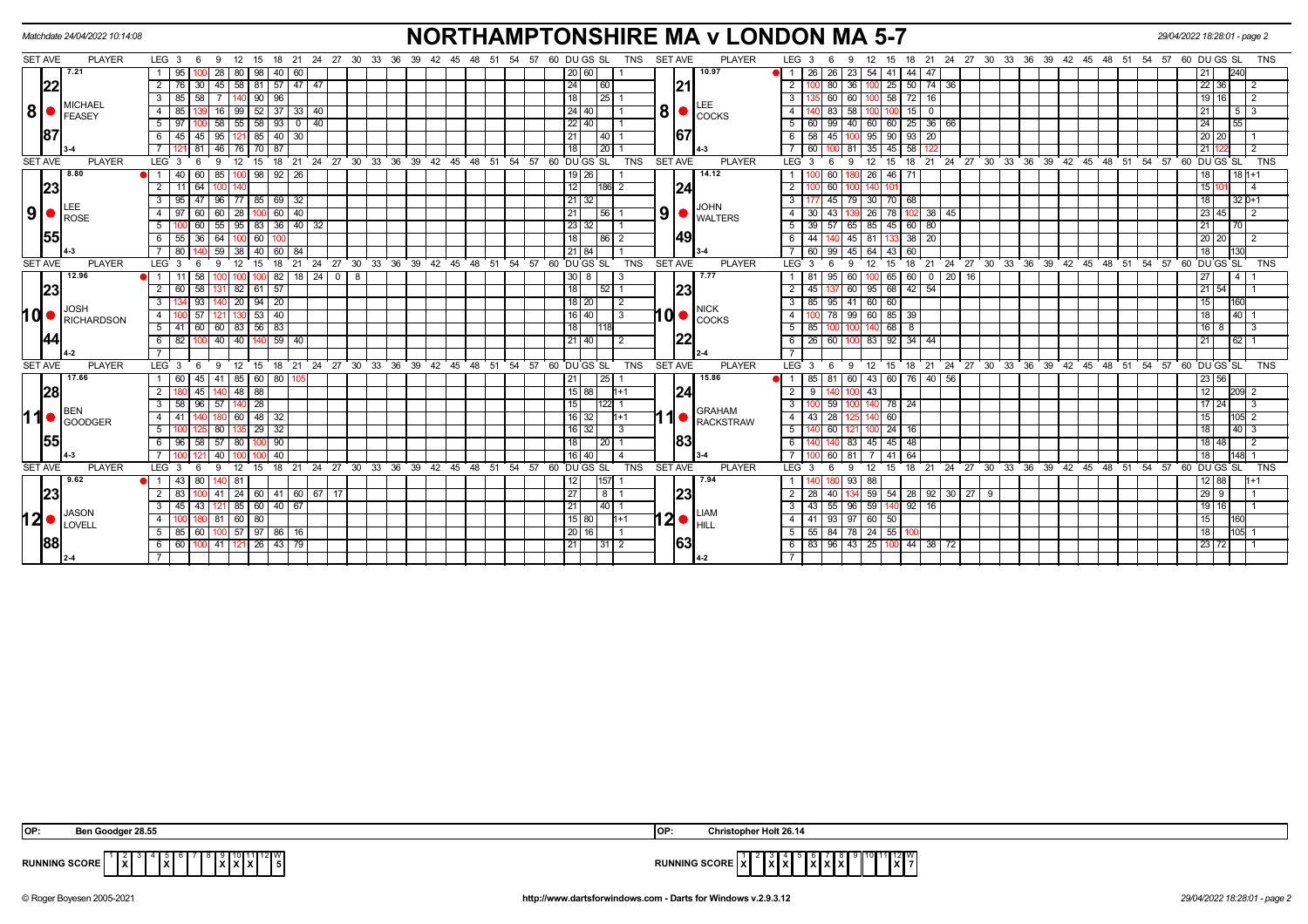|        |                                  | Matchdate 24/04/2022 10:14:08                            |                                                                |                                      |                  |                            |                                                        |                                      |                              | <b>NORTHAMPTONSHIRE MA v LONDON MA 5-7</b><br>29/04/2022 18:28:01 - page 2                                                               |
|--------|----------------------------------|----------------------------------------------------------|----------------------------------------------------------------|--------------------------------------|------------------|----------------------------|--------------------------------------------------------|--------------------------------------|------------------------------|------------------------------------------------------------------------------------------------------------------------------------------|
|        | SET AVE                          | <b>PLAYER</b>                                            | $LEG_36$<br>12<br>15<br>- 9                                    | 18 21 24 27 30 33 36                 |                  | 39  42  45  48  51         | 54 57 60 DU GS SL<br>TNS                               | <b>SET AVE</b>                       | <b>PLAYER</b>                | LEG <sub>3</sub><br>21 24 27 30 33 36 39 42 45 48 51 54<br>57 60 DU GS SL<br><b>TNS</b><br>15<br>18<br>6<br>9                            |
|        |                                  | 7.21                                                     | 95<br>28<br>80   98                                            | 40 <br>60                            |                  |                            | 201601                                                 |                                      | 10.97                        | 44   47<br>O 11<br>26   26   23<br>54 41                                                                                                 |
|        | 22                               |                                                          | 2<br>45<br>58   81                                             | 57<br>$47$   $47$                    |                  |                            | 24<br>  60                                             | 21                                   |                              | $\overline{2}$<br>25<br>$50 \mid 74$<br>22<br>36<br>36<br>2                                                                              |
|        |                                  | <b>MICHAEL</b>                                           | 90   96<br>$\mathbf{3}$<br>85                                  |                                      |                  |                            | 25<br>18 <sup>1</sup>                                  |                                      | LEE                          | $100$ 58<br>$\mathbf{3}$<br>60<br>60 I<br>19 16<br>2                                                                                     |
| 8 •    |                                  | <b>FEASEY</b>                                            | 4<br>99<br>52                                                  | 37<br>33   40                        |                  |                            | 24 40                                                  | 8 <sup>1</sup>                       | <b>I</b> COCKS               | $\overline{4}$<br>58<br>15 I<br>$\overline{0}$<br>5 1                                                                                    |
|        |                                  |                                                          | 58  <br>5 97                                                   | 55   58   93   0   40                |                  |                            | 22   40                                                |                                      |                              | $25 \mid 36 \mid 66$<br>-5 I<br>99 40 60 60<br>24<br>55<br>60 l                                                                          |
|        | 87                               |                                                          | 95<br>-85 I                                                    | 40 I<br>30 <sup>1</sup>              |                  |                            | 21<br>40                                               | 167                                  |                              | 45<br>95<br>90 <sub>1</sub><br>93   20<br>20<br>20                                                                                       |
|        |                                  |                                                          | 46                                                             | 87                                   |                  |                            | 20<br>18                                               |                                      |                              | 45<br>58<br>81<br>35<br>21                                                                                                               |
|        | <b>SET AVE</b>                   | <b>PLAYER</b>                                            | LEG <sub>3</sub><br>12<br>-9<br>15                             | 18<br>21 24 27 30 33 36 39           |                  | 42 45 48                   | 51 54 57 60 DUGS SL<br><b>TNS</b>                      | <b>SET AVE</b>                       | <b>PLAYER</b>                | 21 24 27 30 33 36 39 42 45 48 51<br>$54$ $57$ 60 DU GS SL<br><b>TNS</b><br>LEG <sub>3</sub><br>18<br>-9<br>15                            |
|        |                                  | 8.80                                                     | 85<br>$\bullet$ 1 40<br>60                                     | $98$ 92 26                           |                  |                            | 19 26                                                  |                                      | 14.12                        | 46<br>60<br>26 <sup>1</sup><br>71<br>$181+1$<br>18                                                                                       |
|        | 23                               |                                                          | $\overline{2}$<br>11<br>64<br>100                              |                                      |                  |                            | 12<br>186<br>$\sqrt{2}$                                | 24                                   |                              | $\overline{2}$<br>60<br>15                                                                                                               |
|        |                                  |                                                          | 77   85  <br>$\mathbf{3}$<br>96<br>95                          | $\overline{69}$<br>32                |                  |                            | $21 \mid 32$                                           |                                      | <b>JOHN</b>                  | 3<br>45<br>30 70<br>32 0+1<br>68                                                                                                         |
|        | $9$ $\bullet$ $\frac{LEE}{ROSE}$ |                                                          | 28 100 60 40<br>60   60  <br>4 I<br>97                         |                                      |                  |                            | 56                                                     | 9 <sub>1</sub>                       | <b>WALTERS</b>               | 26 78<br>$102$ 38 45<br>23 45<br>4 I<br>30<br>43<br>$\overline{2}$                                                                       |
|        |                                  |                                                          | 55<br>5                                                        | $95 \mid 83 \mid 36 \mid 40 \mid 32$ |                  |                            | $23$ 32                                                |                                      |                              | 5<br>85 45<br>60 80<br>39<br>65<br>70                                                                                                    |
|        | 55                               |                                                          | 55 36 64<br>100I 60 I                                          | 100                                  |                  |                            | 18<br>l 86                                             | 49                                   |                              | $38$   20<br>44<br>45 81 133<br>6<br>20 20                                                                                               |
|        |                                  |                                                          | 59<br>38 <sup>1</sup><br>40                                    | 60 l<br>84                           |                  |                            | 21 84                                                  |                                      |                              | 99<br>45<br>64<br>43<br>60                                                                                                               |
|        | <b>SET AVE</b>                   | <b>PLAYER</b>                                            | LEG <sub>3</sub><br>15                                         | 24 27<br>18<br>21                    |                  |                            | 30 33 36 39 42 45 48 51 54 57 60 DUGS SL<br><b>TNS</b> | <b>SET AVE</b>                       | <b>PLAYER</b>                | 24 27 30 33 36 39 42 45 48 51 54 57 60 DUGS SL<br>18<br>$^{\circ}$ 21<br><b>TNS</b><br>LEG <sub>3</sub><br>15                            |
|        |                                  | 12.96                                                    | $100$ 82                                                       | $18$ 24                              | 8<br>$\mathbf 0$ |                            | 30 8<br>3                                              |                                      | 7.77                         | $60$   0   20   16<br>65<br>60<br>27<br>$\overline{4}$                                                                                   |
|        | 23                               |                                                          | $82$ 61 57<br>$\overline{2}$<br>60<br>58<br>131                |                                      |                  |                            | 18<br>52                                               | 23                                   |                              | 95 68 42 54<br>$\overline{2}$<br>60 T<br>$21 \overline{54}$                                                                              |
|        |                                  | <b>JOSH</b>                                              | $20$   94   20<br>$\mathbf{3}$                                 |                                      |                  |                            | 18 20 <br>$\overline{2}$                               |                                      | <b>NICK</b>                  | 85 95 41 60 60<br>- 3 I<br>160                                                                                                           |
| I Q  ● |                                  | RICHARDSON                                               | 53   40<br>$\overline{4}$                                      |                                      |                  |                            | $16$ 40<br>3                                           |                                      | $10$ $\bullet$ $\sim$ $\sim$ | $60$ 85 39<br>$\overline{4}$<br>78<br>99<br>40<br>18                                                                                     |
|        |                                  |                                                          | $5 \mid 41$<br>60 60 83 56 83                                  |                                      |                  |                            | 18 I<br>1118                                           |                                      |                              | $5 \mid 85$<br>$140$ 68 8<br>16<br>8<br>-3<br>100   100                                                                                  |
|        | 44                               |                                                          | 40 140 59 40<br>$100$ 40<br>6<br>82                            |                                      |                  |                            | 21 40                                                  |                                      |                              | 83 92 34 44<br>6<br>26 60<br>21<br>62                                                                                                    |
|        |                                  |                                                          |                                                                |                                      |                  |                            |                                                        |                                      |                              |                                                                                                                                          |
|        | <b>SET AVE</b>                   | <b>PLAYER</b>                                            | LEG <sub>3</sub><br>- 9<br>- 6                                 | 12 15 18 21 24 27 30 33 36 39        |                  | $42 \quad 45$<br>48        | 51 54 57 60 DU GS SL<br><b>TNS</b>                     | <b>SET AVE</b>                       | <b>PLAYER</b>                | LEG <sub>3</sub><br>12 15 18 21 24 27 30 33 36 39 42 45 48 51<br>54<br>57<br>60 DU GS SL<br><b>TNS</b><br>9<br>- 6                       |
|        |                                  | 17.66                                                    | 60<br>45   41<br>85   60   80<br>$\overline{2}$<br>48 88<br>45 |                                      |                  |                            | 25<br> 15 88 <br>l1+1                                  |                                      | 15.86                        | 85 I<br>81<br>60 I<br>43 60<br>76   40   56<br>23 56<br>$\overline{2}$<br>43<br>12                                                       |
|        | 28                               |                                                          | 58 96 57<br>$140$ 28                                           |                                      |                  |                            |                                                        | 24                                   |                              | 209 2<br>$\overline{\mathbf{3}}$<br>59<br>140 78 24<br>17 <sup>1</sup><br>24<br>-3                                                       |
|        |                                  | <b>BEN</b>                                               | 3 <sup>1</sup>                                                 |                                      |                  |                            | 15 <sup>1</sup><br>122                                 |                                      | <b>GRAHAM</b>                |                                                                                                                                          |
|        |                                  | $\left  \left  \right  \right $ $\left  \right $ GOODGER | $60$ 48 32<br>4 I                                              |                                      |                  |                            | $16$ [32]<br>$h+1$                                     |                                      | <b>RACKSTRAW</b>             | 60<br>$\overline{4}$<br>$43 \mid 28$                                                                                                     |
|        | 55                               |                                                          | $29 \mid 32$<br>51<br>80                                       |                                      |                  |                            | $16$ 32<br>-3                                          | 83                                   |                              | 60<br>24<br>5<br>$40 \mid 3$                                                                                                             |
|        |                                  |                                                          | 6   96   58   57   80   100   90                               |                                      |                  |                            | 20 <br>18 <sup>1</sup>                                 |                                      |                              | 83 45 45 48<br>6<br>18 48<br>$\overline{2}$                                                                                              |
|        | <b>SET AVE</b>                   | <b>PLAYER</b>                                            | 40<br>$\overline{7}$<br>LEG <sub>3</sub><br>12<br>۰Q           | 40<br>18 21                          |                  | 24 27 30 33 36 39 42 45 48 | 16   40  <br><b>TNS</b><br>51 54 57 60 DU GS SL        | <b>SET AVE</b>                       | <b>PLAYER</b>                | $\overline{7}$<br>41<br>64<br>60<br>-81<br>18<br>LEG <sup>3</sup><br>18 21 24 27 30 33 36 39 42 45 48 51 54 57<br><b>TNS</b><br>15<br>۰Q |
|        |                                  | 9.62                                                     | 15                                                             |                                      |                  |                            | 157                                                    |                                      | 7.94                         | 60<br>DU GS SL<br>88                                                                                                                     |
|        | 23                               |                                                          | $\overline{2}$<br>83                                           | 41   24   60   41   60   67   17     |                  |                            | 27<br>8                                                | 23                                   |                              | $59$ 54 28 92 30 27 9<br>$2 \mid 28$<br>$29 \mid 9$<br>40                                                                                |
|        |                                  |                                                          | 85   60   40   67<br>3<br>45<br>43<br>121                      |                                      |                  |                            | 40 <br> 21                                             |                                      |                              | $\mathbf{3}$<br>55<br>59<br>$92 \mid 16$<br>l 16<br>43<br>96 I                                                                           |
|        | $12$ .                           | <b>JASON</b>                                             | 81   60   80<br>4                                              |                                      |                  |                            | 15 80 <br>$1 + 1$                                      | $12\bullet _\text{HILL}^\text{LIAN}$ | <b>LIAM</b>                  | 93 97 60 50<br>4 I<br>41<br>15<br>160                                                                                                    |
|        |                                  | LOVELL                                                   | 57   97   86   16<br>5 85<br>l 60 I<br>100 I                   |                                      |                  |                            | 20   16                                                |                                      |                              | 55 84 78 24 55<br>-5 I<br>18                                                                                                             |
|        | 88                               |                                                          | 6 6 60 100 41 121 26 43 79                                     |                                      |                  |                            | 31<br>  21                                             |                                      |                              | 83   96   43   25   100   44   38   72<br>23 72<br>- 6 I                                                                                 |
|        |                                  |                                                          |                                                                |                                      |                  |                            |                                                        |                                      |                              |                                                                                                                                          |
|        |                                  |                                                          |                                                                |                                      |                  |                            |                                                        |                                      |                              |                                                                                                                                          |

| OP:                  | <b>া 28.5.</b>             | * Holt 26.14<br>1OP                         |
|----------------------|----------------------------|---------------------------------------------|
| <b>RUNNING SCORE</b> | ∃lx̃∐<br>l v<br>$\sqrt{ }$ | $\mathbf{E}^{\text{12}}$<br>X<br>1 A I<br>. |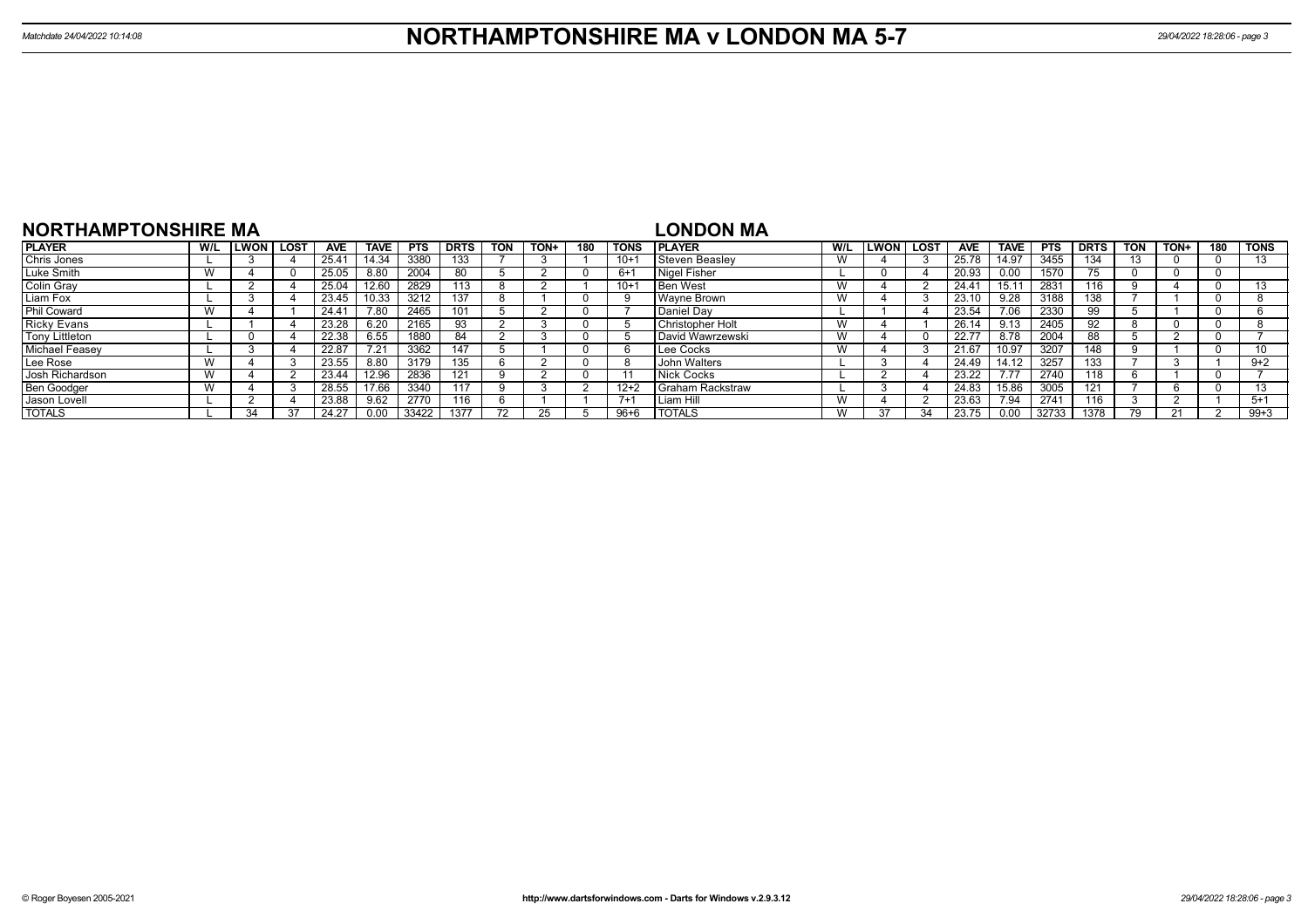| <b>NORTHAMPTONSHIRE MA</b>               |                                       |              |      |                    |             |            |             |                          |      |                    |             | <b>LONDON MA</b>          |     |             |        |            |             |            |               |            |       |     |             |
|------------------------------------------|---------------------------------------|--------------|------|--------------------|-------------|------------|-------------|--------------------------|------|--------------------|-------------|---------------------------|-----|-------------|--------|------------|-------------|------------|---------------|------------|-------|-----|-------------|
| <b>PLAYER</b>                            | W/L                                   | <b>ILWON</b> | LOST | AVE                | <b>TAVE</b> | <b>PTS</b> | <b>DRTS</b> | <b>TON</b>               | TON+ | 180                | <b>TONS</b> | I PLAYER                  | W/L | <b>LWON</b> | i LOST | <b>AVE</b> | <b>TAVE</b> | <b>PTS</b> | <b>DRTS</b>   | <b>TON</b> | TON+  | 180 | <b>TONS</b> |
| Chris Jones                              |                                       |              |      | 25.4 <sup>4</sup>  | 14.34       | 3380       | 133         |                          |      |                    | $10 +$      | Steven Beaslev            | W   |             |        | 25.78      | 14.97       | 3455       | 134           | 13         |       |     | 13          |
| Luke Smith                               |                                       |              |      | 25.05              | 8.80        | 2004       | 80          |                          |      |                    | $6+1$       | Nigel Fisher              |     |             |        | 20.93      | 0.00        | 1570       | $-$<br>$\sim$ |            |       |     |             |
| <b>Colin Gray</b>                        |                                       |              |      | 25.04              | 12.60       | 2829       | 113         |                          |      |                    | $10+$       | <b>Ben West</b>           | W   |             |        | 24.41      | 15.11       | 2831       | 116           |            |       |     | 13          |
| 3212<br>Liam Fox<br>23.45<br>137<br>0.33 |                                       |              |      |                    |             |            |             |                          |      | <b>Wayne Brown</b> | W           |                           |     | 23.10       | 9.28   | 3188       | 38ء         |            |               |            |       |     |             |
| <b>Phil Coward</b>                       |                                       |              |      | 24.41              | 7.80        | 2465       | 101         |                          |      |                    |             | <b>Daniel Dav</b>         |     |             |        | 23.54      | 7.06        | 2330       | 99            |            |       |     |             |
| <b>Ricky Evans</b>                       |                                       |              |      | $23.\overline{28}$ | 6.20        | 2165       | 93          |                          |      |                    |             | Christopher Holt          | W   |             |        | 26.14      | 9.13        | 2405       | 92            |            |       |     |             |
| Tony Littleton                           |                                       |              |      | 22.38              | 6.55        | 1880       | -84         |                          |      |                    |             | David Wawrzewski          | W   |             |        | 22.77      | 8.78        | 2004       | 88            |            |       |     |             |
| <b>Michael Feasev</b>                    |                                       |              |      | 22.87              | 7.21        | 3362       | 147         |                          |      |                    |             | Lee Cocks                 | W   |             |        | 21.67      | 10.97       | 3207       | 148           |            |       |     | 10          |
| Lee Rose                                 |                                       |              |      | 23.55              | 8.80        | 3179       | 135         |                          |      |                    | <b>8</b>    | John Walters              |     |             |        | 24.49      | 14.12       | 3257       | 133           |            |       |     | $9+2$       |
| Josh Richardson                          |                                       |              |      | 23.44              | 12.96       | 2836       | 121         |                          |      |                    |             | Nick Cocks                |     |             |        | 23.22      | 7.77        | 2740       | 118           |            |       |     |             |
| Ben Goodger                              |                                       |              |      | 28.55              | 17.66       | 3340       | 117         |                          |      |                    | $12+2$      | <b>I</b> Graham Rackstraw |     |             |        | 24.83      | 15.86       | 3005       |               |            |       |     | 13          |
| Jason Lovell                             | 2770<br>23.88<br>9.62<br>116<br>$7+1$ |              |      |                    |             |            |             |                          |      | Liam Hill          | W           |                           |     | 23.63       | 7.94   | 2741       | 116         |            |               |            | $5+1$ |     |             |
| <b>TOTALS</b>                            |                                       | 34           |      | 24.27              | 0.00        | 33422      | 1377        | $\overline{\phantom{a}}$ |      |                    | $96 + 6$    | <b>I TOTALS</b>           | W   |             |        | 23.75      | 0.00        | 32733      | 1378          |            |       |     | $99+3$      |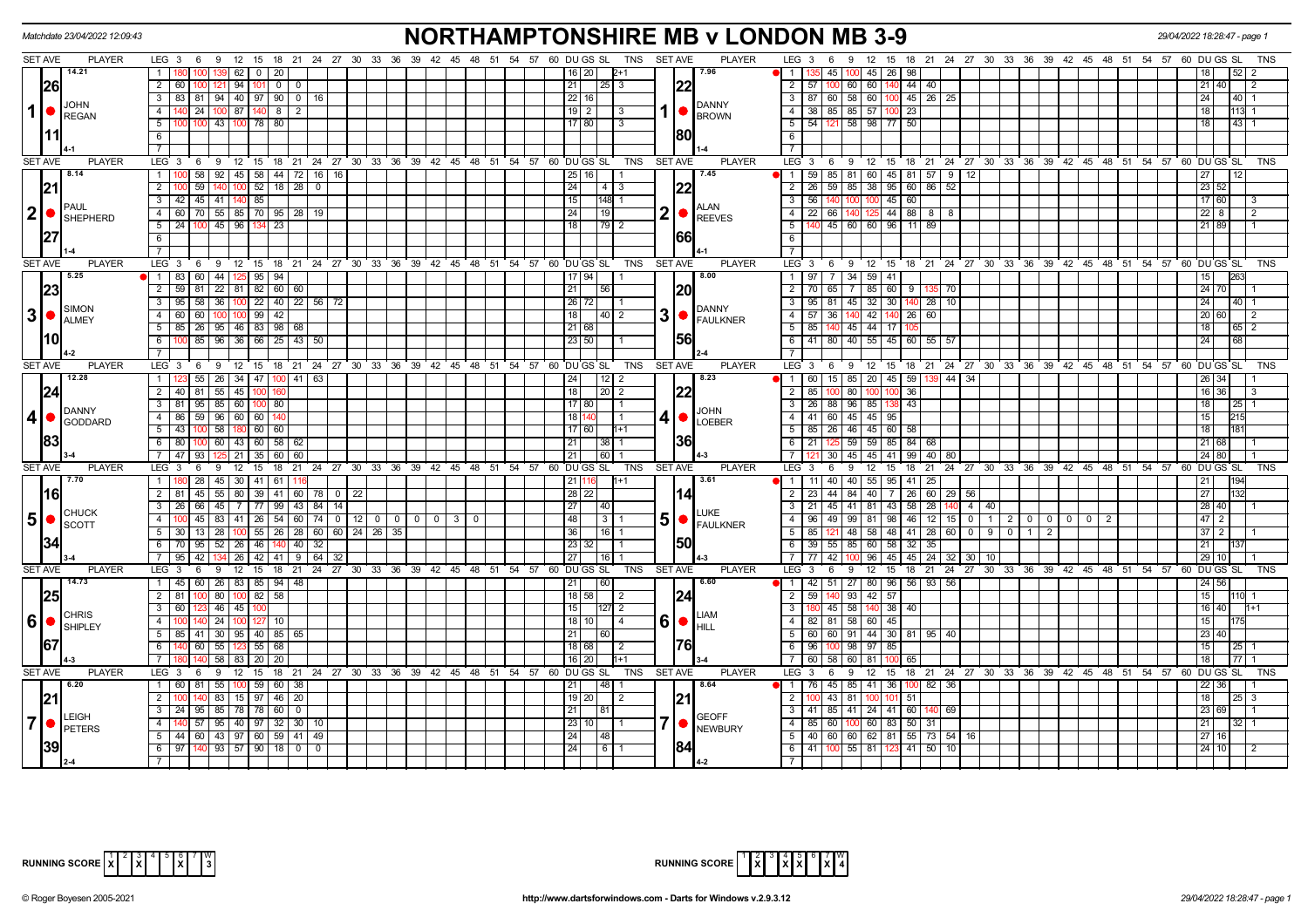| <b>SET AVE</b><br>54 57 60 DU GS SL TNS SET AVE<br><b>PLAYER</b><br><b>PLAYER</b><br>LEG 3 6 9 12 15 18 21 24 27 30 33 36 39 42 45<br>51<br>$LEG_3 6$<br>18  21  24  27  30  33  36  39  42  45  48  51  54  57  60  DU GS  SL<br>48<br>- 9<br>12 15<br>  14.21<br>45 26 98<br>$1 \mid$<br>  62  <br>$\overline{0}$<br>20<br>16   20  <br>17.96<br>l 1<br>45   100<br>$2+1$<br>$2 \mid 60$<br>60 140 44 40<br> 26 <br>$1194$ 101<br>$0$ 0<br>$25 \mid 3$<br> 22<br>$\overline{2}$<br>57   100   60<br>$21 \overline{40}$<br>$21 \mid$<br>$3   83   81   94   40   97   90   0   16$<br>$\overline{\mathbf{3}}$<br>87 60 58 60 100 45 26 25<br>24<br>22 16<br>$40 \mid 1$<br><b>JOHN</b><br><b>DANNY</b><br>$\mathbf 1$<br>140 24 100 87 140 8 2<br>$\frac{19}{2}$<br>$38 \mid 85 \mid 85 \mid 57 \mid 100 \mid 23$<br>$\overline{18}$<br>4<br>$-4$<br>$113 - 1$<br>3<br>REGAN<br><b>BROWN</b><br>100 100 43 100 78 80<br>$\overline{5}$<br>54 121 58 98 77 50<br>$43 \mid 1$<br>5 <sub>1</sub><br>17 80<br>$\sqrt{3}$<br>18<br>1801<br>6<br>6<br>l 1 1<br>$\overline{7}$<br>$\overline{7}$<br><b>SET AVE</b><br><b>PLAYER</b><br>LEG 3 6 9 12 15 18 21 24 27 30 33 36 39 42 45 48 51 54 57 60 DUGS SL TNS<br><b>SET AVE</b><br><b>PLAYER</b><br>LEG 3 6 9<br>12 15 18 21 24 27 30 33 36 39 42 45 48 51 54 57 60 DUGS SL<br>TNS<br>8.14<br>1   100   58   92   45   58   44   72   16   16  <br>7.45<br>59 85 81 60 45 81 57 9 12<br>$\overline{1}$<br>27<br>25 16 <br>12<br>23 52<br> 21<br>$\overline{2}$<br>59<br>140 100 52<br>$18$   28  <br>24<br>$\overline{2}$<br>$26$ 59 85<br>38 95 60<br>86 52<br>$\overline{0}$<br>$4 \mid 3$<br>45<br>60<br>17 60<br>3 42 45 41 140 85<br>15<br>148 1<br>$\overline{\mathbf{3}}$<br>56<br>PAUL<br>ALAN<br> 2 ●<br>2<br>4 60 70 55 85 70 95 28 19<br>$\overline{22}$ 66 140<br>125 44 88<br>$22 \quad 8$<br>24<br>19 <sup>1</sup><br>$\overline{4}$<br>818<br><b>REEVES</b><br><b>SHEPHERD</b><br>$5 \mid 24 \mid 100 \mid 45 \mid 96 \mid$<br>$5\overline{)}$<br>140 45 60 60 96 11<br>-23<br>18 I<br>  79   2<br>89<br>21 89<br>1661<br>6<br>6<br>$\overline{7}$<br><b>SET AVE</b><br><b>PLAYER</b><br>LEG <sup>3</sup><br>$9 \quad 12$<br>15<br>$18 \quad 21$<br>24 27 30 33 36 39<br>42 45 48 51<br>54 57<br>60 DU GS SL<br><b>TNS</b><br><b>SET AVE</b><br><b>PLAYER</b><br>LEG <sup>3</sup><br>9<br>$12 \quad 15$<br>18 21 24 27 30 33 36 39 42 45 48 51 54 57 60 DUGS SL<br><b>TNS</b><br>6<br>6<br>5.25<br>44   125   95  <br>94<br>8.00<br>$97$   7   34   59   41<br>1 83 60<br>$17$ 94<br>$\overline{1}$<br>15<br>2 59 81 22 81 82 60 60<br>$\overline{2}$<br>85 60 9 135 70<br>24 70<br> 23 <br>21<br>I20I<br>56<br>70 I<br>65<br>l 7 I<br>$3   95   58   36   100   22   40   22   56   72$<br>26 72 <br>$95 \ 81 \ 45 \ 32 \ 30 \ 140 \ 28 \ 10$<br>$\overline{\mathbf{3}}$<br>24<br>40   1<br><b>SIMON</b><br><b>DANNY</b><br>3 <sup>o</sup><br>3<br>$4 \overline{60}$<br>60<br>$100$ $100$ 99 42<br>18<br>$\overline{4}$<br>$57$ 36<br>42 140 26<br>60<br>20 60<br>40   2<br>FAULKNER<br><b>ALMEY</b><br>$5 \mid 85 \mid 26 \mid 95 \mid 46 \mid 83 \mid 98 \mid 68$<br>21 68<br>$5\overline{)}$<br>85 140 45 44 17<br>18<br>65 2<br>1561<br>l10<br>$100$ 85   96   36   66   25   43   50<br>23 50 <br>41 80 40 55 45 60<br>$55 \mid 57$<br>$6 \mid$<br>6<br>24<br>68<br>$\overline{7}$<br>$7^{\circ}$<br><b>SET AVE</b><br><b>PLAYER</b><br><b>PLAYER</b><br>LEG <sub>3</sub><br>9 12 15 18 21 24 27 30 33 36 39 42 45 48 51<br>54 57<br>60 DU GS SL<br>TNS<br><b>SET AVE</b><br>LEG 3<br>12 15 18 21 24 27 30 33 36 39 42 45 48 51 54 57 60 DUGS SL<br>6<br><sup>9</sup><br><b>TNS</b><br>6<br>12.28<br>55<br>26 34 47<br>8.23<br>$15 \mid 85$<br>20 45 59<br>11123<br>100   41   63<br>24<br>12 <sub>1</sub><br>11<br>60 I<br>44   34<br>$\overline{2}$<br>26 34<br>2 40 81 55 45 100<br> 22<br>$\overline{2}$<br>85   100   80   100   100   36<br>16 36<br> 24 <br>18 <sup>1</sup><br>20   2<br>$3$ 81 95 85 60<br>26 88 96<br>85 138 43<br>$100$ 80<br>17 80<br>$\overline{\mathbf{3}}$<br>18<br><b>DANNY</b><br><b>JOHN</b><br>$\vert$ 4<br>4 86 59 96 60 60 140<br>4 •<br>$\overline{4}$<br>41 60 45 45 95<br>15<br>18 140<br>GODDARD<br><b>LOEBER</b><br>$5$ 43 100 58 180 60 60<br>17 60<br>$1+1$<br>5<br>85   26   46   45   60   58<br>18<br> 83 <br>1361<br>6 80<br>6<br>  21   125   59   59   85   84   68  <br>$100 \mid 60 \mid 43 \mid 60 \mid 58 \mid 62$<br>$21$ 68<br>$21 \mid$<br>  38   1<br>7 47 93<br>$5$   21   35  <br>$\overline{7}$<br>30   45<br>45 41 99<br>40 80<br>24 80<br>60 60<br>21<br>60<br>SET AVE<br><b>PLAYER</b><br><b>PLAYER</b><br>LEG <sub>3</sub><br>12<br>21 24 27 30 33 36 39 42 45 48 51<br>54 57<br>60 DU GS SL<br><b>TNS</b><br><b>SET AVE</b><br>LEG 3<br>$12 \quad 15$<br>21 24 27 30 33 36 39 42 45 48 51 54 57 60 DUGS SL<br>- 6<br>9<br>15<br>18<br>6<br>-9<br>18<br><b>TNS</b><br>7.70<br>1   180   28   45   30   41   61  <br>11 40 40 55 95 41 25<br>3.61<br>$-1$<br>21<br>21 116<br>$1 + 1$<br>40 7 26 60 29 56<br>27<br>$2 \mid 81 \mid$<br>45 55 80 39 41 60 78<br>$28$ $22$<br>$\overline{2}$<br>$23 \mid 44 \mid 84$<br>116 I<br>$0 \mid 22$<br>14<br>21 45 41 81 43 58 28 140 4 40<br>28 40<br>3   26   66   45   7   77   99   43   84  <br>27<br>$\overline{\cdot \cdot \cdot}$<br>$\overline{14}$<br>  40  <br><b>CHUCK</b><br><b>LUKE</b><br>5 <sub>5</sub><br>$5 \, \bullet \, \varepsilon$ FAULKNER<br>4   100   45   83   41   26   54   60   74   0   12   0   0   0   0   0   3   0<br>$48$     3   1<br>  96   49   99   81   98   46   12   15   0   1   2   0   0   0   0   0   2  <br>47 <sup>2</sup><br>$\overline{4}$<br><b>SCOTT</b><br>85 121 48 58 48 41 28 60 0 1 9 0<br>5   30   13   28   100   55   26   28   60   60   24   26   35  <br>36<br>$-5$<br>$37 \mid 2$<br>  16   1<br>$\overline{1}$<br>2<br>150<br>6 70 95 52 26 46 140 40 32<br>6<br>39 55 85 60 58 32<br>23 32<br>35<br>21<br>42<br>134 26 42 41 9 64 32<br>96 45 45 24 32 30 10<br>29 10<br>7   95  <br>27<br>$16$   1<br>$\overline{7}$<br>77   42   100<br>60 DU GS SL<br><b>PLAYER</b><br>18 21 24 27 30 33 36 39 42 45 48 51 54 57 60 DUGS SL<br><b>SET AVE</b><br><b>PLAYER</b><br>LEG <sub>3</sub><br>6<br>$9 \t12$<br>15<br>18 21 24 27 30 33 36 39 42 45 48 51 54 57<br>TNS<br><b>SET AVE</b><br>LEG <sup>3</sup><br>6<br>9<br>$12 \quad 15$<br><b>TNS</b><br>14.73<br>26 83 85 94 48<br>6.60<br>42   51   27   80   96   56   93   56<br>24 56<br>1 45 60<br>21<br>60<br>$\sqrt{1}$<br><b>25</b><br>$2 \mid 81$<br>80   100   82<br>124<br>$\sqrt{93}$<br>$42 \mid 57$<br>15<br>58<br>$18$ 58<br>$\overline{2}$<br>59<br>l 2<br>110<br>$3 \mid 60$<br>46 45<br>$\overline{3}$<br>180 45 58 140 38 40<br>16 40<br>15 <sup>1</sup><br>127 2<br><b>CHRIS</b><br><b>LIAM</b><br>$ 6 $ $ $ $\frac{C_{\text{HINLO}}}{S_{\text{HIPLEY}}}$<br>6<br>4<br>24 100<br>$18$ 10<br>$\overline{4}$<br>58<br>60 45<br>15<br>$\overline{4}$<br>82   81<br>$\bullet$<br>HILL<br>$30 \mid 95 \mid 40 \mid 85 \mid 65$<br>5<br>44 30 81 95 40<br>23 40<br>$5 \mid 85$<br>41<br>21<br>60<br>60 91<br>60<br>1761<br>167<br>60<br>55 123<br>55<br>18 68<br>6<br>68<br>6<br>96 l<br>98<br>97<br>85<br>15<br>$\sqrt{2}$<br>1001<br>25 I<br>18<br><b>7</b> I<br>58<br>20<br>16 20<br>l1+1<br>$\overline{7}$<br>58<br>60<br>83<br>65<br>SET AVE<br><b>PLAYER</b><br>TNS SET AVE<br><b>PLAYER</b><br>LEG <sub>3</sub><br>9 12 15 18 21 24 27 30 33 36 39 42 45 48 51 54 57 60 DUGS SL<br>LEG 3<br>12 15 18 21 24 27 30 33 36 39 42 45 48 51 54 57 60 DUGS SL<br>6<br>6<br>9<br><b>TNS</b><br>6.20<br>55   100   59<br>76 45 85<br>41 36<br>1 60<br>60 38<br>21<br>48<br>8.64<br>11<br>82 36<br>22   36<br>2<br> 21<br>83   15   97   46   20<br>$\overline{2}$<br>43 81<br>51<br>18<br>$19$   20<br>$\overline{2}$<br>121<br>100 101<br>25   3<br>$95 \mid 85 \mid 78 \mid 78 \mid$<br>$\overline{\mathbf{3}}$<br>24 41 60<br>23 69<br>3   24  <br>60   0<br>21 I<br>41   85   41<br>140 69<br>LEIGH<br><b>GEOFF</b><br>$\overline{7}$<br>7<br>57   95   40   97   32   30   10<br>60 83 50<br>4<br>23 10 <br>$\overline{4}$<br>85 60<br>21<br>100<br>31<br>32 I<br>PETERS<br><b>NEWBURY</b><br>$5 \mid 44 \mid 60 \mid 43 \mid 97 \mid 60 \mid 59 \mid 41 \mid 49$<br>$\overline{5}$<br>40 60 60 62 81 55 73 54 16<br>$27$   16<br>24<br>  48<br>$6$   97   140   93   57   90   18   0   0<br>$6$   41   100   55   81   123   41   50   10<br>$24$ 6 1<br>24 10<br>$\overline{7}$ | Matchdate 23/04/2022 12:09:43 | <b>NORTHAMPTONSHIRE MB v LONDON MB 3-9</b> |  | 29/04/2022 18:28:47 - page 1 |
|----------------------------------------------------------------------------------------------------------------------------------------------------------------------------------------------------------------------------------------------------------------------------------------------------------------------------------------------------------------------------------------------------------------------------------------------------------------------------------------------------------------------------------------------------------------------------------------------------------------------------------------------------------------------------------------------------------------------------------------------------------------------------------------------------------------------------------------------------------------------------------------------------------------------------------------------------------------------------------------------------------------------------------------------------------------------------------------------------------------------------------------------------------------------------------------------------------------------------------------------------------------------------------------------------------------------------------------------------------------------------------------------------------------------------------------------------------------------------------------------------------------------------------------------------------------------------------------------------------------------------------------------------------------------------------------------------------------------------------------------------------------------------------------------------------------------------------------------------------------------------------------------------------------------------------------------------------------------------------------------------------------------------------------------------------------------------------------------------------------------------------------------------------------------------------------------------------------------------------------------------------------------------------------------------------------------------------------------------------------------------------------------------------------------------------------------------------------------------------------------------------------------------------------------------------------------------------------------------------------------------------------------------------------------------------------------------------------------------------------------------------------------------------------------------------------------------------------------------------------------------------------------------------------------------------------------------------------------------------------------------------------------------------------------------------------------------------------------------------------------------------------------------------------------------------------------------------------------------------------------------------------------------------------------------------------------------------------------------------------------------------------------------------------------------------------------------------------------------------------------------------------------------------------------------------------------------------------------------------------------------------------------------------------------------------------------------------------------------------------------------------------------------------------------------------------------------------------------------------------------------------------------------------------------------------------------------------------------------------------------------------------------------------------------------------------------------------------------------------------------------------------------------------------------------------------------------------------------------------------------------------------------------------------------------------------------------------------------------------------------------------------------------------------------------------------------------------------------------------------------------------------------------------------------------------------------------------------------------------------------------------------------------------------------------------------------------------------------------------------------------------------------------------------------------------------------------------------------------------------------------------------------------------------------------------------------------------------------------------------------------------------------------------------------------------------------------------------------------------------------------------------------------------------------------------------------------------------------------------------------------------------------------------------------------------------------------------------------------------------------------------------------------------------------------------------------------------------------------------------------------------------------------------------------------------------------------------------------------------------------------------------------------------------------------------------------------------------------------------------------------------------------------------------------------------------------------------------------------------------------------------------------------------------------------------------------------------------------------------------------------------------------------------------------------------------------------------------------------------------------------------------------------------------------------------------------------------------------------------------------------------------------------------------------------------------------------------------------------------------------------------------------------------------------------------------------------------------------------------------------------------------------------------------------------------------------------------------------------------------------------------------------------------------------------------------------------------------------------------------------------------------------------------------------------------------------------------------------------------------------------------------------------------------------------------------------------------------------------------------------------------------------------------------------------------------------------------------------------------------------------------------------------------------------------------------------------------------------------------------------------------------------------------------------------------------------------------------------------------------------------------------------------------------------------------------------------------------------------------------------------------------------------------------------------------------------------------------------------------------------------------------------------------------------------------------------------------------------------------------------------------------------------------------------------------------------------------------------------------------------------------------------------------------------------------------------------------------------------------------------------------------------------------------------------------------------------------------------------------------------------------------------------------------------------------------------------------------------------------------------------------------------------------------------------------------------------------------------------------------------------------------------------------------------------------------------------------------------------------------|-------------------------------|--------------------------------------------|--|------------------------------|
|                                                                                                                                                                                                                                                                                                                                                                                                                                                                                                                                                                                                                                                                                                                                                                                                                                                                                                                                                                                                                                                                                                                                                                                                                                                                                                                                                                                                                                                                                                                                                                                                                                                                                                                                                                                                                                                                                                                                                                                                                                                                                                                                                                                                                                                                                                                                                                                                                                                                                                                                                                                                                                                                                                                                                                                                                                                                                                                                                                                                                                                                                                                                                                                                                                                                                                                                                                                                                                                                                                                                                                                                                                                                                                                                                                                                                                                                                                                                                                                                                                                                                                                                                                                                                                                                                                                                                                                                                                                                                                                                                                                                                                                                                                                                                                                                                                                                                                                                                                                                                                                                                                                                                                                                                                                                                                                                                                                                                                                                                                                                                                                                                                                                                                                                                                                                                                                                                                                                                                                                                                                                                                                                                                                                                                                                                                                                                                                                                                                                                                                                                                                                                                                                                                                                                                                                                                                                                                                                                                                                                                                                                                                                                                                                                                                                                                                                                                                                                                                                                                                                                                                                                                                                                                                                                                                                                                                                                                                                                                                                                                                                                                                                                                                                                                                                                                                                                                                                                                                                                        |                               |                                            |  |                              |
|                                                                                                                                                                                                                                                                                                                                                                                                                                                                                                                                                                                                                                                                                                                                                                                                                                                                                                                                                                                                                                                                                                                                                                                                                                                                                                                                                                                                                                                                                                                                                                                                                                                                                                                                                                                                                                                                                                                                                                                                                                                                                                                                                                                                                                                                                                                                                                                                                                                                                                                                                                                                                                                                                                                                                                                                                                                                                                                                                                                                                                                                                                                                                                                                                                                                                                                                                                                                                                                                                                                                                                                                                                                                                                                                                                                                                                                                                                                                                                                                                                                                                                                                                                                                                                                                                                                                                                                                                                                                                                                                                                                                                                                                                                                                                                                                                                                                                                                                                                                                                                                                                                                                                                                                                                                                                                                                                                                                                                                                                                                                                                                                                                                                                                                                                                                                                                                                                                                                                                                                                                                                                                                                                                                                                                                                                                                                                                                                                                                                                                                                                                                                                                                                                                                                                                                                                                                                                                                                                                                                                                                                                                                                                                                                                                                                                                                                                                                                                                                                                                                                                                                                                                                                                                                                                                                                                                                                                                                                                                                                                                                                                                                                                                                                                                                                                                                                                                                                                                                                                        |                               |                                            |  |                              |
|                                                                                                                                                                                                                                                                                                                                                                                                                                                                                                                                                                                                                                                                                                                                                                                                                                                                                                                                                                                                                                                                                                                                                                                                                                                                                                                                                                                                                                                                                                                                                                                                                                                                                                                                                                                                                                                                                                                                                                                                                                                                                                                                                                                                                                                                                                                                                                                                                                                                                                                                                                                                                                                                                                                                                                                                                                                                                                                                                                                                                                                                                                                                                                                                                                                                                                                                                                                                                                                                                                                                                                                                                                                                                                                                                                                                                                                                                                                                                                                                                                                                                                                                                                                                                                                                                                                                                                                                                                                                                                                                                                                                                                                                                                                                                                                                                                                                                                                                                                                                                                                                                                                                                                                                                                                                                                                                                                                                                                                                                                                                                                                                                                                                                                                                                                                                                                                                                                                                                                                                                                                                                                                                                                                                                                                                                                                                                                                                                                                                                                                                                                                                                                                                                                                                                                                                                                                                                                                                                                                                                                                                                                                                                                                                                                                                                                                                                                                                                                                                                                                                                                                                                                                                                                                                                                                                                                                                                                                                                                                                                                                                                                                                                                                                                                                                                                                                                                                                                                                                                        |                               |                                            |  |                              |
|                                                                                                                                                                                                                                                                                                                                                                                                                                                                                                                                                                                                                                                                                                                                                                                                                                                                                                                                                                                                                                                                                                                                                                                                                                                                                                                                                                                                                                                                                                                                                                                                                                                                                                                                                                                                                                                                                                                                                                                                                                                                                                                                                                                                                                                                                                                                                                                                                                                                                                                                                                                                                                                                                                                                                                                                                                                                                                                                                                                                                                                                                                                                                                                                                                                                                                                                                                                                                                                                                                                                                                                                                                                                                                                                                                                                                                                                                                                                                                                                                                                                                                                                                                                                                                                                                                                                                                                                                                                                                                                                                                                                                                                                                                                                                                                                                                                                                                                                                                                                                                                                                                                                                                                                                                                                                                                                                                                                                                                                                                                                                                                                                                                                                                                                                                                                                                                                                                                                                                                                                                                                                                                                                                                                                                                                                                                                                                                                                                                                                                                                                                                                                                                                                                                                                                                                                                                                                                                                                                                                                                                                                                                                                                                                                                                                                                                                                                                                                                                                                                                                                                                                                                                                                                                                                                                                                                                                                                                                                                                                                                                                                                                                                                                                                                                                                                                                                                                                                                                                                        |                               |                                            |  |                              |
|                                                                                                                                                                                                                                                                                                                                                                                                                                                                                                                                                                                                                                                                                                                                                                                                                                                                                                                                                                                                                                                                                                                                                                                                                                                                                                                                                                                                                                                                                                                                                                                                                                                                                                                                                                                                                                                                                                                                                                                                                                                                                                                                                                                                                                                                                                                                                                                                                                                                                                                                                                                                                                                                                                                                                                                                                                                                                                                                                                                                                                                                                                                                                                                                                                                                                                                                                                                                                                                                                                                                                                                                                                                                                                                                                                                                                                                                                                                                                                                                                                                                                                                                                                                                                                                                                                                                                                                                                                                                                                                                                                                                                                                                                                                                                                                                                                                                                                                                                                                                                                                                                                                                                                                                                                                                                                                                                                                                                                                                                                                                                                                                                                                                                                                                                                                                                                                                                                                                                                                                                                                                                                                                                                                                                                                                                                                                                                                                                                                                                                                                                                                                                                                                                                                                                                                                                                                                                                                                                                                                                                                                                                                                                                                                                                                                                                                                                                                                                                                                                                                                                                                                                                                                                                                                                                                                                                                                                                                                                                                                                                                                                                                                                                                                                                                                                                                                                                                                                                                                                        |                               |                                            |  |                              |
|                                                                                                                                                                                                                                                                                                                                                                                                                                                                                                                                                                                                                                                                                                                                                                                                                                                                                                                                                                                                                                                                                                                                                                                                                                                                                                                                                                                                                                                                                                                                                                                                                                                                                                                                                                                                                                                                                                                                                                                                                                                                                                                                                                                                                                                                                                                                                                                                                                                                                                                                                                                                                                                                                                                                                                                                                                                                                                                                                                                                                                                                                                                                                                                                                                                                                                                                                                                                                                                                                                                                                                                                                                                                                                                                                                                                                                                                                                                                                                                                                                                                                                                                                                                                                                                                                                                                                                                                                                                                                                                                                                                                                                                                                                                                                                                                                                                                                                                                                                                                                                                                                                                                                                                                                                                                                                                                                                                                                                                                                                                                                                                                                                                                                                                                                                                                                                                                                                                                                                                                                                                                                                                                                                                                                                                                                                                                                                                                                                                                                                                                                                                                                                                                                                                                                                                                                                                                                                                                                                                                                                                                                                                                                                                                                                                                                                                                                                                                                                                                                                                                                                                                                                                                                                                                                                                                                                                                                                                                                                                                                                                                                                                                                                                                                                                                                                                                                                                                                                                                                        |                               |                                            |  |                              |
|                                                                                                                                                                                                                                                                                                                                                                                                                                                                                                                                                                                                                                                                                                                                                                                                                                                                                                                                                                                                                                                                                                                                                                                                                                                                                                                                                                                                                                                                                                                                                                                                                                                                                                                                                                                                                                                                                                                                                                                                                                                                                                                                                                                                                                                                                                                                                                                                                                                                                                                                                                                                                                                                                                                                                                                                                                                                                                                                                                                                                                                                                                                                                                                                                                                                                                                                                                                                                                                                                                                                                                                                                                                                                                                                                                                                                                                                                                                                                                                                                                                                                                                                                                                                                                                                                                                                                                                                                                                                                                                                                                                                                                                                                                                                                                                                                                                                                                                                                                                                                                                                                                                                                                                                                                                                                                                                                                                                                                                                                                                                                                                                                                                                                                                                                                                                                                                                                                                                                                                                                                                                                                                                                                                                                                                                                                                                                                                                                                                                                                                                                                                                                                                                                                                                                                                                                                                                                                                                                                                                                                                                                                                                                                                                                                                                                                                                                                                                                                                                                                                                                                                                                                                                                                                                                                                                                                                                                                                                                                                                                                                                                                                                                                                                                                                                                                                                                                                                                                                                                        |                               |                                            |  |                              |
|                                                                                                                                                                                                                                                                                                                                                                                                                                                                                                                                                                                                                                                                                                                                                                                                                                                                                                                                                                                                                                                                                                                                                                                                                                                                                                                                                                                                                                                                                                                                                                                                                                                                                                                                                                                                                                                                                                                                                                                                                                                                                                                                                                                                                                                                                                                                                                                                                                                                                                                                                                                                                                                                                                                                                                                                                                                                                                                                                                                                                                                                                                                                                                                                                                                                                                                                                                                                                                                                                                                                                                                                                                                                                                                                                                                                                                                                                                                                                                                                                                                                                                                                                                                                                                                                                                                                                                                                                                                                                                                                                                                                                                                                                                                                                                                                                                                                                                                                                                                                                                                                                                                                                                                                                                                                                                                                                                                                                                                                                                                                                                                                                                                                                                                                                                                                                                                                                                                                                                                                                                                                                                                                                                                                                                                                                                                                                                                                                                                                                                                                                                                                                                                                                                                                                                                                                                                                                                                                                                                                                                                                                                                                                                                                                                                                                                                                                                                                                                                                                                                                                                                                                                                                                                                                                                                                                                                                                                                                                                                                                                                                                                                                                                                                                                                                                                                                                                                                                                                                                        |                               |                                            |  |                              |
|                                                                                                                                                                                                                                                                                                                                                                                                                                                                                                                                                                                                                                                                                                                                                                                                                                                                                                                                                                                                                                                                                                                                                                                                                                                                                                                                                                                                                                                                                                                                                                                                                                                                                                                                                                                                                                                                                                                                                                                                                                                                                                                                                                                                                                                                                                                                                                                                                                                                                                                                                                                                                                                                                                                                                                                                                                                                                                                                                                                                                                                                                                                                                                                                                                                                                                                                                                                                                                                                                                                                                                                                                                                                                                                                                                                                                                                                                                                                                                                                                                                                                                                                                                                                                                                                                                                                                                                                                                                                                                                                                                                                                                                                                                                                                                                                                                                                                                                                                                                                                                                                                                                                                                                                                                                                                                                                                                                                                                                                                                                                                                                                                                                                                                                                                                                                                                                                                                                                                                                                                                                                                                                                                                                                                                                                                                                                                                                                                                                                                                                                                                                                                                                                                                                                                                                                                                                                                                                                                                                                                                                                                                                                                                                                                                                                                                                                                                                                                                                                                                                                                                                                                                                                                                                                                                                                                                                                                                                                                                                                                                                                                                                                                                                                                                                                                                                                                                                                                                                                                        |                               |                                            |  |                              |
|                                                                                                                                                                                                                                                                                                                                                                                                                                                                                                                                                                                                                                                                                                                                                                                                                                                                                                                                                                                                                                                                                                                                                                                                                                                                                                                                                                                                                                                                                                                                                                                                                                                                                                                                                                                                                                                                                                                                                                                                                                                                                                                                                                                                                                                                                                                                                                                                                                                                                                                                                                                                                                                                                                                                                                                                                                                                                                                                                                                                                                                                                                                                                                                                                                                                                                                                                                                                                                                                                                                                                                                                                                                                                                                                                                                                                                                                                                                                                                                                                                                                                                                                                                                                                                                                                                                                                                                                                                                                                                                                                                                                                                                                                                                                                                                                                                                                                                                                                                                                                                                                                                                                                                                                                                                                                                                                                                                                                                                                                                                                                                                                                                                                                                                                                                                                                                                                                                                                                                                                                                                                                                                                                                                                                                                                                                                                                                                                                                                                                                                                                                                                                                                                                                                                                                                                                                                                                                                                                                                                                                                                                                                                                                                                                                                                                                                                                                                                                                                                                                                                                                                                                                                                                                                                                                                                                                                                                                                                                                                                                                                                                                                                                                                                                                                                                                                                                                                                                                                                                        |                               |                                            |  |                              |
|                                                                                                                                                                                                                                                                                                                                                                                                                                                                                                                                                                                                                                                                                                                                                                                                                                                                                                                                                                                                                                                                                                                                                                                                                                                                                                                                                                                                                                                                                                                                                                                                                                                                                                                                                                                                                                                                                                                                                                                                                                                                                                                                                                                                                                                                                                                                                                                                                                                                                                                                                                                                                                                                                                                                                                                                                                                                                                                                                                                                                                                                                                                                                                                                                                                                                                                                                                                                                                                                                                                                                                                                                                                                                                                                                                                                                                                                                                                                                                                                                                                                                                                                                                                                                                                                                                                                                                                                                                                                                                                                                                                                                                                                                                                                                                                                                                                                                                                                                                                                                                                                                                                                                                                                                                                                                                                                                                                                                                                                                                                                                                                                                                                                                                                                                                                                                                                                                                                                                                                                                                                                                                                                                                                                                                                                                                                                                                                                                                                                                                                                                                                                                                                                                                                                                                                                                                                                                                                                                                                                                                                                                                                                                                                                                                                                                                                                                                                                                                                                                                                                                                                                                                                                                                                                                                                                                                                                                                                                                                                                                                                                                                                                                                                                                                                                                                                                                                                                                                                                                        |                               |                                            |  |                              |
|                                                                                                                                                                                                                                                                                                                                                                                                                                                                                                                                                                                                                                                                                                                                                                                                                                                                                                                                                                                                                                                                                                                                                                                                                                                                                                                                                                                                                                                                                                                                                                                                                                                                                                                                                                                                                                                                                                                                                                                                                                                                                                                                                                                                                                                                                                                                                                                                                                                                                                                                                                                                                                                                                                                                                                                                                                                                                                                                                                                                                                                                                                                                                                                                                                                                                                                                                                                                                                                                                                                                                                                                                                                                                                                                                                                                                                                                                                                                                                                                                                                                                                                                                                                                                                                                                                                                                                                                                                                                                                                                                                                                                                                                                                                                                                                                                                                                                                                                                                                                                                                                                                                                                                                                                                                                                                                                                                                                                                                                                                                                                                                                                                                                                                                                                                                                                                                                                                                                                                                                                                                                                                                                                                                                                                                                                                                                                                                                                                                                                                                                                                                                                                                                                                                                                                                                                                                                                                                                                                                                                                                                                                                                                                                                                                                                                                                                                                                                                                                                                                                                                                                                                                                                                                                                                                                                                                                                                                                                                                                                                                                                                                                                                                                                                                                                                                                                                                                                                                                                                        |                               |                                            |  |                              |
|                                                                                                                                                                                                                                                                                                                                                                                                                                                                                                                                                                                                                                                                                                                                                                                                                                                                                                                                                                                                                                                                                                                                                                                                                                                                                                                                                                                                                                                                                                                                                                                                                                                                                                                                                                                                                                                                                                                                                                                                                                                                                                                                                                                                                                                                                                                                                                                                                                                                                                                                                                                                                                                                                                                                                                                                                                                                                                                                                                                                                                                                                                                                                                                                                                                                                                                                                                                                                                                                                                                                                                                                                                                                                                                                                                                                                                                                                                                                                                                                                                                                                                                                                                                                                                                                                                                                                                                                                                                                                                                                                                                                                                                                                                                                                                                                                                                                                                                                                                                                                                                                                                                                                                                                                                                                                                                                                                                                                                                                                                                                                                                                                                                                                                                                                                                                                                                                                                                                                                                                                                                                                                                                                                                                                                                                                                                                                                                                                                                                                                                                                                                                                                                                                                                                                                                                                                                                                                                                                                                                                                                                                                                                                                                                                                                                                                                                                                                                                                                                                                                                                                                                                                                                                                                                                                                                                                                                                                                                                                                                                                                                                                                                                                                                                                                                                                                                                                                                                                                                                        |                               |                                            |  |                              |
|                                                                                                                                                                                                                                                                                                                                                                                                                                                                                                                                                                                                                                                                                                                                                                                                                                                                                                                                                                                                                                                                                                                                                                                                                                                                                                                                                                                                                                                                                                                                                                                                                                                                                                                                                                                                                                                                                                                                                                                                                                                                                                                                                                                                                                                                                                                                                                                                                                                                                                                                                                                                                                                                                                                                                                                                                                                                                                                                                                                                                                                                                                                                                                                                                                                                                                                                                                                                                                                                                                                                                                                                                                                                                                                                                                                                                                                                                                                                                                                                                                                                                                                                                                                                                                                                                                                                                                                                                                                                                                                                                                                                                                                                                                                                                                                                                                                                                                                                                                                                                                                                                                                                                                                                                                                                                                                                                                                                                                                                                                                                                                                                                                                                                                                                                                                                                                                                                                                                                                                                                                                                                                                                                                                                                                                                                                                                                                                                                                                                                                                                                                                                                                                                                                                                                                                                                                                                                                                                                                                                                                                                                                                                                                                                                                                                                                                                                                                                                                                                                                                                                                                                                                                                                                                                                                                                                                                                                                                                                                                                                                                                                                                                                                                                                                                                                                                                                                                                                                                                                        |                               |                                            |  |                              |
|                                                                                                                                                                                                                                                                                                                                                                                                                                                                                                                                                                                                                                                                                                                                                                                                                                                                                                                                                                                                                                                                                                                                                                                                                                                                                                                                                                                                                                                                                                                                                                                                                                                                                                                                                                                                                                                                                                                                                                                                                                                                                                                                                                                                                                                                                                                                                                                                                                                                                                                                                                                                                                                                                                                                                                                                                                                                                                                                                                                                                                                                                                                                                                                                                                                                                                                                                                                                                                                                                                                                                                                                                                                                                                                                                                                                                                                                                                                                                                                                                                                                                                                                                                                                                                                                                                                                                                                                                                                                                                                                                                                                                                                                                                                                                                                                                                                                                                                                                                                                                                                                                                                                                                                                                                                                                                                                                                                                                                                                                                                                                                                                                                                                                                                                                                                                                                                                                                                                                                                                                                                                                                                                                                                                                                                                                                                                                                                                                                                                                                                                                                                                                                                                                                                                                                                                                                                                                                                                                                                                                                                                                                                                                                                                                                                                                                                                                                                                                                                                                                                                                                                                                                                                                                                                                                                                                                                                                                                                                                                                                                                                                                                                                                                                                                                                                                                                                                                                                                                                                        |                               |                                            |  |                              |
|                                                                                                                                                                                                                                                                                                                                                                                                                                                                                                                                                                                                                                                                                                                                                                                                                                                                                                                                                                                                                                                                                                                                                                                                                                                                                                                                                                                                                                                                                                                                                                                                                                                                                                                                                                                                                                                                                                                                                                                                                                                                                                                                                                                                                                                                                                                                                                                                                                                                                                                                                                                                                                                                                                                                                                                                                                                                                                                                                                                                                                                                                                                                                                                                                                                                                                                                                                                                                                                                                                                                                                                                                                                                                                                                                                                                                                                                                                                                                                                                                                                                                                                                                                                                                                                                                                                                                                                                                                                                                                                                                                                                                                                                                                                                                                                                                                                                                                                                                                                                                                                                                                                                                                                                                                                                                                                                                                                                                                                                                                                                                                                                                                                                                                                                                                                                                                                                                                                                                                                                                                                                                                                                                                                                                                                                                                                                                                                                                                                                                                                                                                                                                                                                                                                                                                                                                                                                                                                                                                                                                                                                                                                                                                                                                                                                                                                                                                                                                                                                                                                                                                                                                                                                                                                                                                                                                                                                                                                                                                                                                                                                                                                                                                                                                                                                                                                                                                                                                                                                                        |                               |                                            |  |                              |
|                                                                                                                                                                                                                                                                                                                                                                                                                                                                                                                                                                                                                                                                                                                                                                                                                                                                                                                                                                                                                                                                                                                                                                                                                                                                                                                                                                                                                                                                                                                                                                                                                                                                                                                                                                                                                                                                                                                                                                                                                                                                                                                                                                                                                                                                                                                                                                                                                                                                                                                                                                                                                                                                                                                                                                                                                                                                                                                                                                                                                                                                                                                                                                                                                                                                                                                                                                                                                                                                                                                                                                                                                                                                                                                                                                                                                                                                                                                                                                                                                                                                                                                                                                                                                                                                                                                                                                                                                                                                                                                                                                                                                                                                                                                                                                                                                                                                                                                                                                                                                                                                                                                                                                                                                                                                                                                                                                                                                                                                                                                                                                                                                                                                                                                                                                                                                                                                                                                                                                                                                                                                                                                                                                                                                                                                                                                                                                                                                                                                                                                                                                                                                                                                                                                                                                                                                                                                                                                                                                                                                                                                                                                                                                                                                                                                                                                                                                                                                                                                                                                                                                                                                                                                                                                                                                                                                                                                                                                                                                                                                                                                                                                                                                                                                                                                                                                                                                                                                                                                                        |                               |                                            |  |                              |
|                                                                                                                                                                                                                                                                                                                                                                                                                                                                                                                                                                                                                                                                                                                                                                                                                                                                                                                                                                                                                                                                                                                                                                                                                                                                                                                                                                                                                                                                                                                                                                                                                                                                                                                                                                                                                                                                                                                                                                                                                                                                                                                                                                                                                                                                                                                                                                                                                                                                                                                                                                                                                                                                                                                                                                                                                                                                                                                                                                                                                                                                                                                                                                                                                                                                                                                                                                                                                                                                                                                                                                                                                                                                                                                                                                                                                                                                                                                                                                                                                                                                                                                                                                                                                                                                                                                                                                                                                                                                                                                                                                                                                                                                                                                                                                                                                                                                                                                                                                                                                                                                                                                                                                                                                                                                                                                                                                                                                                                                                                                                                                                                                                                                                                                                                                                                                                                                                                                                                                                                                                                                                                                                                                                                                                                                                                                                                                                                                                                                                                                                                                                                                                                                                                                                                                                                                                                                                                                                                                                                                                                                                                                                                                                                                                                                                                                                                                                                                                                                                                                                                                                                                                                                                                                                                                                                                                                                                                                                                                                                                                                                                                                                                                                                                                                                                                                                                                                                                                                                                        |                               |                                            |  |                              |
|                                                                                                                                                                                                                                                                                                                                                                                                                                                                                                                                                                                                                                                                                                                                                                                                                                                                                                                                                                                                                                                                                                                                                                                                                                                                                                                                                                                                                                                                                                                                                                                                                                                                                                                                                                                                                                                                                                                                                                                                                                                                                                                                                                                                                                                                                                                                                                                                                                                                                                                                                                                                                                                                                                                                                                                                                                                                                                                                                                                                                                                                                                                                                                                                                                                                                                                                                                                                                                                                                                                                                                                                                                                                                                                                                                                                                                                                                                                                                                                                                                                                                                                                                                                                                                                                                                                                                                                                                                                                                                                                                                                                                                                                                                                                                                                                                                                                                                                                                                                                                                                                                                                                                                                                                                                                                                                                                                                                                                                                                                                                                                                                                                                                                                                                                                                                                                                                                                                                                                                                                                                                                                                                                                                                                                                                                                                                                                                                                                                                                                                                                                                                                                                                                                                                                                                                                                                                                                                                                                                                                                                                                                                                                                                                                                                                                                                                                                                                                                                                                                                                                                                                                                                                                                                                                                                                                                                                                                                                                                                                                                                                                                                                                                                                                                                                                                                                                                                                                                                                                        |                               |                                            |  |                              |
|                                                                                                                                                                                                                                                                                                                                                                                                                                                                                                                                                                                                                                                                                                                                                                                                                                                                                                                                                                                                                                                                                                                                                                                                                                                                                                                                                                                                                                                                                                                                                                                                                                                                                                                                                                                                                                                                                                                                                                                                                                                                                                                                                                                                                                                                                                                                                                                                                                                                                                                                                                                                                                                                                                                                                                                                                                                                                                                                                                                                                                                                                                                                                                                                                                                                                                                                                                                                                                                                                                                                                                                                                                                                                                                                                                                                                                                                                                                                                                                                                                                                                                                                                                                                                                                                                                                                                                                                                                                                                                                                                                                                                                                                                                                                                                                                                                                                                                                                                                                                                                                                                                                                                                                                                                                                                                                                                                                                                                                                                                                                                                                                                                                                                                                                                                                                                                                                                                                                                                                                                                                                                                                                                                                                                                                                                                                                                                                                                                                                                                                                                                                                                                                                                                                                                                                                                                                                                                                                                                                                                                                                                                                                                                                                                                                                                                                                                                                                                                                                                                                                                                                                                                                                                                                                                                                                                                                                                                                                                                                                                                                                                                                                                                                                                                                                                                                                                                                                                                                                                        |                               |                                            |  |                              |
|                                                                                                                                                                                                                                                                                                                                                                                                                                                                                                                                                                                                                                                                                                                                                                                                                                                                                                                                                                                                                                                                                                                                                                                                                                                                                                                                                                                                                                                                                                                                                                                                                                                                                                                                                                                                                                                                                                                                                                                                                                                                                                                                                                                                                                                                                                                                                                                                                                                                                                                                                                                                                                                                                                                                                                                                                                                                                                                                                                                                                                                                                                                                                                                                                                                                                                                                                                                                                                                                                                                                                                                                                                                                                                                                                                                                                                                                                                                                                                                                                                                                                                                                                                                                                                                                                                                                                                                                                                                                                                                                                                                                                                                                                                                                                                                                                                                                                                                                                                                                                                                                                                                                                                                                                                                                                                                                                                                                                                                                                                                                                                                                                                                                                                                                                                                                                                                                                                                                                                                                                                                                                                                                                                                                                                                                                                                                                                                                                                                                                                                                                                                                                                                                                                                                                                                                                                                                                                                                                                                                                                                                                                                                                                                                                                                                                                                                                                                                                                                                                                                                                                                                                                                                                                                                                                                                                                                                                                                                                                                                                                                                                                                                                                                                                                                                                                                                                                                                                                                                                        |                               |                                            |  |                              |
|                                                                                                                                                                                                                                                                                                                                                                                                                                                                                                                                                                                                                                                                                                                                                                                                                                                                                                                                                                                                                                                                                                                                                                                                                                                                                                                                                                                                                                                                                                                                                                                                                                                                                                                                                                                                                                                                                                                                                                                                                                                                                                                                                                                                                                                                                                                                                                                                                                                                                                                                                                                                                                                                                                                                                                                                                                                                                                                                                                                                                                                                                                                                                                                                                                                                                                                                                                                                                                                                                                                                                                                                                                                                                                                                                                                                                                                                                                                                                                                                                                                                                                                                                                                                                                                                                                                                                                                                                                                                                                                                                                                                                                                                                                                                                                                                                                                                                                                                                                                                                                                                                                                                                                                                                                                                                                                                                                                                                                                                                                                                                                                                                                                                                                                                                                                                                                                                                                                                                                                                                                                                                                                                                                                                                                                                                                                                                                                                                                                                                                                                                                                                                                                                                                                                                                                                                                                                                                                                                                                                                                                                                                                                                                                                                                                                                                                                                                                                                                                                                                                                                                                                                                                                                                                                                                                                                                                                                                                                                                                                                                                                                                                                                                                                                                                                                                                                                                                                                                                                                        |                               |                                            |  |                              |
|                                                                                                                                                                                                                                                                                                                                                                                                                                                                                                                                                                                                                                                                                                                                                                                                                                                                                                                                                                                                                                                                                                                                                                                                                                                                                                                                                                                                                                                                                                                                                                                                                                                                                                                                                                                                                                                                                                                                                                                                                                                                                                                                                                                                                                                                                                                                                                                                                                                                                                                                                                                                                                                                                                                                                                                                                                                                                                                                                                                                                                                                                                                                                                                                                                                                                                                                                                                                                                                                                                                                                                                                                                                                                                                                                                                                                                                                                                                                                                                                                                                                                                                                                                                                                                                                                                                                                                                                                                                                                                                                                                                                                                                                                                                                                                                                                                                                                                                                                                                                                                                                                                                                                                                                                                                                                                                                                                                                                                                                                                                                                                                                                                                                                                                                                                                                                                                                                                                                                                                                                                                                                                                                                                                                                                                                                                                                                                                                                                                                                                                                                                                                                                                                                                                                                                                                                                                                                                                                                                                                                                                                                                                                                                                                                                                                                                                                                                                                                                                                                                                                                                                                                                                                                                                                                                                                                                                                                                                                                                                                                                                                                                                                                                                                                                                                                                                                                                                                                                                                                        |                               |                                            |  |                              |
|                                                                                                                                                                                                                                                                                                                                                                                                                                                                                                                                                                                                                                                                                                                                                                                                                                                                                                                                                                                                                                                                                                                                                                                                                                                                                                                                                                                                                                                                                                                                                                                                                                                                                                                                                                                                                                                                                                                                                                                                                                                                                                                                                                                                                                                                                                                                                                                                                                                                                                                                                                                                                                                                                                                                                                                                                                                                                                                                                                                                                                                                                                                                                                                                                                                                                                                                                                                                                                                                                                                                                                                                                                                                                                                                                                                                                                                                                                                                                                                                                                                                                                                                                                                                                                                                                                                                                                                                                                                                                                                                                                                                                                                                                                                                                                                                                                                                                                                                                                                                                                                                                                                                                                                                                                                                                                                                                                                                                                                                                                                                                                                                                                                                                                                                                                                                                                                                                                                                                                                                                                                                                                                                                                                                                                                                                                                                                                                                                                                                                                                                                                                                                                                                                                                                                                                                                                                                                                                                                                                                                                                                                                                                                                                                                                                                                                                                                                                                                                                                                                                                                                                                                                                                                                                                                                                                                                                                                                                                                                                                                                                                                                                                                                                                                                                                                                                                                                                                                                                                                        |                               |                                            |  |                              |
|                                                                                                                                                                                                                                                                                                                                                                                                                                                                                                                                                                                                                                                                                                                                                                                                                                                                                                                                                                                                                                                                                                                                                                                                                                                                                                                                                                                                                                                                                                                                                                                                                                                                                                                                                                                                                                                                                                                                                                                                                                                                                                                                                                                                                                                                                                                                                                                                                                                                                                                                                                                                                                                                                                                                                                                                                                                                                                                                                                                                                                                                                                                                                                                                                                                                                                                                                                                                                                                                                                                                                                                                                                                                                                                                                                                                                                                                                                                                                                                                                                                                                                                                                                                                                                                                                                                                                                                                                                                                                                                                                                                                                                                                                                                                                                                                                                                                                                                                                                                                                                                                                                                                                                                                                                                                                                                                                                                                                                                                                                                                                                                                                                                                                                                                                                                                                                                                                                                                                                                                                                                                                                                                                                                                                                                                                                                                                                                                                                                                                                                                                                                                                                                                                                                                                                                                                                                                                                                                                                                                                                                                                                                                                                                                                                                                                                                                                                                                                                                                                                                                                                                                                                                                                                                                                                                                                                                                                                                                                                                                                                                                                                                                                                                                                                                                                                                                                                                                                                                                                        |                               |                                            |  |                              |
|                                                                                                                                                                                                                                                                                                                                                                                                                                                                                                                                                                                                                                                                                                                                                                                                                                                                                                                                                                                                                                                                                                                                                                                                                                                                                                                                                                                                                                                                                                                                                                                                                                                                                                                                                                                                                                                                                                                                                                                                                                                                                                                                                                                                                                                                                                                                                                                                                                                                                                                                                                                                                                                                                                                                                                                                                                                                                                                                                                                                                                                                                                                                                                                                                                                                                                                                                                                                                                                                                                                                                                                                                                                                                                                                                                                                                                                                                                                                                                                                                                                                                                                                                                                                                                                                                                                                                                                                                                                                                                                                                                                                                                                                                                                                                                                                                                                                                                                                                                                                                                                                                                                                                                                                                                                                                                                                                                                                                                                                                                                                                                                                                                                                                                                                                                                                                                                                                                                                                                                                                                                                                                                                                                                                                                                                                                                                                                                                                                                                                                                                                                                                                                                                                                                                                                                                                                                                                                                                                                                                                                                                                                                                                                                                                                                                                                                                                                                                                                                                                                                                                                                                                                                                                                                                                                                                                                                                                                                                                                                                                                                                                                                                                                                                                                                                                                                                                                                                                                                                                        |                               |                                            |  |                              |
|                                                                                                                                                                                                                                                                                                                                                                                                                                                                                                                                                                                                                                                                                                                                                                                                                                                                                                                                                                                                                                                                                                                                                                                                                                                                                                                                                                                                                                                                                                                                                                                                                                                                                                                                                                                                                                                                                                                                                                                                                                                                                                                                                                                                                                                                                                                                                                                                                                                                                                                                                                                                                                                                                                                                                                                                                                                                                                                                                                                                                                                                                                                                                                                                                                                                                                                                                                                                                                                                                                                                                                                                                                                                                                                                                                                                                                                                                                                                                                                                                                                                                                                                                                                                                                                                                                                                                                                                                                                                                                                                                                                                                                                                                                                                                                                                                                                                                                                                                                                                                                                                                                                                                                                                                                                                                                                                                                                                                                                                                                                                                                                                                                                                                                                                                                                                                                                                                                                                                                                                                                                                                                                                                                                                                                                                                                                                                                                                                                                                                                                                                                                                                                                                                                                                                                                                                                                                                                                                                                                                                                                                                                                                                                                                                                                                                                                                                                                                                                                                                                                                                                                                                                                                                                                                                                                                                                                                                                                                                                                                                                                                                                                                                                                                                                                                                                                                                                                                                                                                                        |                               |                                            |  |                              |
|                                                                                                                                                                                                                                                                                                                                                                                                                                                                                                                                                                                                                                                                                                                                                                                                                                                                                                                                                                                                                                                                                                                                                                                                                                                                                                                                                                                                                                                                                                                                                                                                                                                                                                                                                                                                                                                                                                                                                                                                                                                                                                                                                                                                                                                                                                                                                                                                                                                                                                                                                                                                                                                                                                                                                                                                                                                                                                                                                                                                                                                                                                                                                                                                                                                                                                                                                                                                                                                                                                                                                                                                                                                                                                                                                                                                                                                                                                                                                                                                                                                                                                                                                                                                                                                                                                                                                                                                                                                                                                                                                                                                                                                                                                                                                                                                                                                                                                                                                                                                                                                                                                                                                                                                                                                                                                                                                                                                                                                                                                                                                                                                                                                                                                                                                                                                                                                                                                                                                                                                                                                                                                                                                                                                                                                                                                                                                                                                                                                                                                                                                                                                                                                                                                                                                                                                                                                                                                                                                                                                                                                                                                                                                                                                                                                                                                                                                                                                                                                                                                                                                                                                                                                                                                                                                                                                                                                                                                                                                                                                                                                                                                                                                                                                                                                                                                                                                                                                                                                                                        |                               |                                            |  |                              |
|                                                                                                                                                                                                                                                                                                                                                                                                                                                                                                                                                                                                                                                                                                                                                                                                                                                                                                                                                                                                                                                                                                                                                                                                                                                                                                                                                                                                                                                                                                                                                                                                                                                                                                                                                                                                                                                                                                                                                                                                                                                                                                                                                                                                                                                                                                                                                                                                                                                                                                                                                                                                                                                                                                                                                                                                                                                                                                                                                                                                                                                                                                                                                                                                                                                                                                                                                                                                                                                                                                                                                                                                                                                                                                                                                                                                                                                                                                                                                                                                                                                                                                                                                                                                                                                                                                                                                                                                                                                                                                                                                                                                                                                                                                                                                                                                                                                                                                                                                                                                                                                                                                                                                                                                                                                                                                                                                                                                                                                                                                                                                                                                                                                                                                                                                                                                                                                                                                                                                                                                                                                                                                                                                                                                                                                                                                                                                                                                                                                                                                                                                                                                                                                                                                                                                                                                                                                                                                                                                                                                                                                                                                                                                                                                                                                                                                                                                                                                                                                                                                                                                                                                                                                                                                                                                                                                                                                                                                                                                                                                                                                                                                                                                                                                                                                                                                                                                                                                                                                                                        |                               |                                            |  |                              |
|                                                                                                                                                                                                                                                                                                                                                                                                                                                                                                                                                                                                                                                                                                                                                                                                                                                                                                                                                                                                                                                                                                                                                                                                                                                                                                                                                                                                                                                                                                                                                                                                                                                                                                                                                                                                                                                                                                                                                                                                                                                                                                                                                                                                                                                                                                                                                                                                                                                                                                                                                                                                                                                                                                                                                                                                                                                                                                                                                                                                                                                                                                                                                                                                                                                                                                                                                                                                                                                                                                                                                                                                                                                                                                                                                                                                                                                                                                                                                                                                                                                                                                                                                                                                                                                                                                                                                                                                                                                                                                                                                                                                                                                                                                                                                                                                                                                                                                                                                                                                                                                                                                                                                                                                                                                                                                                                                                                                                                                                                                                                                                                                                                                                                                                                                                                                                                                                                                                                                                                                                                                                                                                                                                                                                                                                                                                                                                                                                                                                                                                                                                                                                                                                                                                                                                                                                                                                                                                                                                                                                                                                                                                                                                                                                                                                                                                                                                                                                                                                                                                                                                                                                                                                                                                                                                                                                                                                                                                                                                                                                                                                                                                                                                                                                                                                                                                                                                                                                                                                                        |                               |                                            |  |                              |
|                                                                                                                                                                                                                                                                                                                                                                                                                                                                                                                                                                                                                                                                                                                                                                                                                                                                                                                                                                                                                                                                                                                                                                                                                                                                                                                                                                                                                                                                                                                                                                                                                                                                                                                                                                                                                                                                                                                                                                                                                                                                                                                                                                                                                                                                                                                                                                                                                                                                                                                                                                                                                                                                                                                                                                                                                                                                                                                                                                                                                                                                                                                                                                                                                                                                                                                                                                                                                                                                                                                                                                                                                                                                                                                                                                                                                                                                                                                                                                                                                                                                                                                                                                                                                                                                                                                                                                                                                                                                                                                                                                                                                                                                                                                                                                                                                                                                                                                                                                                                                                                                                                                                                                                                                                                                                                                                                                                                                                                                                                                                                                                                                                                                                                                                                                                                                                                                                                                                                                                                                                                                                                                                                                                                                                                                                                                                                                                                                                                                                                                                                                                                                                                                                                                                                                                                                                                                                                                                                                                                                                                                                                                                                                                                                                                                                                                                                                                                                                                                                                                                                                                                                                                                                                                                                                                                                                                                                                                                                                                                                                                                                                                                                                                                                                                                                                                                                                                                                                                                                        |                               |                                            |  |                              |
|                                                                                                                                                                                                                                                                                                                                                                                                                                                                                                                                                                                                                                                                                                                                                                                                                                                                                                                                                                                                                                                                                                                                                                                                                                                                                                                                                                                                                                                                                                                                                                                                                                                                                                                                                                                                                                                                                                                                                                                                                                                                                                                                                                                                                                                                                                                                                                                                                                                                                                                                                                                                                                                                                                                                                                                                                                                                                                                                                                                                                                                                                                                                                                                                                                                                                                                                                                                                                                                                                                                                                                                                                                                                                                                                                                                                                                                                                                                                                                                                                                                                                                                                                                                                                                                                                                                                                                                                                                                                                                                                                                                                                                                                                                                                                                                                                                                                                                                                                                                                                                                                                                                                                                                                                                                                                                                                                                                                                                                                                                                                                                                                                                                                                                                                                                                                                                                                                                                                                                                                                                                                                                                                                                                                                                                                                                                                                                                                                                                                                                                                                                                                                                                                                                                                                                                                                                                                                                                                                                                                                                                                                                                                                                                                                                                                                                                                                                                                                                                                                                                                                                                                                                                                                                                                                                                                                                                                                                                                                                                                                                                                                                                                                                                                                                                                                                                                                                                                                                                                                        |                               |                                            |  |                              |
|                                                                                                                                                                                                                                                                                                                                                                                                                                                                                                                                                                                                                                                                                                                                                                                                                                                                                                                                                                                                                                                                                                                                                                                                                                                                                                                                                                                                                                                                                                                                                                                                                                                                                                                                                                                                                                                                                                                                                                                                                                                                                                                                                                                                                                                                                                                                                                                                                                                                                                                                                                                                                                                                                                                                                                                                                                                                                                                                                                                                                                                                                                                                                                                                                                                                                                                                                                                                                                                                                                                                                                                                                                                                                                                                                                                                                                                                                                                                                                                                                                                                                                                                                                                                                                                                                                                                                                                                                                                                                                                                                                                                                                                                                                                                                                                                                                                                                                                                                                                                                                                                                                                                                                                                                                                                                                                                                                                                                                                                                                                                                                                                                                                                                                                                                                                                                                                                                                                                                                                                                                                                                                                                                                                                                                                                                                                                                                                                                                                                                                                                                                                                                                                                                                                                                                                                                                                                                                                                                                                                                                                                                                                                                                                                                                                                                                                                                                                                                                                                                                                                                                                                                                                                                                                                                                                                                                                                                                                                                                                                                                                                                                                                                                                                                                                                                                                                                                                                                                                                                        |                               |                                            |  |                              |
|                                                                                                                                                                                                                                                                                                                                                                                                                                                                                                                                                                                                                                                                                                                                                                                                                                                                                                                                                                                                                                                                                                                                                                                                                                                                                                                                                                                                                                                                                                                                                                                                                                                                                                                                                                                                                                                                                                                                                                                                                                                                                                                                                                                                                                                                                                                                                                                                                                                                                                                                                                                                                                                                                                                                                                                                                                                                                                                                                                                                                                                                                                                                                                                                                                                                                                                                                                                                                                                                                                                                                                                                                                                                                                                                                                                                                                                                                                                                                                                                                                                                                                                                                                                                                                                                                                                                                                                                                                                                                                                                                                                                                                                                                                                                                                                                                                                                                                                                                                                                                                                                                                                                                                                                                                                                                                                                                                                                                                                                                                                                                                                                                                                                                                                                                                                                                                                                                                                                                                                                                                                                                                                                                                                                                                                                                                                                                                                                                                                                                                                                                                                                                                                                                                                                                                                                                                                                                                                                                                                                                                                                                                                                                                                                                                                                                                                                                                                                                                                                                                                                                                                                                                                                                                                                                                                                                                                                                                                                                                                                                                                                                                                                                                                                                                                                                                                                                                                                                                                                                        |                               |                                            |  |                              |
|                                                                                                                                                                                                                                                                                                                                                                                                                                                                                                                                                                                                                                                                                                                                                                                                                                                                                                                                                                                                                                                                                                                                                                                                                                                                                                                                                                                                                                                                                                                                                                                                                                                                                                                                                                                                                                                                                                                                                                                                                                                                                                                                                                                                                                                                                                                                                                                                                                                                                                                                                                                                                                                                                                                                                                                                                                                                                                                                                                                                                                                                                                                                                                                                                                                                                                                                                                                                                                                                                                                                                                                                                                                                                                                                                                                                                                                                                                                                                                                                                                                                                                                                                                                                                                                                                                                                                                                                                                                                                                                                                                                                                                                                                                                                                                                                                                                                                                                                                                                                                                                                                                                                                                                                                                                                                                                                                                                                                                                                                                                                                                                                                                                                                                                                                                                                                                                                                                                                                                                                                                                                                                                                                                                                                                                                                                                                                                                                                                                                                                                                                                                                                                                                                                                                                                                                                                                                                                                                                                                                                                                                                                                                                                                                                                                                                                                                                                                                                                                                                                                                                                                                                                                                                                                                                                                                                                                                                                                                                                                                                                                                                                                                                                                                                                                                                                                                                                                                                                                                                        |                               |                                            |  |                              |
|                                                                                                                                                                                                                                                                                                                                                                                                                                                                                                                                                                                                                                                                                                                                                                                                                                                                                                                                                                                                                                                                                                                                                                                                                                                                                                                                                                                                                                                                                                                                                                                                                                                                                                                                                                                                                                                                                                                                                                                                                                                                                                                                                                                                                                                                                                                                                                                                                                                                                                                                                                                                                                                                                                                                                                                                                                                                                                                                                                                                                                                                                                                                                                                                                                                                                                                                                                                                                                                                                                                                                                                                                                                                                                                                                                                                                                                                                                                                                                                                                                                                                                                                                                                                                                                                                                                                                                                                                                                                                                                                                                                                                                                                                                                                                                                                                                                                                                                                                                                                                                                                                                                                                                                                                                                                                                                                                                                                                                                                                                                                                                                                                                                                                                                                                                                                                                                                                                                                                                                                                                                                                                                                                                                                                                                                                                                                                                                                                                                                                                                                                                                                                                                                                                                                                                                                                                                                                                                                                                                                                                                                                                                                                                                                                                                                                                                                                                                                                                                                                                                                                                                                                                                                                                                                                                                                                                                                                                                                                                                                                                                                                                                                                                                                                                                                                                                                                                                                                                                                                        |                               |                                            |  |                              |
|                                                                                                                                                                                                                                                                                                                                                                                                                                                                                                                                                                                                                                                                                                                                                                                                                                                                                                                                                                                                                                                                                                                                                                                                                                                                                                                                                                                                                                                                                                                                                                                                                                                                                                                                                                                                                                                                                                                                                                                                                                                                                                                                                                                                                                                                                                                                                                                                                                                                                                                                                                                                                                                                                                                                                                                                                                                                                                                                                                                                                                                                                                                                                                                                                                                                                                                                                                                                                                                                                                                                                                                                                                                                                                                                                                                                                                                                                                                                                                                                                                                                                                                                                                                                                                                                                                                                                                                                                                                                                                                                                                                                                                                                                                                                                                                                                                                                                                                                                                                                                                                                                                                                                                                                                                                                                                                                                                                                                                                                                                                                                                                                                                                                                                                                                                                                                                                                                                                                                                                                                                                                                                                                                                                                                                                                                                                                                                                                                                                                                                                                                                                                                                                                                                                                                                                                                                                                                                                                                                                                                                                                                                                                                                                                                                                                                                                                                                                                                                                                                                                                                                                                                                                                                                                                                                                                                                                                                                                                                                                                                                                                                                                                                                                                                                                                                                                                                                                                                                                                                        |                               |                                            |  |                              |
|                                                                                                                                                                                                                                                                                                                                                                                                                                                                                                                                                                                                                                                                                                                                                                                                                                                                                                                                                                                                                                                                                                                                                                                                                                                                                                                                                                                                                                                                                                                                                                                                                                                                                                                                                                                                                                                                                                                                                                                                                                                                                                                                                                                                                                                                                                                                                                                                                                                                                                                                                                                                                                                                                                                                                                                                                                                                                                                                                                                                                                                                                                                                                                                                                                                                                                                                                                                                                                                                                                                                                                                                                                                                                                                                                                                                                                                                                                                                                                                                                                                                                                                                                                                                                                                                                                                                                                                                                                                                                                                                                                                                                                                                                                                                                                                                                                                                                                                                                                                                                                                                                                                                                                                                                                                                                                                                                                                                                                                                                                                                                                                                                                                                                                                                                                                                                                                                                                                                                                                                                                                                                                                                                                                                                                                                                                                                                                                                                                                                                                                                                                                                                                                                                                                                                                                                                                                                                                                                                                                                                                                                                                                                                                                                                                                                                                                                                                                                                                                                                                                                                                                                                                                                                                                                                                                                                                                                                                                                                                                                                                                                                                                                                                                                                                                                                                                                                                                                                                                                                        |                               |                                            |  |                              |
|                                                                                                                                                                                                                                                                                                                                                                                                                                                                                                                                                                                                                                                                                                                                                                                                                                                                                                                                                                                                                                                                                                                                                                                                                                                                                                                                                                                                                                                                                                                                                                                                                                                                                                                                                                                                                                                                                                                                                                                                                                                                                                                                                                                                                                                                                                                                                                                                                                                                                                                                                                                                                                                                                                                                                                                                                                                                                                                                                                                                                                                                                                                                                                                                                                                                                                                                                                                                                                                                                                                                                                                                                                                                                                                                                                                                                                                                                                                                                                                                                                                                                                                                                                                                                                                                                                                                                                                                                                                                                                                                                                                                                                                                                                                                                                                                                                                                                                                                                                                                                                                                                                                                                                                                                                                                                                                                                                                                                                                                                                                                                                                                                                                                                                                                                                                                                                                                                                                                                                                                                                                                                                                                                                                                                                                                                                                                                                                                                                                                                                                                                                                                                                                                                                                                                                                                                                                                                                                                                                                                                                                                                                                                                                                                                                                                                                                                                                                                                                                                                                                                                                                                                                                                                                                                                                                                                                                                                                                                                                                                                                                                                                                                                                                                                                                                                                                                                                                                                                                                                        |                               |                                            |  |                              |
|                                                                                                                                                                                                                                                                                                                                                                                                                                                                                                                                                                                                                                                                                                                                                                                                                                                                                                                                                                                                                                                                                                                                                                                                                                                                                                                                                                                                                                                                                                                                                                                                                                                                                                                                                                                                                                                                                                                                                                                                                                                                                                                                                                                                                                                                                                                                                                                                                                                                                                                                                                                                                                                                                                                                                                                                                                                                                                                                                                                                                                                                                                                                                                                                                                                                                                                                                                                                                                                                                                                                                                                                                                                                                                                                                                                                                                                                                                                                                                                                                                                                                                                                                                                                                                                                                                                                                                                                                                                                                                                                                                                                                                                                                                                                                                                                                                                                                                                                                                                                                                                                                                                                                                                                                                                                                                                                                                                                                                                                                                                                                                                                                                                                                                                                                                                                                                                                                                                                                                                                                                                                                                                                                                                                                                                                                                                                                                                                                                                                                                                                                                                                                                                                                                                                                                                                                                                                                                                                                                                                                                                                                                                                                                                                                                                                                                                                                                                                                                                                                                                                                                                                                                                                                                                                                                                                                                                                                                                                                                                                                                                                                                                                                                                                                                                                                                                                                                                                                                                                                        |                               |                                            |  |                              |
|                                                                                                                                                                                                                                                                                                                                                                                                                                                                                                                                                                                                                                                                                                                                                                                                                                                                                                                                                                                                                                                                                                                                                                                                                                                                                                                                                                                                                                                                                                                                                                                                                                                                                                                                                                                                                                                                                                                                                                                                                                                                                                                                                                                                                                                                                                                                                                                                                                                                                                                                                                                                                                                                                                                                                                                                                                                                                                                                                                                                                                                                                                                                                                                                                                                                                                                                                                                                                                                                                                                                                                                                                                                                                                                                                                                                                                                                                                                                                                                                                                                                                                                                                                                                                                                                                                                                                                                                                                                                                                                                                                                                                                                                                                                                                                                                                                                                                                                                                                                                                                                                                                                                                                                                                                                                                                                                                                                                                                                                                                                                                                                                                                                                                                                                                                                                                                                                                                                                                                                                                                                                                                                                                                                                                                                                                                                                                                                                                                                                                                                                                                                                                                                                                                                                                                                                                                                                                                                                                                                                                                                                                                                                                                                                                                                                                                                                                                                                                                                                                                                                                                                                                                                                                                                                                                                                                                                                                                                                                                                                                                                                                                                                                                                                                                                                                                                                                                                                                                                                                        |                               |                                            |  |                              |
|                                                                                                                                                                                                                                                                                                                                                                                                                                                                                                                                                                                                                                                                                                                                                                                                                                                                                                                                                                                                                                                                                                                                                                                                                                                                                                                                                                                                                                                                                                                                                                                                                                                                                                                                                                                                                                                                                                                                                                                                                                                                                                                                                                                                                                                                                                                                                                                                                                                                                                                                                                                                                                                                                                                                                                                                                                                                                                                                                                                                                                                                                                                                                                                                                                                                                                                                                                                                                                                                                                                                                                                                                                                                                                                                                                                                                                                                                                                                                                                                                                                                                                                                                                                                                                                                                                                                                                                                                                                                                                                                                                                                                                                                                                                                                                                                                                                                                                                                                                                                                                                                                                                                                                                                                                                                                                                                                                                                                                                                                                                                                                                                                                                                                                                                                                                                                                                                                                                                                                                                                                                                                                                                                                                                                                                                                                                                                                                                                                                                                                                                                                                                                                                                                                                                                                                                                                                                                                                                                                                                                                                                                                                                                                                                                                                                                                                                                                                                                                                                                                                                                                                                                                                                                                                                                                                                                                                                                                                                                                                                                                                                                                                                                                                                                                                                                                                                                                                                                                                                                        |                               |                                            |  |                              |
|                                                                                                                                                                                                                                                                                                                                                                                                                                                                                                                                                                                                                                                                                                                                                                                                                                                                                                                                                                                                                                                                                                                                                                                                                                                                                                                                                                                                                                                                                                                                                                                                                                                                                                                                                                                                                                                                                                                                                                                                                                                                                                                                                                                                                                                                                                                                                                                                                                                                                                                                                                                                                                                                                                                                                                                                                                                                                                                                                                                                                                                                                                                                                                                                                                                                                                                                                                                                                                                                                                                                                                                                                                                                                                                                                                                                                                                                                                                                                                                                                                                                                                                                                                                                                                                                                                                                                                                                                                                                                                                                                                                                                                                                                                                                                                                                                                                                                                                                                                                                                                                                                                                                                                                                                                                                                                                                                                                                                                                                                                                                                                                                                                                                                                                                                                                                                                                                                                                                                                                                                                                                                                                                                                                                                                                                                                                                                                                                                                                                                                                                                                                                                                                                                                                                                                                                                                                                                                                                                                                                                                                                                                                                                                                                                                                                                                                                                                                                                                                                                                                                                                                                                                                                                                                                                                                                                                                                                                                                                                                                                                                                                                                                                                                                                                                                                                                                                                                                                                                                                        |                               |                                            |  |                              |
|                                                                                                                                                                                                                                                                                                                                                                                                                                                                                                                                                                                                                                                                                                                                                                                                                                                                                                                                                                                                                                                                                                                                                                                                                                                                                                                                                                                                                                                                                                                                                                                                                                                                                                                                                                                                                                                                                                                                                                                                                                                                                                                                                                                                                                                                                                                                                                                                                                                                                                                                                                                                                                                                                                                                                                                                                                                                                                                                                                                                                                                                                                                                                                                                                                                                                                                                                                                                                                                                                                                                                                                                                                                                                                                                                                                                                                                                                                                                                                                                                                                                                                                                                                                                                                                                                                                                                                                                                                                                                                                                                                                                                                                                                                                                                                                                                                                                                                                                                                                                                                                                                                                                                                                                                                                                                                                                                                                                                                                                                                                                                                                                                                                                                                                                                                                                                                                                                                                                                                                                                                                                                                                                                                                                                                                                                                                                                                                                                                                                                                                                                                                                                                                                                                                                                                                                                                                                                                                                                                                                                                                                                                                                                                                                                                                                                                                                                                                                                                                                                                                                                                                                                                                                                                                                                                                                                                                                                                                                                                                                                                                                                                                                                                                                                                                                                                                                                                                                                                                                                        |                               |                                            |  |                              |
|                                                                                                                                                                                                                                                                                                                                                                                                                                                                                                                                                                                                                                                                                                                                                                                                                                                                                                                                                                                                                                                                                                                                                                                                                                                                                                                                                                                                                                                                                                                                                                                                                                                                                                                                                                                                                                                                                                                                                                                                                                                                                                                                                                                                                                                                                                                                                                                                                                                                                                                                                                                                                                                                                                                                                                                                                                                                                                                                                                                                                                                                                                                                                                                                                                                                                                                                                                                                                                                                                                                                                                                                                                                                                                                                                                                                                                                                                                                                                                                                                                                                                                                                                                                                                                                                                                                                                                                                                                                                                                                                                                                                                                                                                                                                                                                                                                                                                                                                                                                                                                                                                                                                                                                                                                                                                                                                                                                                                                                                                                                                                                                                                                                                                                                                                                                                                                                                                                                                                                                                                                                                                                                                                                                                                                                                                                                                                                                                                                                                                                                                                                                                                                                                                                                                                                                                                                                                                                                                                                                                                                                                                                                                                                                                                                                                                                                                                                                                                                                                                                                                                                                                                                                                                                                                                                                                                                                                                                                                                                                                                                                                                                                                                                                                                                                                                                                                                                                                                                                                                        |                               |                                            |  |                              |
|                                                                                                                                                                                                                                                                                                                                                                                                                                                                                                                                                                                                                                                                                                                                                                                                                                                                                                                                                                                                                                                                                                                                                                                                                                                                                                                                                                                                                                                                                                                                                                                                                                                                                                                                                                                                                                                                                                                                                                                                                                                                                                                                                                                                                                                                                                                                                                                                                                                                                                                                                                                                                                                                                                                                                                                                                                                                                                                                                                                                                                                                                                                                                                                                                                                                                                                                                                                                                                                                                                                                                                                                                                                                                                                                                                                                                                                                                                                                                                                                                                                                                                                                                                                                                                                                                                                                                                                                                                                                                                                                                                                                                                                                                                                                                                                                                                                                                                                                                                                                                                                                                                                                                                                                                                                                                                                                                                                                                                                                                                                                                                                                                                                                                                                                                                                                                                                                                                                                                                                                                                                                                                                                                                                                                                                                                                                                                                                                                                                                                                                                                                                                                                                                                                                                                                                                                                                                                                                                                                                                                                                                                                                                                                                                                                                                                                                                                                                                                                                                                                                                                                                                                                                                                                                                                                                                                                                                                                                                                                                                                                                                                                                                                                                                                                                                                                                                                                                                                                                                                        |                               |                                            |  |                              |
|                                                                                                                                                                                                                                                                                                                                                                                                                                                                                                                                                                                                                                                                                                                                                                                                                                                                                                                                                                                                                                                                                                                                                                                                                                                                                                                                                                                                                                                                                                                                                                                                                                                                                                                                                                                                                                                                                                                                                                                                                                                                                                                                                                                                                                                                                                                                                                                                                                                                                                                                                                                                                                                                                                                                                                                                                                                                                                                                                                                                                                                                                                                                                                                                                                                                                                                                                                                                                                                                                                                                                                                                                                                                                                                                                                                                                                                                                                                                                                                                                                                                                                                                                                                                                                                                                                                                                                                                                                                                                                                                                                                                                                                                                                                                                                                                                                                                                                                                                                                                                                                                                                                                                                                                                                                                                                                                                                                                                                                                                                                                                                                                                                                                                                                                                                                                                                                                                                                                                                                                                                                                                                                                                                                                                                                                                                                                                                                                                                                                                                                                                                                                                                                                                                                                                                                                                                                                                                                                                                                                                                                                                                                                                                                                                                                                                                                                                                                                                                                                                                                                                                                                                                                                                                                                                                                                                                                                                                                                                                                                                                                                                                                                                                                                                                                                                                                                                                                                                                                                                        |                               |                                            |  |                              |
|                                                                                                                                                                                                                                                                                                                                                                                                                                                                                                                                                                                                                                                                                                                                                                                                                                                                                                                                                                                                                                                                                                                                                                                                                                                                                                                                                                                                                                                                                                                                                                                                                                                                                                                                                                                                                                                                                                                                                                                                                                                                                                                                                                                                                                                                                                                                                                                                                                                                                                                                                                                                                                                                                                                                                                                                                                                                                                                                                                                                                                                                                                                                                                                                                                                                                                                                                                                                                                                                                                                                                                                                                                                                                                                                                                                                                                                                                                                                                                                                                                                                                                                                                                                                                                                                                                                                                                                                                                                                                                                                                                                                                                                                                                                                                                                                                                                                                                                                                                                                                                                                                                                                                                                                                                                                                                                                                                                                                                                                                                                                                                                                                                                                                                                                                                                                                                                                                                                                                                                                                                                                                                                                                                                                                                                                                                                                                                                                                                                                                                                                                                                                                                                                                                                                                                                                                                                                                                                                                                                                                                                                                                                                                                                                                                                                                                                                                                                                                                                                                                                                                                                                                                                                                                                                                                                                                                                                                                                                                                                                                                                                                                                                                                                                                                                                                                                                                                                                                                                                                        |                               |                                            |  |                              |
|                                                                                                                                                                                                                                                                                                                                                                                                                                                                                                                                                                                                                                                                                                                                                                                                                                                                                                                                                                                                                                                                                                                                                                                                                                                                                                                                                                                                                                                                                                                                                                                                                                                                                                                                                                                                                                                                                                                                                                                                                                                                                                                                                                                                                                                                                                                                                                                                                                                                                                                                                                                                                                                                                                                                                                                                                                                                                                                                                                                                                                                                                                                                                                                                                                                                                                                                                                                                                                                                                                                                                                                                                                                                                                                                                                                                                                                                                                                                                                                                                                                                                                                                                                                                                                                                                                                                                                                                                                                                                                                                                                                                                                                                                                                                                                                                                                                                                                                                                                                                                                                                                                                                                                                                                                                                                                                                                                                                                                                                                                                                                                                                                                                                                                                                                                                                                                                                                                                                                                                                                                                                                                                                                                                                                                                                                                                                                                                                                                                                                                                                                                                                                                                                                                                                                                                                                                                                                                                                                                                                                                                                                                                                                                                                                                                                                                                                                                                                                                                                                                                                                                                                                                                                                                                                                                                                                                                                                                                                                                                                                                                                                                                                                                                                                                                                                                                                                                                                                                                                                        |                               |                                            |  |                              |
|                                                                                                                                                                                                                                                                                                                                                                                                                                                                                                                                                                                                                                                                                                                                                                                                                                                                                                                                                                                                                                                                                                                                                                                                                                                                                                                                                                                                                                                                                                                                                                                                                                                                                                                                                                                                                                                                                                                                                                                                                                                                                                                                                                                                                                                                                                                                                                                                                                                                                                                                                                                                                                                                                                                                                                                                                                                                                                                                                                                                                                                                                                                                                                                                                                                                                                                                                                                                                                                                                                                                                                                                                                                                                                                                                                                                                                                                                                                                                                                                                                                                                                                                                                                                                                                                                                                                                                                                                                                                                                                                                                                                                                                                                                                                                                                                                                                                                                                                                                                                                                                                                                                                                                                                                                                                                                                                                                                                                                                                                                                                                                                                                                                                                                                                                                                                                                                                                                                                                                                                                                                                                                                                                                                                                                                                                                                                                                                                                                                                                                                                                                                                                                                                                                                                                                                                                                                                                                                                                                                                                                                                                                                                                                                                                                                                                                                                                                                                                                                                                                                                                                                                                                                                                                                                                                                                                                                                                                                                                                                                                                                                                                                                                                                                                                                                                                                                                                                                                                                                                        |                               |                                            |  |                              |
|                                                                                                                                                                                                                                                                                                                                                                                                                                                                                                                                                                                                                                                                                                                                                                                                                                                                                                                                                                                                                                                                                                                                                                                                                                                                                                                                                                                                                                                                                                                                                                                                                                                                                                                                                                                                                                                                                                                                                                                                                                                                                                                                                                                                                                                                                                                                                                                                                                                                                                                                                                                                                                                                                                                                                                                                                                                                                                                                                                                                                                                                                                                                                                                                                                                                                                                                                                                                                                                                                                                                                                                                                                                                                                                                                                                                                                                                                                                                                                                                                                                                                                                                                                                                                                                                                                                                                                                                                                                                                                                                                                                                                                                                                                                                                                                                                                                                                                                                                                                                                                                                                                                                                                                                                                                                                                                                                                                                                                                                                                                                                                                                                                                                                                                                                                                                                                                                                                                                                                                                                                                                                                                                                                                                                                                                                                                                                                                                                                                                                                                                                                                                                                                                                                                                                                                                                                                                                                                                                                                                                                                                                                                                                                                                                                                                                                                                                                                                                                                                                                                                                                                                                                                                                                                                                                                                                                                                                                                                                                                                                                                                                                                                                                                                                                                                                                                                                                                                                                                                                        |                               |                                            |  |                              |
|                                                                                                                                                                                                                                                                                                                                                                                                                                                                                                                                                                                                                                                                                                                                                                                                                                                                                                                                                                                                                                                                                                                                                                                                                                                                                                                                                                                                                                                                                                                                                                                                                                                                                                                                                                                                                                                                                                                                                                                                                                                                                                                                                                                                                                                                                                                                                                                                                                                                                                                                                                                                                                                                                                                                                                                                                                                                                                                                                                                                                                                                                                                                                                                                                                                                                                                                                                                                                                                                                                                                                                                                                                                                                                                                                                                                                                                                                                                                                                                                                                                                                                                                                                                                                                                                                                                                                                                                                                                                                                                                                                                                                                                                                                                                                                                                                                                                                                                                                                                                                                                                                                                                                                                                                                                                                                                                                                                                                                                                                                                                                                                                                                                                                                                                                                                                                                                                                                                                                                                                                                                                                                                                                                                                                                                                                                                                                                                                                                                                                                                                                                                                                                                                                                                                                                                                                                                                                                                                                                                                                                                                                                                                                                                                                                                                                                                                                                                                                                                                                                                                                                                                                                                                                                                                                                                                                                                                                                                                                                                                                                                                                                                                                                                                                                                                                                                                                                                                                                                                                        |                               |                                            |  |                              |
|                                                                                                                                                                                                                                                                                                                                                                                                                                                                                                                                                                                                                                                                                                                                                                                                                                                                                                                                                                                                                                                                                                                                                                                                                                                                                                                                                                                                                                                                                                                                                                                                                                                                                                                                                                                                                                                                                                                                                                                                                                                                                                                                                                                                                                                                                                                                                                                                                                                                                                                                                                                                                                                                                                                                                                                                                                                                                                                                                                                                                                                                                                                                                                                                                                                                                                                                                                                                                                                                                                                                                                                                                                                                                                                                                                                                                                                                                                                                                                                                                                                                                                                                                                                                                                                                                                                                                                                                                                                                                                                                                                                                                                                                                                                                                                                                                                                                                                                                                                                                                                                                                                                                                                                                                                                                                                                                                                                                                                                                                                                                                                                                                                                                                                                                                                                                                                                                                                                                                                                                                                                                                                                                                                                                                                                                                                                                                                                                                                                                                                                                                                                                                                                                                                                                                                                                                                                                                                                                                                                                                                                                                                                                                                                                                                                                                                                                                                                                                                                                                                                                                                                                                                                                                                                                                                                                                                                                                                                                                                                                                                                                                                                                                                                                                                                                                                                                                                                                                                                                                        |                               |                                            |  |                              |

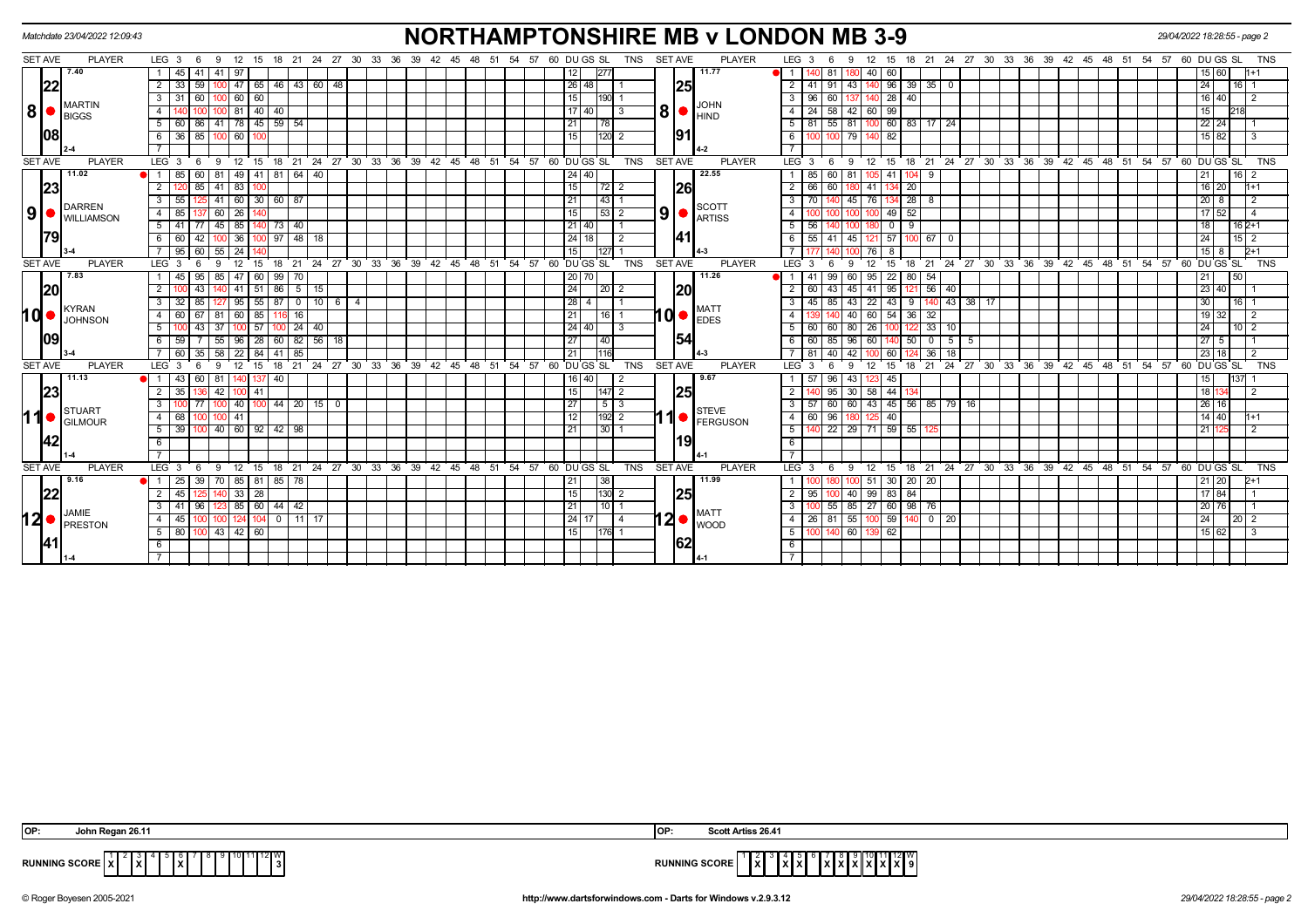|                |                | Matchdate 23/04/2022 12:09:43          |                         |                 |                   |                 |                 |              |                             |                                     |                |                                          |              |               |       |    |       |                     |             |                 |          |                |                |                | <b>NORTHAMPTONSHIRE MB v LONDON MB 3-9</b>    |                |                  |                   |                          |                 |          |                     |                   |              |               |                                                    |    |       |                     |    |                   | 29/04/2022 18:28:55 - page 2 |                             |                 |                |            |
|----------------|----------------|----------------------------------------|-------------------------|-----------------|-------------------|-----------------|-----------------|--------------|-----------------------------|-------------------------------------|----------------|------------------------------------------|--------------|---------------|-------|----|-------|---------------------|-------------|-----------------|----------|----------------|----------------|----------------|-----------------------------------------------|----------------|------------------|-------------------|--------------------------|-----------------|----------|---------------------|-------------------|--------------|---------------|----------------------------------------------------|----|-------|---------------------|----|-------------------|------------------------------|-----------------------------|-----------------|----------------|------------|
|                | <b>SET AVE</b> | <b>PLAYER</b>                          | $LEG_36$                |                 | 9 12              | - 15            |                 |              |                             | 18 21 24 27 30 33 36 39 42 45 48 51 |                |                                          |              |               |       |    |       | 54 57 60 DU GS SL   |             |                 |          | TNS            |                | <b>SET AVE</b> | <b>PLAYER</b>                                 |                | LEG <sub>3</sub> | 6                 | 9                        | 12              | 15       | 18                  |                   |              |               | 21 24 27 30 33 36 39 42 45 48 51 54 57 60 DU GS SL |    |       |                     |    |                   |                              |                             |                 |                | <b>TNS</b> |
|                |                | 7.40                                   |                         | 45 41           | 41   97           |                 |                 |              |                             |                                     |                |                                          |              |               |       |    |       |                     |             | 12              | 277      |                |                |                | 11.77                                         |                |                  | 81                |                          | 40 l            | 60       |                     |                   |              |               |                                                    |    |       |                     |    |                   |                              |                             | 60              |                |            |
|                | 22             |                                        | $\overline{2}$<br>33    | 59              | 47                |                 | 46<br>65        |              | 43 60 48                    |                                     |                |                                          |              |               |       |    |       |                     |             | 26 48           |          |                |                | 25             |                                               | 2 <sup>1</sup> |                  | 91                | 43                       |                 | 96       | 39<br>35            | 0                 |              |               |                                                    |    |       |                     |    |                   |                              | 24                          | 16              |                |            |
|                |                |                                        | 3<br>31                 | 60              | 1001              | 60 60           |                 |              |                             |                                     |                |                                          |              |               |       |    |       |                     |             | 15              | 190 1    |                |                |                | <b>JOHN</b>                                   | 3 I            | 96               | 60                |                          |                 | 40 28 40 |                     |                   |              |               |                                                    |    |       |                     |    |                   |                              | 16 40                       |                 | $\overline{2}$ |            |
| 8              |                | <b>MARTIN</b><br><b>BIGGS</b>          | 4                       |                 | 81                |                 | 40<br>40        |              |                             |                                     |                |                                          |              |               |       |    |       |                     |             | 17140           |          | l 3            | 8I             |                | $\blacksquare$                                | $\overline{4}$ | 24               | 58                | 42                       | 60 99           |          |                     |                   |              |               |                                                    |    |       |                     |    |                   |                              | 15                          |                 |                |            |
|                |                |                                        | -5<br>60                | 86              | $41$ 78 45 59 54  |                 |                 |              |                             |                                     |                |                                          |              |               |       |    |       |                     |             | 21              | 78       |                |                |                |                                               |                | 5   81           | 55 81             |                          |                 |          | 100 60 83 17 24     |                   |              |               |                                                    |    |       |                     |    |                   |                              | $22$ 24                     |                 |                |            |
|                | 08             |                                        | 6                       | $36$ 85         |                   | 60              |                 |              |                             |                                     |                |                                          |              |               |       |    |       |                     |             | 15              | $120$ 2  |                |                | 191            |                                               | 6              |                  |                   | 79                       |                 | 82       |                     |                   |              |               |                                                    |    |       |                     |    |                   |                              | $15 \ 82$                   |                 |                |            |
|                |                |                                        |                         |                 |                   |                 |                 |              |                             |                                     |                |                                          |              |               |       |    |       |                     |             |                 |          |                |                |                |                                               |                |                  |                   |                          |                 |          |                     |                   |              |               |                                                    |    |       |                     |    |                   |                              |                             |                 |                |            |
| <b>SET AVE</b> |                | <b>PLAYER</b>                          | LEG <sub>3</sub>        | - 6             | 12<br>9           | 15              |                 |              |                             | 18 21 24 27 30 33 36 39 42 45 48    |                |                                          |              |               |       |    |       | 51 54 57 60 DUGS SL |             |                 |          | <b>TNS</b>     |                | <b>SET AVE</b> | <b>PLAYER</b>                                 |                | LEG <sup>3</sup> | 6                 | -9                       | 12              | 15       |                     |                   |              |               | 18 21 24 27 30 33 36 39 42 45 48 51                |    |       |                     |    | 54 57 60 DU GS SL |                              |                             |                 |                | <b>TNS</b> |
|                |                | 11.02                                  | $\blacksquare$ 1<br>85  | 60              | 81                |                 |                 |              | 49 41 81 64 40              |                                     |                |                                          |              |               |       |    |       |                     |             | 24 40           |          |                |                |                | 22.55                                         |                |                  | 60                | 81                       |                 | 41       | 9<br>104            |                   |              |               |                                                    |    |       |                     |    |                   |                              | 21                          | 16 <sup>1</sup> |                |            |
|                | 23             |                                        |                         | 85              | 41<br>83          |                 |                 |              |                             |                                     |                |                                          |              |               |       |    |       |                     |             | 15              |          |                |                | <b>26</b>      |                                               | 2              |                  | 60                |                          | 41              |          | 20                  |                   |              |               |                                                    |    |       |                     |    |                   |                              | $16$ 20                     |                 | 1+1            |            |
|                |                | DARREN                                 | 55<br>3                 |                 | 41<br>60          |                 | 30 <sup>1</sup> | 60 87        |                             |                                     |                |                                          |              |               |       |    |       |                     |             | 21              | 43       |                |                |                | <b>SCOTT</b>                                  | 3 <sup>1</sup> |                  |                   | 45                       | 76              |          | 28<br>- 8           |                   |              |               |                                                    |    |       |                     |    |                   |                              | 20 <sub>1</sub>             | 8               | 2              |            |
| 9              | $\bullet$ I    | <b>I</b> WILLIAMSON                    | 85<br>$\overline{4}$    |                 | $60$   26         |                 |                 |              |                             |                                     |                |                                          |              |               |       |    |       |                     |             | 15              | 53 2     |                | 9 <sub>l</sub> |                | <b>ARTISS</b>                                 | 4              |                  |                   |                          |                 | 49       | 52                  |                   |              |               |                                                    |    |       |                     |    |                   |                              | 52<br>17                    |                 | 4              |            |
|                |                |                                        | 5<br>41                 |                 | 45<br>85          |                 |                 | 73   40      |                             |                                     |                |                                          |              |               |       |    |       |                     |             | 21 40           |          |                |                |                |                                               | 5              | 56               |                   |                          |                 |          | 9                   |                   |              |               |                                                    |    |       |                     |    |                   |                              | 18                          |                 | $162+1$        |            |
|                |                |                                        | 6<br>60 l               | l 42            | 100 I             | 36 <sup>1</sup> |                 |              | 97   48   18                |                                     |                |                                          |              |               |       |    |       |                     |             | 24 18           |          | $\overline{2}$ |                | 141            |                                               | - 6 I          |                  | 55   41           | 45                       | 121 57          |          |                     | 67   0            |              |               |                                                    |    |       |                     |    |                   |                              | 24                          |                 | $15 \quad 2$   |            |
|                |                |                                        | 95                      |                 | 55l<br>24         |                 |                 |              |                             |                                     |                |                                          |              |               |       |    |       |                     |             | 15              |          |                |                |                |                                               |                |                  |                   |                          |                 |          |                     |                   |              |               |                                                    |    |       |                     |    |                   |                              | 15                          |                 | $2+1$          |            |
| <b>SET AVE</b> |                | <b>PLAYER</b>                          | LEG <sub>3</sub>        |                 | $12 \overline{ }$ | 15              | 18              | 21           |                             | $24 \quad 27$                       |                | 30 33 36 39 42 45 48 51 54 57 60 DUGS SL |              |               |       |    |       |                     |             |                 |          | <b>TNS</b>     |                | SET AVE        | <b>PLAYER</b>                                 |                | LEG <sub>3</sub> |                   |                          |                 | 15       | $^{\circ}$ 21<br>18 |                   |              |               | 24 27 30 33 36 39 42 45 48 51 54 57 60 DUGS SL     |    |       |                     |    |                   |                              |                             |                 |                | <b>TNS</b> |
|                |                | 7.83                                   |                         | 95              | 85                |                 | 99<br>60        | 70           |                             |                                     |                |                                          |              |               |       |    |       |                     |             | 20 70           |          |                |                |                | 11.26                                         |                |                  |                   | 60                       | 95              | 22       | 80 I<br>54          |                   |              |               |                                                    |    |       |                     |    |                   |                              | 21                          | 50              |                |            |
|                | 20             |                                        | $\overline{2}$          | 43              |                   |                 | $41$ 51 86      |              | 5   15                      |                                     |                |                                          |              |               |       |    |       |                     |             | 24              | 20 2     |                |                | 20             |                                               | 2 I            | 60               | $43 \mid 45 \mid$ |                          | 41              | 95       | 1211                | $56$ 40           |              |               |                                                    |    |       |                     |    |                   |                              | 23   40                     |                 |                |            |
|                |                | KYRAN                                  | $\overline{\mathbf{3}}$ |                 | 95                |                 | 55<br>87        |              |                             | $0$ 10 6                            | $\overline{4}$ |                                          |              |               |       |    |       |                     |             | 28              |          |                |                |                | <b>MATT</b>                                   | 3              |                  | 85                | 43                       | $\overline{22}$ | $43$ 9   |                     |                   | 140 43 38 17 |               |                                                    |    |       |                     |    |                   |                              | $\overline{30}$             | 16              |                |            |
| hd•            |                | <b>JOHNSON</b>                         | $\overline{4}$<br>60    | 67              | 81<br>60          | 85              |                 | 16           |                             |                                     |                |                                          |              |               |       |    |       |                     |             | 21              | $16$   1 |                |                |                | $10$ $\bullet$ $\overline{ }$ <sub>EDES</sub> | $\overline{4}$ |                  |                   | 40                       | 60              | 54       | 36<br>32            |                   |              |               |                                                    |    |       |                     |    |                   |                              | 19                          | 32              |                |            |
|                |                |                                        | 5                       | 100 43          | 37                | 57              |                 |              | $100$ 24 40                 |                                     |                |                                          |              |               |       |    |       |                     |             | 24 40           |          | $\sqrt{3}$     |                |                |                                               |                | $5 \mid 60$      | 60                | 80                       | 26              |          | 1221                | 33   10           |              |               |                                                    |    |       |                     |    |                   |                              | 24                          | 10 <sup>1</sup> |                |            |
|                | 09             |                                        | 6<br>59                 |                 | 55<br>96          |                 | 60<br>28        |              | $82$ 56 18                  |                                     |                |                                          |              |               |       |    |       |                     |             | 27              | 40       |                |                | 154            |                                               | 6              | 60               | 85                | 96                       | 60              |          | 50<br>$\Omega$      | 5                 |              |               |                                                    |    |       |                     |    |                   |                              | 27                          | 5               |                |            |
|                |                |                                        | 60                      | 35 <sup>1</sup> | 58<br>22          | 84              | 41              | 85           |                             |                                     |                |                                          |              |               |       |    |       |                     |             | 21              | 116      |                |                |                |                                               |                |                  | 40                | 42                       |                 | 60       |                     | $36$ 18           |              |               |                                                    |    |       |                     |    |                   |                              | 23 18                       |                 | $\overline{2}$ |            |
| <b>SET AVE</b> |                | <b>PLAYER</b>                          | LEG <sub>3</sub>        |                 | 12                | 15              | 18              | 21           |                             | 24 27 30                            |                | 33 36                                    | $39^{\circ}$ | $42 \quad 45$ | $-48$ | 51 | 54    | 57                  | 60 DU GS SL |                 |          | <b>TNS</b>     |                | <b>SET AVE</b> | <b>PLAYER</b>                                 |                | LEG <sub>3</sub> |                   | <b>q</b>                 | 12              | 15<br>18 | 21                  |                   |              | $24$ 27 30 33 | 36                                                 | 39 | 42 45 | $^{\circ}$ 48<br>51 | 54 | 57                | 60 DU GS SL                  |                             |                 |                | <b>TNS</b> |
|                |                | 11.13                                  | $\blacksquare$<br>43    | 60              | 81                |                 | 40              |              |                             |                                     |                |                                          |              |               |       |    |       |                     |             | 16   40         |          |                |                |                | 9.67                                          |                |                  | 96                | 43                       |                 | 45       |                     |                   |              |               |                                                    |    |       |                     |    |                   |                              |                             | 137             |                |            |
|                | 23             |                                        | 35                      |                 | 42                | 100 41          |                 |              |                             |                                     |                |                                          |              |               |       |    |       |                     |             | 15              | 147 2    |                |                | 25             |                                               | 2              |                  | 95                | -30                      | 58 44           |          |                     |                   |              |               |                                                    |    |       |                     |    |                   |                              | 18                          |                 | $\overline{2}$ |            |
|                |                | STUART                                 | $\overline{3}$          |                 |                   |                 |                 |              | 40   100   44   20   15   0 |                                     |                |                                          |              |               |       |    |       |                     |             | $\overline{27}$ | 513      |                |                |                | <b>STEVE</b>                                  | 3 I            |                  | 60   60           |                          |                 |          |                     | 43 45 56 85 79 16 |              |               |                                                    |    |       |                     |    |                   |                              | 26 16                       |                 |                |            |
| 11●            |                | GILMOUR                                | $\overline{4}$<br>68    |                 | 41                |                 |                 |              |                             |                                     |                |                                          |              |               |       |    |       |                     |             | 12              | 192 2    |                |                |                | FERGUSON                                      | 4 I            | 60               | 96                |                          |                 | 40       |                     |                   |              |               |                                                    |    |       |                     |    |                   |                              | $14 \overline{\smash{)}40}$ |                 | 1+1            |            |
|                |                |                                        | 5<br>39                 |                 | 40 60 92 42 98    |                 |                 |              |                             |                                     |                |                                          |              |               |       |    |       |                     |             | 21              | उर्ग     |                |                |                |                                               | 5              |                  |                   | $22$ $29$ $71$ $59$ $55$ |                 |          |                     |                   |              |               |                                                    |    |       |                     |    |                   |                              | 21                          |                 | $\overline{2}$ |            |
|                | 42             |                                        | 6                       |                 |                   |                 |                 |              |                             |                                     |                |                                          |              |               |       |    |       |                     |             |                 |          |                |                | 19             |                                               | 6              |                  |                   |                          |                 |          |                     |                   |              |               |                                                    |    |       |                     |    |                   |                              |                             |                 |                |            |
|                |                |                                        |                         |                 |                   |                 |                 |              |                             |                                     |                |                                          |              |               |       |    |       |                     |             |                 |          |                |                |                |                                               | $\overline{7}$ |                  |                   |                          |                 |          |                     |                   |              |               |                                                    |    |       |                     |    |                   |                              |                             |                 |                |            |
| <b>SET AVE</b> |                | <b>PLAYER</b>                          | LEG <sub>3</sub>        |                 | 12<br>9           | 15              |                 |              |                             | 18 21 24 27 30 33 36 39 42 45 48 51 |                |                                          |              |               |       |    | 54 57 |                     | 60 DU GS SL |                 |          | TNS            |                | <b>SET AVE</b> | <b>PLAYER</b>                                 |                | LEG <sub>3</sub> | - 6               | - 9                      | 12              | 15       |                     |                   |              |               | 18 21 24 27 30 33 36 39 42 45 48 51                |    |       |                     |    | 54 57             | 60                           | DU GS SL                    |                 |                | <b>TNS</b> |
|                |                | 9.16                                   | $-1$<br>25              | -39             | 70                | 85   81         |                 | 85   78      |                             |                                     |                |                                          |              |               |       |    |       |                     |             | 21              | 38       |                |                |                | 11.99                                         |                |                  |                   |                          |                 | 30       | 20 I<br>-20         |                   |              |               |                                                    |    |       |                     |    |                   |                              | 20                          |                 |                |            |
|                | 22             |                                        | 45<br>$\overline{2}$    |                 | 140 33 28         |                 |                 |              |                             |                                     |                |                                          |              |               |       |    |       |                     |             | 15              | $130$ 2  |                |                | 25             |                                               | 2 <sup>1</sup> | 95               | 100               | 40                       |                 | 99 83 84 |                     |                   |              |               |                                                    |    |       |                     |    |                   |                              | 17 84                       |                 |                |            |
|                |                | JAMIE                                  | 3                       | -96             |                   | 85   60         |                 | $44 \mid 42$ |                             |                                     |                |                                          |              |               |       |    |       |                     |             | 21              | 10       |                |                |                | <b>MATT</b>                                   | $\mathbf{3}$   |                  | 55                | 85                       | $27 \ 60$       | 98       | 76                  |                   |              |               |                                                    |    |       |                     |    |                   |                              | 20 76                       |                 |                |            |
|                |                | $12$ $\bullet$ $\frac{JAMIE}{PRESTON}$ | $\overline{4}$<br>45    |                 |                   |                 |                 |              | $0$   11   17               |                                     |                |                                          |              |               |       |    |       |                     |             | 24 17           |          | $\vert 4$      |                |                | $12 \bullet  _{\text{WOOD}}$                  |                | 4 26 81 55       |                   |                          |                 |          |                     | 100 59 140 0 20   |              |               |                                                    |    |       |                     |    |                   |                              | 24                          | 20 2            |                |            |
|                |                |                                        | 5                       | 80 100          | 43 42 60          |                 |                 |              |                             |                                     |                |                                          |              |               |       |    |       |                     |             | 15              | 17611    |                |                |                |                                               | <sup>5</sup>   |                  |                   | $\sqrt{60}$              |                 | 62       |                     |                   |              |               |                                                    |    |       |                     |    |                   |                              | 15 62                       |                 |                |            |
|                | <u>141</u>     |                                        | - 6                     |                 |                   |                 |                 |              |                             |                                     |                |                                          |              |               |       |    |       |                     |             |                 |          |                |                | 162            |                                               | 6              |                  |                   |                          |                 |          |                     |                   |              |               |                                                    |    |       |                     |    |                   |                              |                             |                 |                |            |
|                |                |                                        |                         |                 |                   |                 |                 |              |                             |                                     |                |                                          |              |               |       |    |       |                     |             |                 |          |                |                |                |                                               |                |                  |                   |                          |                 |          |                     |                   |              |               |                                                    |    |       |                     |    |                   |                              |                             |                 |                |            |

| IOP: | John Regan 26.11                                                                           |                      | Scott Artiss 26.41                                                             |
|------|--------------------------------------------------------------------------------------------|----------------------|--------------------------------------------------------------------------------|
|      | 0  11  12  W <br>$\left  \mathbf{x} \right $<br>RUNNING SCORE   X  <br>. <b>.</b><br>1 A I | <b>RUNNING SCORE</b> | $\ \tilde{\mathbf{x}}\ $<br>$\mathbf{I} \mathbf{X} \mathbf{I} \mathbf{X}$<br>. |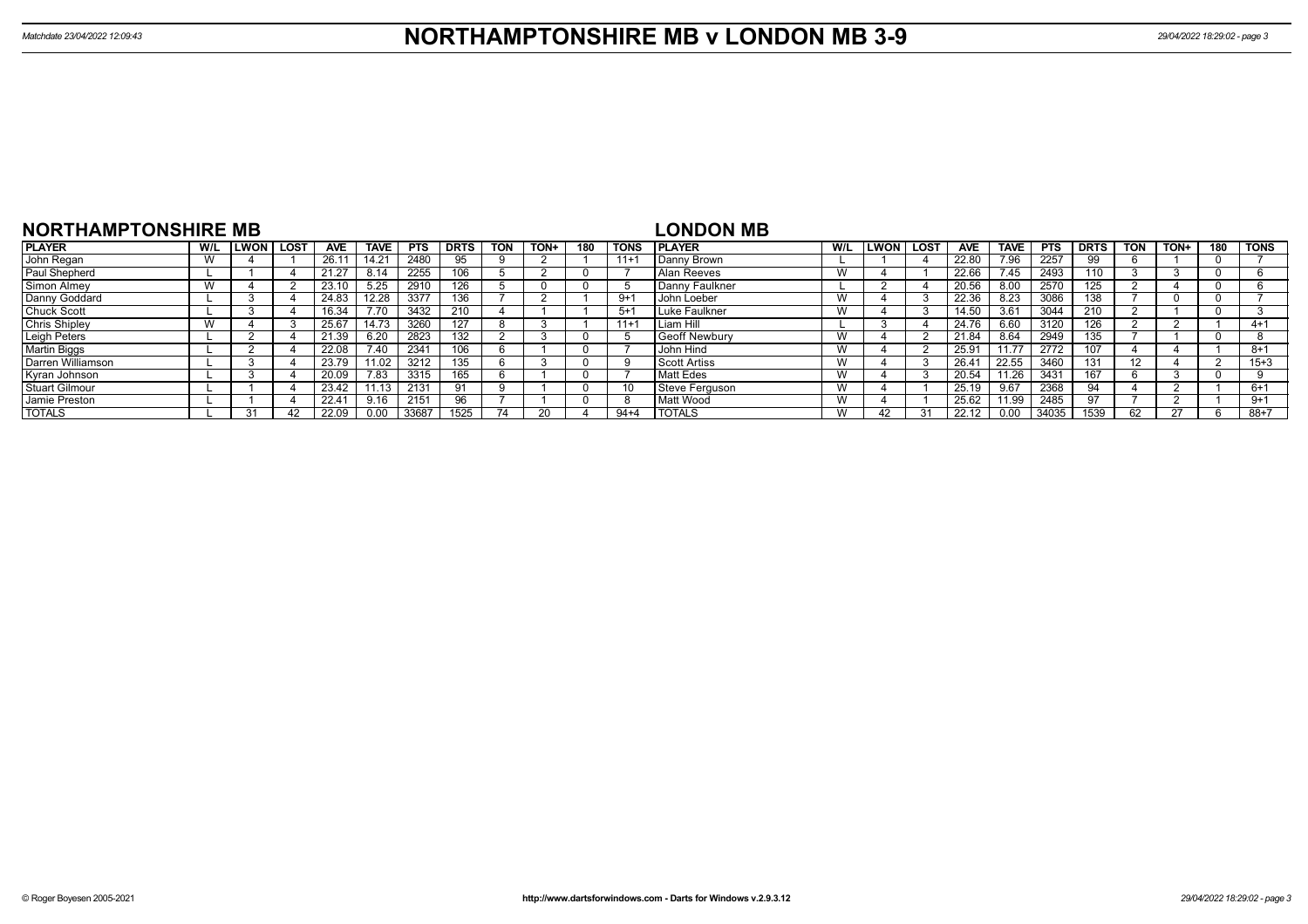| <b>NORTHAMPTONSHIRE MB</b> |     |             |             |            |             |            |             |            |      |     |          | LONDON MB          |     |      |        |            |             |            |                |            |        |     |             |
|----------------------------|-----|-------------|-------------|------------|-------------|------------|-------------|------------|------|-----|----------|--------------------|-----|------|--------|------------|-------------|------------|----------------|------------|--------|-----|-------------|
| <b>PLAYER</b>              | W/L | <b>LWON</b> | <b>LOST</b> | <b>AVE</b> | <b>TAVE</b> | <b>PTS</b> | <b>DRTS</b> | <b>TON</b> | TON+ | 180 | TONS     | <b>I PLAYER</b>    | W/L | LWON | , LOST | <b>AVE</b> | <b>TAVE</b> | <b>PTS</b> | <b>DRTS</b>    | <b>TON</b> | TON+   | 180 | <b>TONS</b> |
| John Regan                 |     |             |             | 26.11      | 14.21       | 2480       | 95          |            |      |     | $11 +$   | Danny Brown        |     |      |        | 22.80      | 7.96        | 2257       |                |            |        |     |             |
| Paul Shepherd              |     |             |             | 21.27      | 8.14        | 2255       | 106         |            |      |     |          | <b>Alan Reeves</b> | W   |      |        | 22.66      | 7.45        | 2493       | 110            |            |        |     |             |
| Simon Almey                |     |             |             | 23.10      | 5.25        | 2910       | 126         |            |      |     |          | Danny Faulkner     |     |      |        | 20.56      | 8.00        | 2570       | 125            |            |        |     |             |
| Danny Goddard              |     |             |             | 24.83      | 12.28       | 3377       | 136         |            |      |     | $9 + 1$  | l John Loeber      | W   |      |        | 22.36      | 8.23        | 3086       | 138            |            |        |     |             |
| <b>Chuck Scott</b>         |     |             |             | 16.34      |             | 3432       | 210         |            |      |     | $5 + 1$  | Luke Faulkner      | W   |      |        | 14.50      | 3.61        | 3044       | 210            |            |        |     |             |
| <b>Chris Shipley</b>       |     |             |             | 25.67      |             | 3260       | 127         |            |      |     | $11 +$   | Liam Hill          |     |      |        | 24.76      | 6.60        | 3120       | 126            |            |        |     | $4 + 1$     |
| Leigh Peters               |     |             |             | 21.39      | 6.20        | 2823       | 132         |            |      |     |          | Geoff Newbury      | W   |      |        | 21.84      | 8.64        | 2949       | 35             |            |        |     |             |
| <b>Martin Biggs</b>        |     |             |             | 22.08      | 7.40        | 2341       | 106         |            |      |     |          | John Hind          | W   |      |        | 25.91      | 11.77       | 2772       |                |            |        |     | $8 + 1$     |
| Darren Williamson          |     |             |             | 23.79      | 11.02       | 3212       | 135         |            |      |     |          | Scott Artiss       | W   |      |        | 26.41      | 22.55       | 3460       |                | 12         |        |     | $15 + 3$    |
| Kyran Johnson              |     |             |             | 20.09      | 7.83        | 3315       | 165         |            |      |     |          | Matt Edes          | W   |      |        | 20.54      | 11.26       | 3431       | 67             |            |        |     |             |
| <b>Stuart Gilmour</b>      |     |             |             | 23.42      | 11.13       | 2131       | -91         |            |      |     |          | Steve Ferguson     | W   |      |        | 25.19      | 9.67        | 2368       | 94             |            |        |     | $6+1$       |
| Jamie Preston              |     |             |             | 22.41      | 9.16        | 2151       | 96          |            |      |     | -8       | Matt Wood          | W   |      |        | 25.62      | 11.99       | 2485       | Q <sub>7</sub> |            |        |     | $9+1$       |
| <b>TOTALS</b>              |     | 31          |             | 22.09      | 0.00        | 33687      | 1525        |            |      |     | $94 + 4$ | <b>I TOTALS</b>    | W   |      |        | 22.12      | 0.00        | 34035      | 1539           | 62         | $\sim$ |     | $88 + 7$    |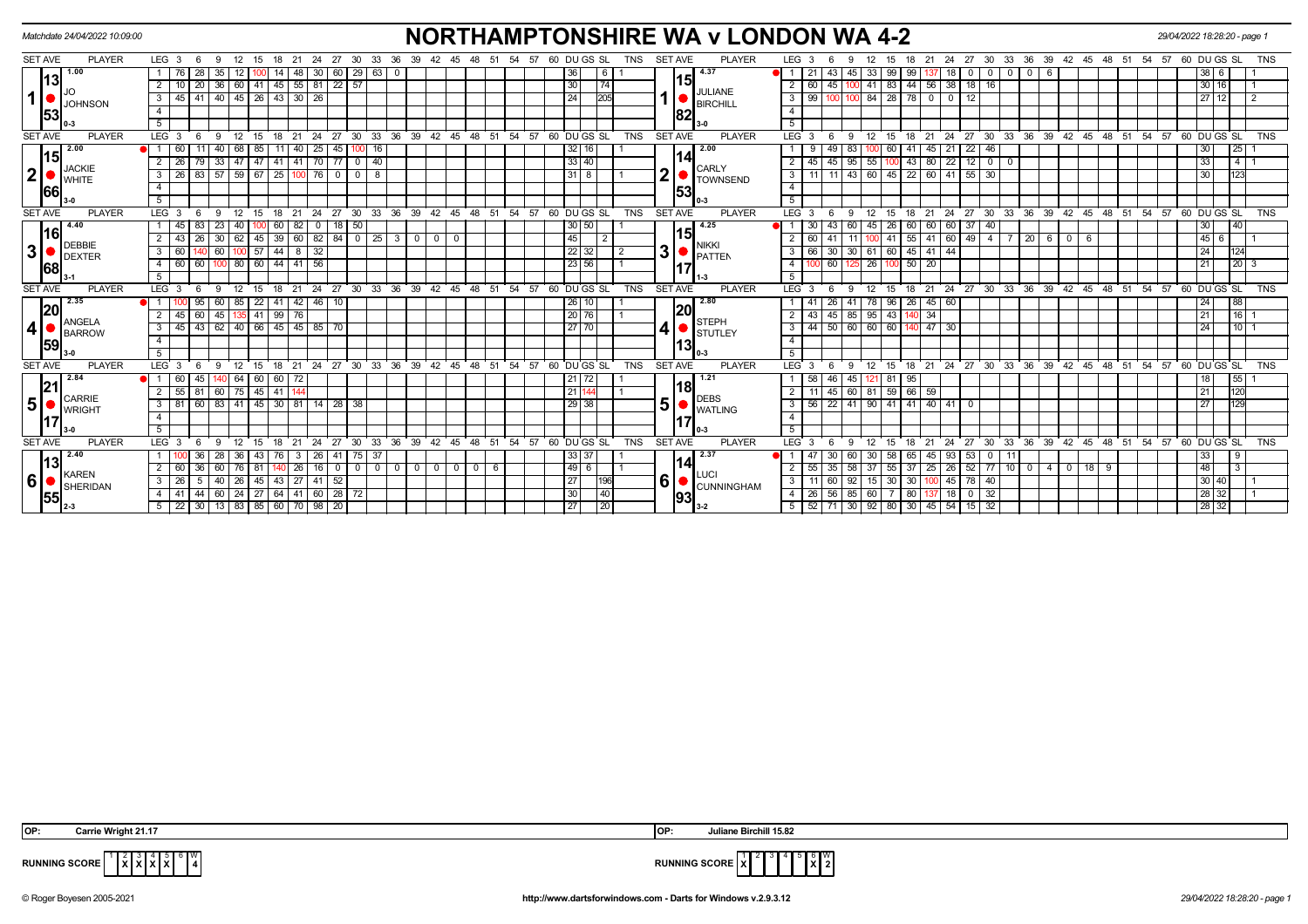|                | Matchdate 24/04/2022 10:09:00 |                                                                                 | <b>NORTHAMPTONSHIRE WA v LONDON WA 4-2</b>                                                                                                                                                             | 29/04/2022 18:28:20 - page 1          |
|----------------|-------------------------------|---------------------------------------------------------------------------------|--------------------------------------------------------------------------------------------------------------------------------------------------------------------------------------------------------|---------------------------------------|
| <b>SET AVE</b> | <b>PLAYER</b>                 | LEG 3<br>- 6<br>-30<br>33                                                       | <b>PLAYER</b><br>60 DU GS SL<br><b>SET AVE</b><br>LEG <sub>3</sub><br>30<br>36<br>39<br>TNS<br>- 27<br>33<br>24<br>45<br>-54                                                                           | 60 DU GS SL<br>57<br>TNS              |
|                | 1.00<br>13                    | 29<br>60<br>63                                                                  | 4.37<br>18                                                                                                                                                                                             |                                       |
|                |                               | 36 60 41 45 55 81 22 57<br>-20 I                                                | 15<br>  41   83   44   56   38   18   16  <br>30<br>74<br>45<br>2   60<br>JULIANE                                                                                                                      | 30 16                                 |
| $\mathbf{1}$   | <b>JOHNSON</b>                | 40 45 26 43 30 26<br>3<br>45<br>41 I                                            | 100   100   84   28   78   0   0<br>24 <sup>1</sup><br>$3 \mid 99$<br>12 <sup>1</sup><br><b>BIRCHILL</b>                                                                                               | 27112<br>$\overline{2}$               |
|                | 53                            |                                                                                 | 4<br>82                                                                                                                                                                                                |                                       |
|                |                               | 5                                                                               | 5                                                                                                                                                                                                      |                                       |
| <b>SET AVE</b> | <b>PLAYER</b>                 | LEG <sub>3</sub><br>- 6<br>- 9<br>- 12<br>15 18<br>21                           | 24 27 30 33 36 39 42 45 48 51 54 57 60 DUGS SL<br>18 21 24 27 30 33 36 39 42 45 48 51 54 57 60 DUGS SL<br>TNS<br><b>SET AVE</b><br><b>PLAYER</b><br>$LEG^{\cdot}$ 3<br>-9<br>- 12<br>15<br>-6          | <b>TNS</b>                            |
|                | 2.00<br> 15                   | 60<br>40<br>68<br>40<br> 25 45 <br>85 I<br>- 11  <br>$100$ 16                   | 32 16<br>2.00<br>49<br>$\mid$ 22 $\mid$ 46<br>83<br>60<br>41   45   21                                                                                                                                 | 30<br> 25                             |
|                | <b>JACKIE</b>                 | $\sqrt{41}$<br>40<br>33<br>47<br>$47$ 41<br>70 77<br>$\mathbf 0$                | 33   40<br>45<br>43 80 22<br>$12000$<br>55<br>$2 \mid 45$<br>95<br>100<br>CARLY                                                                                                                        | 33<br>1411                            |
| $\mathbf{2}$   | <b>WHITE</b>                  | 83 57 59 67 25 100<br>3<br>26<br>$\mathbf 0$<br>8                               | 11 43 60 45 22 60 41 55 30<br>$31 \mid 8$<br>$3 \mid 11$<br><b>TOWNSEND</b>                                                                                                                            | 30<br>123                             |
|                | 66                            | $\overline{4}$                                                                  | $\overline{4}$<br> 53                                                                                                                                                                                  |                                       |
|                |                               | 5 <sup>7</sup>                                                                  | 5 <sup>5</sup>                                                                                                                                                                                         |                                       |
| <b>SET AVE</b> | <b>PLAYER</b>                 | 21 24 27 30 33 36<br>LEG <sub>3</sub><br>12<br>15<br>- 6<br>- 9<br>18           | <b>SET AVE</b><br>39 42 45 48 51 54 57 60 DUGS SL<br>TNS<br>PLAYER<br>LEG <sup>3</sup><br>21 24 27 30 33 36 39 42 45 48 51 54 57 60 DUGS SL<br>12<br>15<br>18<br>-9                                    | <b>TNS</b>                            |
|                | 4.40<br> 16                   | 18 50<br>23<br>82<br>45<br>-40<br>60<br>-83 I<br>$^{\circ}$                     | 4.25<br>30 50<br>60<br>37   40<br>43<br>26<br>60<br>-60<br>$45 -$                                                                                                                                      | 30<br>40                              |
|                | DEBBIE                        | $45 \mid 39 \mid$<br>  60   82   84   0   25   3   0<br>30<br>62                | 15 <br>45<br>$55$   41   60  <br>$49$   4<br>20 6 0 6<br>00<br>41  <br>41<br><b>NIKKI</b>                                                                                                              | 45<br>6                               |
| 3 <sup>1</sup> | <b>IDEXTER</b>                | 57144<br>32<br>3<br>60<br>8<br>60                                               | 3<br>22 32<br>30 61 60 45 41 44<br>3<br>30 <sup>1</sup><br><b>IPATTEN</b>                                                                                                                              | 24<br>124                             |
|                | 68                            | $100$ 80 60 44 41 56<br>60<br>60 I                                              | 23 56<br>60<br>$\overline{26}$<br>$50 \mid 20$<br>$\overline{4}$<br>100.                                                                                                                               | $\sqrt{20}$ 3<br>21                   |
|                |                               |                                                                                 |                                                                                                                                                                                                        |                                       |
| <b>SET AVE</b> | <b>PLAYER</b>                 | 30<br><b>LEG</b><br>21<br>24<br>27<br>18                                        | 24 27 30 33 36 39 42 45 48 51 54 57 60 DUGS SL<br>33 36 39 42 45 48 51 54 57 60 DUGS SL<br><b>TNS</b><br><b>SET AVE</b><br>PLAYER<br>LEG <sup>'</sup><br>21<br>15<br>18                                | <b>TNS</b>                            |
|                | 2.35<br> 20                   | $42$ 46 10<br>60<br>85<br>-22 I<br>41                                           | 2.80<br>26 10<br>96<br>$26$ 45 60<br> 20                                                                                                                                                               | 88<br>24                              |
|                | <b>ANGELA</b>                 | $-45$ 135<br>$141$ 99 76<br>60<br>2<br>45                                       | 20 76<br>45 85 95 43<br>$140$ 34<br>$2 \mid 43$<br><b>STEPH</b>                                                                                                                                        | $\sqrt{16}$<br>21                     |
| 4              | BARROW                        | 45 43 62 40 66 45 45 85 70<br>$3^{\circ}$                                       | 3   44   50   60   60   60  <br>27 70<br>$140$ 47 30<br><b>STUTLEY</b>                                                                                                                                 | $10$ 1<br>24                          |
|                | 59                            |                                                                                 | 4                                                                                                                                                                                                      |                                       |
|                |                               | -5                                                                              | -5                                                                                                                                                                                                     |                                       |
| <b>SET AVE</b> | <b>PLAYER</b>                 | $18$ 21<br>LEG <sub>3</sub><br>-9<br>12<br>15<br>- 6                            | 24 27 30 33 36 39 42 45 48 51 54 57 60 DUGS SL<br>TNS<br><b>SET AVE</b><br><b>PLAYER</b><br>18 21 24 27 30 33 36 39 42 45<br>LEG <sup>3</sup><br>12<br>15<br>-9                                        | 48 51 54 57 60 DUGS SL<br>TNS         |
|                | 2.84                          | 140 64 60 60 72<br>60<br>45                                                     | $121$ 81 95<br>21 72<br>1.21<br>46 I<br>45<br>l 58                                                                                                                                                     | 18<br>55                              |
|                | <b>CARRIE</b>                 | 55 81 60 75 45 41                                                               | 45   60   81   59   66   59  <br>21 14<br>2   11  <br><b>DEBS</b>                                                                                                                                      | 120<br>21                             |
| 5              | <b>WRIGHT</b>                 | 60   83   41   45   30   81   14   28   38<br>81<br>$3^{\circ}$                 | 5<br>$22$   41<br>  90   41   41   40   41  <br>$29$ 38<br>$3 \mid 56$<br>$\overline{\mathbf{0}}$<br><b>WATLING</b>                                                                                    | 129<br>27                             |
|                |                               | $\overline{4}$                                                                  | $\overline{4}$                                                                                                                                                                                         |                                       |
|                |                               | 5                                                                               | 5                                                                                                                                                                                                      |                                       |
| <b>SET AVE</b> | <b>PLAYER</b>                 | LEG <sub>3</sub><br>12<br>24<br>30<br>33<br>36<br>- 6<br>-9<br>18<br>-21<br>-27 | <b>SET AVE</b><br><b>PLAYER</b><br>LEG <sup>3</sup><br>57 60 DUGS SL<br><b>TNS</b><br>ີ 36<br>39 42 45 48 51<br>39<br>42<br>45<br>48<br>51<br>54<br>12<br>21<br>27<br>30<br>33<br>-9<br>15<br>18<br>24 | $54$ $57$ $60$ DU GS SL<br><b>TNS</b> |
|                | 2.40<br>13                    | 28<br>75 37<br>l 36<br>43   76<br>26   41<br>3                                  | 2.37<br>33 37<br>65   45   93   53  <br>30<br>30 I<br>-58  <br>11<br>-60                                                                                                                               | 33<br>l 9                             |
|                | <b>KAREN</b>                  | 140 26<br>$16$ 0<br>60<br>36 I<br>60<br>76<br>-81 I<br>$\Omega$<br>$0 1 0 1 0$  | $49$ 6<br>$37$   25   26   52   77   10   0  <br>$\sqrt{0}$<br>35<br>58 37 55<br>$\overline{9}$<br>- 6<br>2   55<br>40<br>l 18 l<br><b>LUCI</b>                                                        | 48<br>$\overline{3}$                  |
| 6              | SHERIDAN                      | 26<br>$40 \mid 26$<br>45 43 27 41 52<br>3 I<br>5                                | 6<br>27<br>60<br>92 15 30<br>30 100 45 78 40<br>196<br>3 I<br>CUNNINGHAM                                                                                                                               | 30   40                               |
|                | 55                            | 41 44 60 24 27 64 41 60 28 72<br>4 I                                            | 30 <sup>°</sup><br>40<br>  56   85   60   7   80   137   18   0   32  <br>4   26  <br> 93                                                                                                              | 28 32                                 |
|                |                               | $5$   22   30   13   83   85   60   70   98   20                                | 27<br>5   52   71   30   92   80   30   45   54   15   32  <br>20                                                                                                                                      | 28 32                                 |

| IOP: | Wright<br>.<br>Carr<br>. .<br>the contract of the contract of the contract of the | IOP | Birc.<br>Juliar<br>15.04 |
|------|-----------------------------------------------------------------------------------|-----|--------------------------|

**RUNNING SCORE**  $\begin{bmatrix} 1 & 2 & 3 & 4 & 5 & 6 & W \\ & X & X & X & X & 4 & 4 \end{bmatrix}$ 

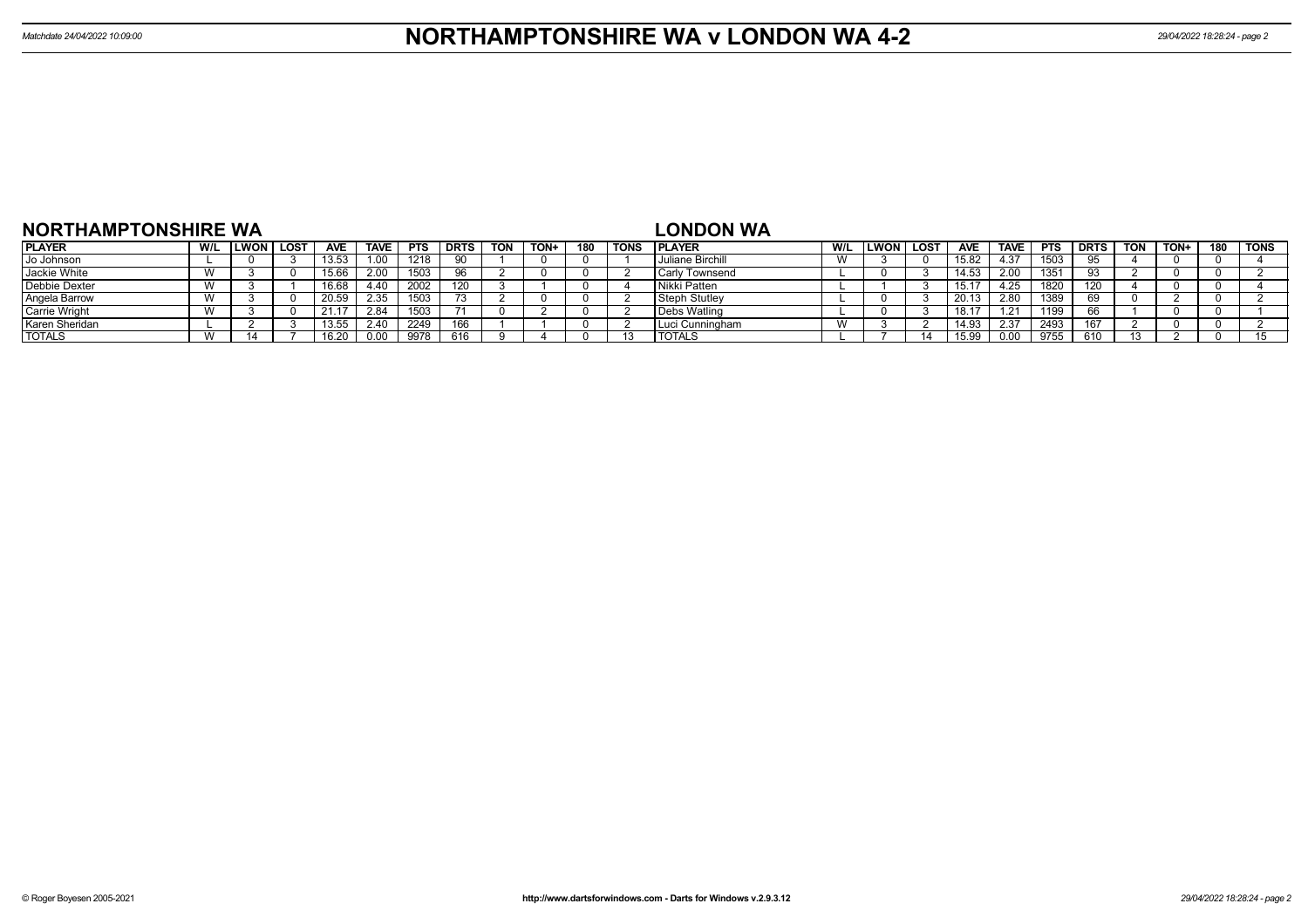| <b>NORTHAMPTONSHIRE WA</b> |     |             |      |            |             |            |             |            |      |     |             | <b>LONDON WA</b>      |     |      |             |            |             |             |             |            |      |     |             |
|----------------------------|-----|-------------|------|------------|-------------|------------|-------------|------------|------|-----|-------------|-----------------------|-----|------|-------------|------------|-------------|-------------|-------------|------------|------|-----|-------------|
| <b>PLAYER</b>              | W/L | <b>LWON</b> | LOST | <b>AVE</b> | <b>TAVE</b> | <b>PTS</b> | <b>DRTS</b> | <b>TON</b> | TON+ | 180 | <b>TONS</b> | <b>IPLAYER</b>        | W/L | LWON | <b>LOST</b> | <b>AVE</b> | <b>TAVE</b> | <b>PTS</b>  | <b>DRTS</b> | <b>TON</b> | TON+ | 180 | <b>TONS</b> |
| Jo Johnson                 |     |             |      | 13.53      | 1.00        | 1218       | 90          |            |      |     |             | Juliane Birchill      |     |      |             | 15.82      | 4.37        | 1503        |             |            |      |     |             |
| Jackie White               |     |             |      | 15.66      | 2.00        | 1503       |             |            |      |     |             | <b>Carly Townsend</b> |     |      |             | 14.53      | 2.00        | 135'        |             |            |      |     |             |
| Debbie Dexter              |     |             |      | .6.68      |             | 2002       |             |            |      |     |             | Nikki Patten          |     |      |             | 15.1       | l.25        | 182L        | 20          |            |      |     |             |
| Angela Barrow              |     |             |      | 20.50      | 2.35        | 1503       |             |            |      |     |             | <b>Steph Stutley</b>  |     |      |             | 20.13      | 2.80        | <b>1389</b> |             |            |      |     |             |
| <b>Carrie Wright</b>       |     |             |      |            | 2.84        | 1503       |             |            |      |     |             | <b>Debs Watlind</b>   |     |      |             | 18.17      | - 21        | 1199        |             |            |      |     |             |
| Karen Sheridan             |     |             |      | 13.55      | 2.40        | 2249       | 166         |            |      |     |             | , Luci Cunningham     |     |      |             | 14.93      | 2.37        | 2493        |             |            |      |     |             |
| <b>TOTALS</b>              |     |             |      |            | 0.00        | 9978       | 616         |            |      |     |             | <b>TOTALS</b>         |     |      |             | 15.9       | 0.00        | 9755        | 610         |            |      |     |             |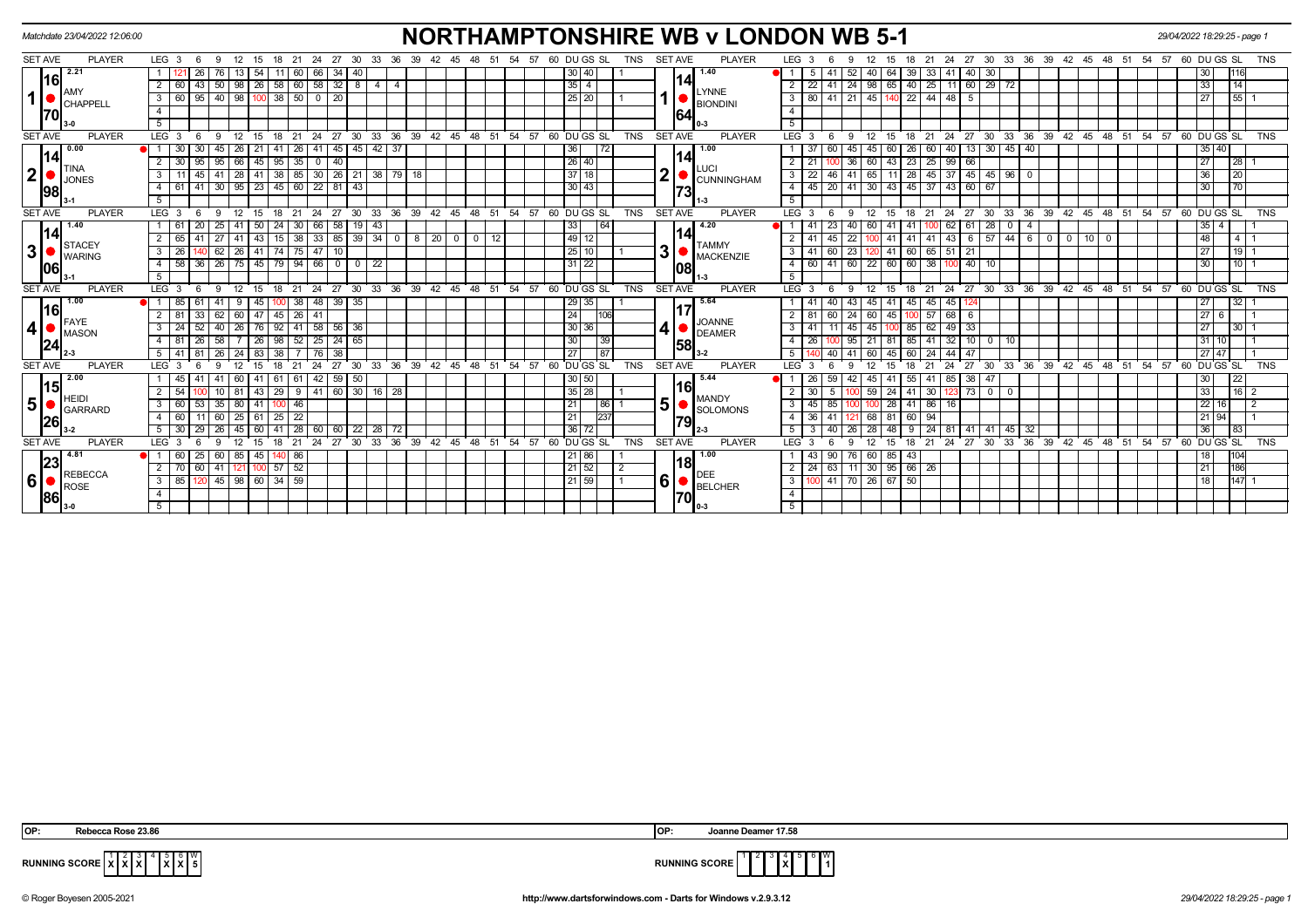|                                                                                                                                                                                                                                                                                                                                                                                                                                                                                                                                                                                                                                                                                                                                                                                                                                                                     | Matchdate 23/04/2022 12:06:00 |                      |                 |                       |      |                                          |               |                      |                     |                 |    |                     |              |             |          |                 |                                          |                |                |      | <b>NORTHAMPTONSHIRE WB v LONDON WB 5-1</b> |                           |                 |                                  |                 |                       |                        |                |             |                 |                |                                |                    |               |                                       | 29/04/2022 18:29:25 - page 1 |                                   |                 |                |
|---------------------------------------------------------------------------------------------------------------------------------------------------------------------------------------------------------------------------------------------------------------------------------------------------------------------------------------------------------------------------------------------------------------------------------------------------------------------------------------------------------------------------------------------------------------------------------------------------------------------------------------------------------------------------------------------------------------------------------------------------------------------------------------------------------------------------------------------------------------------|-------------------------------|----------------------|-----------------|-----------------------|------|------------------------------------------|---------------|----------------------|---------------------|-----------------|----|---------------------|--------------|-------------|----------|-----------------|------------------------------------------|----------------|----------------|------|--------------------------------------------|---------------------------|-----------------|----------------------------------|-----------------|-----------------------|------------------------|----------------|-------------|-----------------|----------------|--------------------------------|--------------------|---------------|---------------------------------------|------------------------------|-----------------------------------|-----------------|----------------|
| <b>SET AVE</b><br><b>PLAYER</b><br>LEG <sub>3</sub><br><b>SET AVE</b><br><b>PLAYER</b><br>24  27  30  33  36  39  42  45  48  51  54  57  60  DU  GS  SL<br>12<br>21<br>30<br>36 39 42 45 48<br>57<br>60 DU GS SL<br>TNS<br>LEG <sub>3</sub><br>6<br>- 9<br>15<br>18<br>24 27<br>- 33<br>51<br>54<br>12 <sup>2</sup><br>18<br>- 21<br>-6<br><b>q</b><br>15<br>2.21<br>1.40<br>66 34<br>13<br>40<br>41<br>40<br>64<br>39<br>33   41   40  <br>26 I<br>76<br>-54 I<br>$-11$<br>60<br>30 40 <br>5<br>-52 I<br> 16 <br>14<br>58 32 8<br>$25 \mid$<br>$11$ 60 29 72<br>$2 \mid 60$<br>43   50<br>$\sqrt{98}$<br>$26$ 58 60<br>$2 \mid 22$<br>$-41$<br>  24   98   65   40  <br>$4 \mid 4$<br> 35 4 <br>LYNNE<br>$\boxed{95}$ 40 $\boxed{98}$ 100 38 50 0 20<br>3   80   41   21   45   140   22   44   48   5<br>3 6 6 1<br>25 20 <br><b>CHAPPELI</b><br><b>BIONDINI</b> |                               |                      |                 |                       |      |                                          |               |                      |                     |                 |    |                     |              |             |          |                 |                                          |                |                |      |                                            |                           |                 | <b>TNS</b>                       |                 |                       |                        |                |             |                 |                |                                |                    |               |                                       |                              |                                   |                 |                |
|                                                                                                                                                                                                                                                                                                                                                                                                                                                                                                                                                                                                                                                                                                                                                                                                                                                                     |                               |                      |                 |                       |      |                                          |               |                      |                     |                 |    |                     |              |             |          |                 |                                          |                |                |      |                                            |                           |                 |                                  |                 |                       |                        |                |             | 30 <sup>1</sup> |                |                                |                    |               |                                       |                              | 30                                |                 |                |
|                                                                                                                                                                                                                                                                                                                                                                                                                                                                                                                                                                                                                                                                                                                                                                                                                                                                     |                               |                      |                 |                       |      |                                          |               |                      |                     |                 |    |                     |              |             |          |                 |                                          |                |                |      |                                            |                           |                 |                                  |                 |                       |                        |                |             |                 |                |                                |                    |               |                                       |                              | 33                                | 14              |                |
|                                                                                                                                                                                                                                                                                                                                                                                                                                                                                                                                                                                                                                                                                                                                                                                                                                                                     |                               |                      |                 |                       |      |                                          |               |                      |                     |                 |    |                     |              |             |          |                 |                                          |                |                |      |                                            |                           |                 |                                  |                 |                       |                        |                |             |                 |                |                                |                    |               |                                       |                              | 27                                | $ 55 $ 1        |                |
| 70                                                                                                                                                                                                                                                                                                                                                                                                                                                                                                                                                                                                                                                                                                                                                                                                                                                                  |                               | $\overline{4}$       |                 |                       |      |                                          |               |                      |                     |                 |    |                     |              |             |          |                 |                                          |                |                | 164  |                                            | $\overline{4}$            |                 |                                  |                 |                       |                        |                |             |                 |                |                                |                    |               |                                       |                              |                                   |                 |                |
|                                                                                                                                                                                                                                                                                                                                                                                                                                                                                                                                                                                                                                                                                                                                                                                                                                                                     |                               | 5                    |                 |                       |      |                                          |               |                      |                     |                 |    |                     |              |             |          |                 |                                          |                |                |      |                                            | $\overline{5}$            |                 |                                  |                 |                       |                        |                |             |                 |                |                                |                    |               |                                       |                              |                                   |                 |                |
| <b>SET AVE</b>                                                                                                                                                                                                                                                                                                                                                                                                                                                                                                                                                                                                                                                                                                                                                                                                                                                      | <b>PLAYER</b>                 | LEG <sup>3</sup>     | - 6             | 12<br>-9              | 15   | $^{\circ}$ 21<br>18                      | - 24          | 27                   | 30                  |                 |    |                     |              |             |          |                 | 33 36 39 42 45 48 51 54 57 60 DUGS SL    | TNS            | <b>SET AVE</b> |      | <b>PLAYER</b>                              | $LEG^{\prime}$ 3          |                 | -6<br>-9                         | 12              | 15                    | 18 21                  |                | 24 27 30    |                 |                |                                |                    |               | 33 36 39 42 45 48 51 54 57 60 DUGS SL |                              |                                   |                 | <b>TNS</b>     |
| 0.00                                                                                                                                                                                                                                                                                                                                                                                                                                                                                                                                                                                                                                                                                                                                                                                                                                                                |                               |                      |                 | 45<br>26              | 21   | 26                                       |               | 41   45              | 45                  | 42 37           |    |                     |              |             |          | 36              | l 72                                     |                |                |      | 1.00                                       |                           |                 | 45                               |                 |                       | 60 <sup>1</sup><br>-26 | 40             | - 13 I      | 30   45   40    |                |                                |                    |               |                                       |                              | 35<br>40                          |                 |                |
| 14                                                                                                                                                                                                                                                                                                                                                                                                                                                                                                                                                                                                                                                                                                                                                                                                                                                                  |                               | 30                   | 95l             | 95<br>66              |      | $45$   95<br>35                          |               | $0 \mid 40$          |                     |                 |    |                     |              |             |          |                 | 26 40                                    |                |                | 14   | <b>LUCI</b>                                | $2 \mid 21$               |                 | 36 <sup>1</sup>                  | 60              | 43<br>23              | 25                     | 99   66        |             |                 |                |                                |                    |               |                                       |                              | $\overline{27}$                   | 28              |                |
| $\mathbf{2}$                                                                                                                                                                                                                                                                                                                                                                                                                                                                                                                                                                                                                                                                                                                                                                                                                                                        | <b>TINA</b><br><b>JONES</b>   | 3                    |                 | $\overline{28}$<br>41 |      | $41$ 38<br>85                            |               | $30 \ 26 \ 21$       |                     | $38 \mid 79$    | 18 |                     |              |             |          |                 | $37118$                                  |                | າ              |      | <b>CUNNINGHAM</b>                          | $\overline{\phantom{a}3}$ | $\overline{22}$ | 46<br>41                         | 65              | 11<br>$\overline{28}$ |                        | $45 \mid 37$   |             | 45   45   96    | $\overline{0}$ |                                |                    |               |                                       |                              | 36                                | 20              |                |
| 98                                                                                                                                                                                                                                                                                                                                                                                                                                                                                                                                                                                                                                                                                                                                                                                                                                                                  |                               | 4 61                 | 41              | 30<br>95              | 23   | 45<br>60                                 |               | $22$ 81              | 43                  |                 |    |                     |              |             |          |                 | $30$ $13$                                |                |                | 73   |                                            |                           | $4 \mid 45$     | 20<br>41                         | $\overline{30}$ | 43<br> 45             | 37                     | 43             |             | 67              |                |                                |                    |               |                                       |                              | 30                                | 70              |                |
|                                                                                                                                                                                                                                                                                                                                                                                                                                                                                                                                                                                                                                                                                                                                                                                                                                                                     |                               | 5                    |                 |                       |      |                                          |               |                      |                     |                 |    |                     |              |             |          |                 |                                          |                |                |      |                                            | 5 <sup>5</sup>            |                 |                                  |                 |                       |                        |                |             |                 |                |                                |                    |               |                                       |                              |                                   |                 |                |
| <b>SET AVE</b>                                                                                                                                                                                                                                                                                                                                                                                                                                                                                                                                                                                                                                                                                                                                                                                                                                                      | <b>PLAYER</b>                 | LEG <sub>3</sub>     | -6              | 12                    |      | 21<br>18                                 | 24            | 27                   | 30                  | 33<br>36        | 39 | 42 45 48            |              | 51          |          |                 | 54 57 60 DU GS SL                        | <b>TNS</b>     | <b>SET AVE</b> |      | <b>PLAYER</b>                              | LEG 3                     |                 | <sub>9</sub>                     | 12              | 18<br>15              | 21                     | 24             | 27          | 30<br>33        | 36             |                                | 39  42  45  48  51 |               | $54$ 57                               |                              | 60 DU GS SL                       |                 | <b>TNS</b>     |
| 1.40                                                                                                                                                                                                                                                                                                                                                                                                                                                                                                                                                                                                                                                                                                                                                                                                                                                                |                               | -61                  | <b>20</b>       | 25<br>41              | 50   | 24                                       | 30<br> 66     | 58                   | $19 \mid 43$        |                 |    |                     |              |             |          | 33              | 64                                       |                |                |      | 4.20                                       |                           |                 | 23<br>40 l                       | 60              | 41<br>-41             |                        |                | $62$ 61 28  | $\mathbf 0$     | 4              |                                |                    |               |                                       |                              | 35 <sup>1</sup><br>$\overline{a}$ |                 |                |
| 14                                                                                                                                                                                                                                                                                                                                                                                                                                                                                                                                                                                                                                                                                                                                                                                                                                                                  | <b>STACEY</b>                 | 65                   |                 | -41<br>27             | 43 I | 38<br>15                                 |               | 33   85              | $39 \mid 34 \mid 0$ |                 | 8  |                     | $\mathbf{0}$ | $\sqrt{12}$ |          |                 | 49   12                                  |                |                | 14   | <b>TAMMY</b>                               |                           | 2   41          | 45<br>22                         |                 | 41                    | 41 <br>41              |                |             |                 |                | $ 43 $ 6   57   44   6   0   0 |                    | $10$ 0        |                                       |                              | 48                                | 4               |                |
| 3 <sup>1</sup>                                                                                                                                                                                                                                                                                                                                                                                                                                                                                                                                                                                                                                                                                                                                                                                                                                                      | <b>WARING</b>                 | 3 I<br>26            |                 | 62<br>26              |      | $41$ 74<br> 75                           |               | $147$ 10             |                     |                 |    |                     |              |             |          |                 | 25 10                                    |                | 3              |      | <b>MACKENZIE</b>                           |                           | $3 \mid 41$     | 23<br>60                         |                 |                       | 41 60 65 51            |                | $\sqrt{21}$ |                 |                |                                |                    |               |                                       |                              | 27                                | $19$   1        |                |
| 106                                                                                                                                                                                                                                                                                                                                                                                                                                                                                                                                                                                                                                                                                                                                                                                                                                                                 |                               | 58<br>4 I            | 36   26         | 75                    |      | 45   79   94   66   0                    |               |                      | $\mathbf 0$         | $\overline{22}$ |    |                     |              |             |          |                 | 31   22                                  |                |                | 1081 |                                            |                           | $4 \mid 60$     | 41 60 22                         |                 | $60 \mid 60 \mid$     |                        | 38 100         | $140$ 10    |                 |                |                                |                    |               |                                       |                              | 30                                | $10$   1        |                |
|                                                                                                                                                                                                                                                                                                                                                                                                                                                                                                                                                                                                                                                                                                                                                                                                                                                                     |                               | 5                    |                 |                       |      |                                          |               |                      |                     |                 |    |                     |              |             |          |                 |                                          |                |                |      |                                            | 5                         |                 |                                  |                 |                       |                        |                |             |                 |                |                                |                    |               |                                       |                              |                                   |                 |                |
| <b>SET AVE</b>                                                                                                                                                                                                                                                                                                                                                                                                                                                                                                                                                                                                                                                                                                                                                                                                                                                      | <b>PLAYER</b>                 | $LEG$ 3              | - 6             | 12<br>-9              |      | 21<br>18                                 | $^{\circ}$ 24 | 27                   |                     |                 |    |                     |              |             |          |                 | 30 33 36 39 42 45 48 51 54 57 60 DUGS SL | <b>TNS</b>     | <b>SET AVE</b> |      | <b>PLAYER</b>                              | $LEG^3$ 3                 |                 | 9<br>-6                          | 12              | 15                    | $18$ 21                |                | 24 27 30    |                 |                |                                |                    |               | 33 36 39 42 45 48 51 54 57            |                              | 60 DU GS SL                       |                 | <b>TNS</b>     |
| 1.00<br> 16                                                                                                                                                                                                                                                                                                                                                                                                                                                                                                                                                                                                                                                                                                                                                                                                                                                         |                               | 1 85                 | 61              | 41<br>9               | 45 I | $100$ 38                                 |               | 48 39 35             |                     |                 |    |                     |              |             |          |                 | $29 \mid 35 \mid$                        |                |                |      | 5.64                                       |                           |                 | 40<br>43                         | 45              | 41                    | 45<br>45               | 45 124         |             |                 |                |                                |                    |               |                                       |                              | 27                                | 32              |                |
| $\blacksquare$ FAYE                                                                                                                                                                                                                                                                                                                                                                                                                                                                                                                                                                                                                                                                                                                                                                                                                                                 |                               | $2$ 81               | 33              | 62<br>60              |      | 47 45 26                                 | 41            |                      |                     |                 |    |                     |              |             |          | 24              | 1106                                     |                |                |      | <b>JOANNE</b>                              | $2 \mid 81$               |                 | 60<br>24 <sup>1</sup>            | 60              |                       | 45 100 57 68 6         |                |             |                 |                |                                |                    |               |                                       |                              | 27<br>6                           |                 |                |
| 4                                                                                                                                                                                                                                                                                                                                                                                                                                                                                                                                                                                                                                                                                                                                                                                                                                                                   | MASON                         | $3 \mid 24$          | 52              | 40<br>$\sqrt{26}$     |      | 76 92 41 58 56 36                        |               |                      |                     |                 |    |                     |              |             |          |                 | 30 36                                    |                |                |      | <b>DEAMER</b>                              | $3 \mid 41$               |                 | 11<br>45                         | 45              | $100$ 85              |                        | $62$   49   33 |             |                 |                |                                |                    |               |                                       |                              | 27                                | 30 <sup>°</sup> |                |
| 24                                                                                                                                                                                                                                                                                                                                                                                                                                                                                                                                                                                                                                                                                                                                                                                                                                                                  |                               | 81<br>$\overline{4}$ | 26 I            | 58                    |      | $\boxed{26}$ $\boxed{98}$<br>$\sqrt{52}$ |               | $25 \mid 24 \mid 65$ |                     |                 |    |                     |              |             |          | 30 <sup>1</sup> | 39                                       |                |                | 1581 |                                            | 4 I                       | 26              | 95                               | 21              | 81                    | 85<br>41               |                |             | $32$ 10 0 10    |                |                                |                    |               |                                       |                              | 31<br>10 <sup>1</sup>             |                 |                |
|                                                                                                                                                                                                                                                                                                                                                                                                                                                                                                                                                                                                                                                                                                                                                                                                                                                                     |                               | 5   41               |                 | 24<br>26              | 83   | 38                                       |               | 38<br>76 I           |                     |                 |    |                     |              |             |          | 27              | 87                                       |                |                |      |                                            | 5                         |                 | 40                               | 60              | 45<br>60              | 24                     | $44$   $47$    |             |                 |                |                                |                    |               |                                       |                              | $27 \overline{)47}$               |                 |                |
| <b>SET AVE</b>                                                                                                                                                                                                                                                                                                                                                                                                                                                                                                                                                                                                                                                                                                                                                                                                                                                      | <b>PLAYER</b>                 | <b>LEG</b>           |                 |                       |      |                                          |               |                      | 30                  | 33<br>36        | 39 | 42<br>45            | 48           | 51          | 54<br>57 |                 | 60 DU GS SL                              | <b>TNS</b>     | <b>SET AVE</b> |      | <b>PLAYER</b>                              | LEG <sup>-</sup>          |                 |                                  |                 |                       |                        |                | 27          | 30<br>33        | 36             |                                | 39 42 45           | $48 \t 51$    | $\overline{54}$ 57                    |                              | 60 DU GS SL                       |                 | <b>TNS</b>     |
| 2.00<br> 15                                                                                                                                                                                                                                                                                                                                                                                                                                                                                                                                                                                                                                                                                                                                                                                                                                                         |                               | 45                   |                 | 60                    | 41   | 61<br>61                                 |               | 42 59                | 50                  |                 |    |                     |              |             |          | 30   50         |                                          |                |                | 16   | 5.44                                       |                           | -26             | 59<br>42                         |                 |                       | 55                     | $85$   38      |             | 47              |                |                                |                    |               |                                       |                              | 30                                | 22              |                |
|                                                                                                                                                                                                                                                                                                                                                                                                                                                                                                                                                                                                                                                                                                                                                                                                                                                                     | <b>HEIDI</b>                  | 2<br>54              |                 | 10<br>81              |      | $43 \mid 29$                             | မ             | 41 60 30 16 28       |                     |                 |    |                     |              |             |          |                 | 35 28                                    |                |                |      | <b>MANDY</b>                               | 2 I                       | 30              |                                  | 59              |                       | 24 41 30               |                |             | $123$ 73 0 0    |                |                                |                    |               |                                       |                              | 33                                | $16$ 2          |                |
| 5 <sup>1</sup>                                                                                                                                                                                                                                                                                                                                                                                                                                                                                                                                                                                                                                                                                                                                                                                                                                                      | GARRARD                       | 60<br>3              | -53 I           | 35<br>80              |      | $41$ 100 46                              |               |                      |                     |                 |    |                     |              |             |          | 21              | 86                                       |                | 5 <sup>1</sup> |      | <b>SOLOMONS</b>                            | $\overline{\phantom{a}3}$ | 45              | 85                               |                 | 28                    | $41 \ 86$              | 16             |             |                 |                |                                |                    |               |                                       |                              | 22<br>16                          |                 | $\overline{2}$ |
| 26                                                                                                                                                                                                                                                                                                                                                                                                                                                                                                                                                                                                                                                                                                                                                                                                                                                                  |                               | 60                   |                 | 25<br>60              |      | $\overline{22}$<br>$61 \mid 25$          |               |                      |                     |                 |    |                     |              |             |          | 21              | 237                                      |                |                | 79   |                                            | 4 I                       | 36              | 41                               | 68              | 81<br>60              | 94                     |                |             |                 |                |                                |                    |               |                                       |                              | 21 94                             |                 |                |
|                                                                                                                                                                                                                                                                                                                                                                                                                                                                                                                                                                                                                                                                                                                                                                                                                                                                     |                               | 30<br>5              |                 | 26<br>45              | 60 I | 28                                       |               | 60<br>60 I           | 22                  | $28 \mid 72$    |    |                     |              |             |          |                 | 36 72                                    |                |                |      |                                            | <sup>5</sup>              |                 | 40                               |                 | 48                    | 24                     |                | -41         | $41$ 45         | 32             |                                |                    |               |                                       |                              | 36                                | 83              |                |
| <b>SET AVE</b>                                                                                                                                                                                                                                                                                                                                                                                                                                                                                                                                                                                                                                                                                                                                                                                                                                                      | <b>PLAYER</b>                 | <b>LEG</b>           |                 | ۰Q<br>12              |      | 21<br>18                                 | 24            | 27                   | 30                  | 33<br>36        | 39 | 42<br>$^{\circ}$ 45 | 48           | 51          | 54<br>57 |                 | 60 DUGS SL                               | <b>TNS</b>     | <b>SET AVE</b> |      | <b>PLAYER</b>                              | $LEG^{\prime}$ 3          |                 | Q                                | 12              | 18<br>15              | 21                     | 24             | 27          | 33<br>30        | 36             | 39                             | 42<br>45           | $48 \quad 51$ | 54<br>57                              |                              | 60 DU GS SL                       |                 | <b>TNS</b>     |
| 4.81<br>23                                                                                                                                                                                                                                                                                                                                                                                                                                                                                                                                                                                                                                                                                                                                                                                                                                                          |                               | 60                   | 25 <sub>1</sub> | 85<br>60              | 45   | $140$ 86                                 |               |                      |                     |                 |    |                     |              |             |          |                 | 21 86                                    |                |                | 18   | 1.00                                       |                           | 43              | 90<br>76 I                       | 60              | $85$ 43               |                        |                |             |                 |                |                                |                    |               |                                       |                              | 18                                | 104             |                |
|                                                                                                                                                                                                                                                                                                                                                                                                                                                                                                                                                                                                                                                                                                                                                                                                                                                                     | <b>REBECCA</b>                | $2 \mid 70$          | -60 I           | 41<br>121             |      | 52<br>$100$ 57                           |               |                      |                     |                 |    |                     |              |             |          |                 | 21 52                                    | $\overline{2}$ |                |      | <b>DEE</b>                                 |                           | $2 \mid 24$     | 63                               |                 |                       | $11$ 30 95 66 26       |                |             |                 |                |                                |                    |               |                                       |                              | 21                                | 186             |                |
|                                                                                                                                                                                                                                                                                                                                                                                                                                                                                                                                                                                                                                                                                                                                                                                                                                                                     | ROSE                          | $3 \mid 85$          |                 |                       |      | 45 98 60 34 59                           |               |                      |                     |                 |    |                     |              |             |          |                 | 21 59                                    |                | 6              |      | <b>BELCHER</b>                             |                           |                 | 3   100   41   70   26   67   50 |                 |                       |                        |                |             |                 |                |                                |                    |               |                                       |                              | 18                                | $147$ 1         |                |
| $6\overline{\smash{86}}$                                                                                                                                                                                                                                                                                                                                                                                                                                                                                                                                                                                                                                                                                                                                                                                                                                            |                               |                      |                 |                       |      |                                          |               |                      |                     |                 |    |                     |              |             |          |                 |                                          |                |                | 70   |                                            | $\overline{4}$            |                 |                                  |                 |                       |                        |                |             |                 |                |                                |                    |               |                                       |                              |                                   |                 |                |
|                                                                                                                                                                                                                                                                                                                                                                                                                                                                                                                                                                                                                                                                                                                                                                                                                                                                     |                               |                      |                 |                       |      |                                          |               |                      |                     |                 |    |                     |              |             |          |                 |                                          |                |                |      |                                            | 5                         |                 |                                  |                 |                       |                        |                |             |                 |                |                                |                    |               |                                       |                              |                                   |                 |                |

 **X X** 5 **X X** W



**RUNNING SCORE**  $\overline{X}$